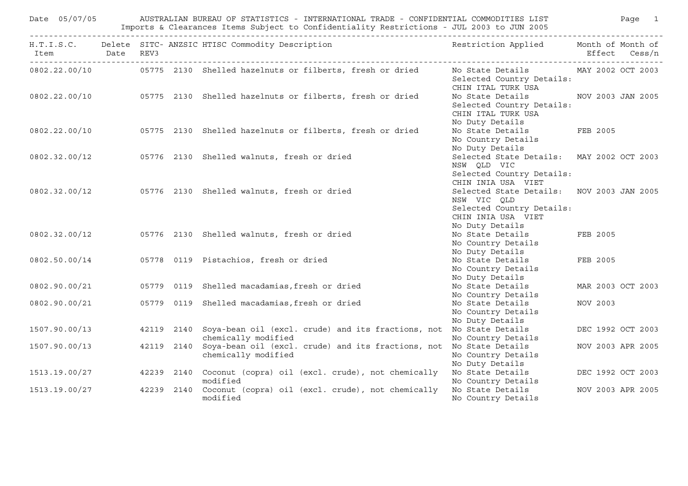| AUSTRALIAN BUREAU OF STATISTICS - INTERNATIONAL TRADE - CONFIDENTIAL COMMODITIES LIST<br>Date 05/07/05<br>Imports & Clearances Items Subject to Confidentiality Restrictions - JUL 2003 to JUN 2005 |  |  |            |                                                                                            |                                                                                                                                |          | Page 1            |
|-----------------------------------------------------------------------------------------------------------------------------------------------------------------------------------------------------|--|--|------------|--------------------------------------------------------------------------------------------|--------------------------------------------------------------------------------------------------------------------------------|----------|-------------------|
| Item Date REV3<br>$\begin{array}{cccccccccccccc} \bot & \bot & \bot & \bot & \bot & \bot & \bot \end{array}$                                                                                        |  |  |            | H.T.I.S.C. Delete SITC- ANZSIC HTISC Commodity Description                                 | Restriction Applied Month of Month of                                                                                          |          | Effect Cess/n     |
|                                                                                                                                                                                                     |  |  |            | 0802.22.00/10 05775 2130 Shelled hazelnuts or filberts, fresh or dried                     | No State Details<br>Selected Country Details:<br>CHIN ITAL TURK USA                                                            |          | MAY 2002 OCT 2003 |
|                                                                                                                                                                                                     |  |  |            | 0802.22.00/10 05775 2130 Shelled hazelnuts or filberts, fresh or dried                     | No State Details<br>Selected Country Details:<br>CHIN ITAL TURK USA<br>No Duty Details                                         |          | NOV 2003 JAN 2005 |
|                                                                                                                                                                                                     |  |  |            | 0802.22.00/10 05775 2130 Shelled hazelnuts or filberts, fresh or dried                     | No State Details<br>No Country Details<br>No Duty Details                                                                      | FEB 2005 |                   |
|                                                                                                                                                                                                     |  |  |            | 0802.32.00/12 05776 2130 Shelled walnuts, fresh or dried                                   | Selected State Details: MAY 2002 OCT 2003<br>NSW QLD VIC<br>Selected Country Details:<br>CHIN INIA USA VIET                    |          |                   |
|                                                                                                                                                                                                     |  |  |            | 0802.32.00/12 05776 2130 Shelled walnuts, fresh or dried                                   | Selected State Details: NOV 2003 JAN 2005<br>NSW VIC QLD<br>Selected Country Details:<br>CHIN INIA USA VIET<br>No Duty Details |          |                   |
|                                                                                                                                                                                                     |  |  |            | 0802.32.00/12 05776 2130 Shelled walnuts, fresh or dried                                   | No State Details<br>No Country Details<br>No Duty Details                                                                      | FEB 2005 |                   |
|                                                                                                                                                                                                     |  |  |            | 0802.50.00/14 05778 0119 Pistachios, fresh or dried                                        | No State Details<br>No Country Details<br>No Duty Details                                                                      | FEB 2005 |                   |
| 0802.90.00/21                                                                                                                                                                                       |  |  | 05779 0119 | Shelled macadamias, fresh or dried                                                         | No State Details<br>No Country Details                                                                                         |          | MAR 2003 OCT 2003 |
| 0802.90.00/21                                                                                                                                                                                       |  |  |            | 05779 0119 Shelled macadamias, fresh or dried                                              | No State Details<br>No Country Details<br>No Duty Details                                                                      | NOV 2003 |                   |
| 1507.90.00/13                                                                                                                                                                                       |  |  | 42119 2140 | Soya-bean oil (excl. crude) and its fractions, not No State Details<br>chemically modified | No Country Details                                                                                                             |          | DEC 1992 OCT 2003 |
| 1507.90.00/13                                                                                                                                                                                       |  |  | 42119 2140 | Soya-bean oil (excl. crude) and its fractions, not No State Details<br>chemically modified | No Country Details<br>No Duty Details                                                                                          |          | NOV 2003 APR 2005 |
|                                                                                                                                                                                                     |  |  |            | 1513.19.00/27 42239 2140 Coconut (copra) oil (excl. crude), not chemically<br>modified     | No State Details<br>No Country Details                                                                                         |          | DEC 1992 OCT 2003 |
| 1513.19.00/27                                                                                                                                                                                       |  |  |            | 42239 2140 Coconut (copra) oil (excl. crude), not chemically<br>modified                   | No State Details<br>No Country Details                                                                                         |          | NOV 2003 APR 2005 |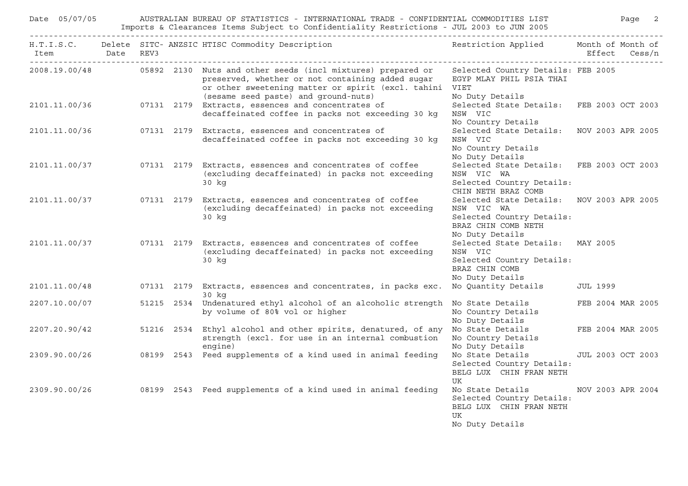| Date 05/07/05<br>AUSTRALIAN BUREAU OF STATISTICS - INTERNATIONAL TRADE - CONFIDENTIAL COMMODITIES LIST<br>Imports & Clearances Items Subject to Confidentiality Restrictions - JUL 2003 to JUN 2005 |  |  |  |                                                                                                                                                                                                                                    |                                                                                                                                | Page 2            |
|-----------------------------------------------------------------------------------------------------------------------------------------------------------------------------------------------------|--|--|--|------------------------------------------------------------------------------------------------------------------------------------------------------------------------------------------------------------------------------------|--------------------------------------------------------------------------------------------------------------------------------|-------------------|
| Item Date REV3                                                                                                                                                                                      |  |  |  | H.T.I.S.C. Delete SITC- ANZSIC HTISC Commodity Description                                                                                                                                                                         | Restriction Applied Month of Month of                                                                                          | Effect Cess/n     |
|                                                                                                                                                                                                     |  |  |  | 2008.19.00/48   05892 2130 Nuts and other seeds (incl mixtures) prepared or<br>preserved, whether or not containing added sugar<br>or other sweetening matter or spirit (excl. tahini VIET<br>(sesame seed paste) and ground-nuts) | Selected Country Details: FEB 2005<br>EGYP MLAY PHIL PSIA THAI<br>No Duty Details                                              |                   |
| 2101.11.00/36                                                                                                                                                                                       |  |  |  | 07131 2179 Extracts, essences and concentrates of<br>decaffeinated coffee in packs not exceeding 30 kg                                                                                                                             | Selected State Details: FEB 2003 OCT 2003<br>NSW VIC<br>No Country Details                                                     |                   |
|                                                                                                                                                                                                     |  |  |  | 2101.11.00/36 07131 2179 Extracts, essences and concentrates of<br>decaffeinated coffee in packs not exceeding 30 kg                                                                                                               | Selected State Details: NOV 2003 APR 2005<br>NSW VIC<br>No Country Details<br>No Duty Details                                  |                   |
| 2101.11.00/37                                                                                                                                                                                       |  |  |  | 07131 2179 Extracts, essences and concentrates of coffee<br>(excluding decaffeinated) in packs not exceeding<br>30 kg                                                                                                              | Selected State Details: FEB 2003 OCT 2003<br>NSW VIC WA<br>Selected Country Details:<br>CHIN NETH BRAZ COMB                    |                   |
| 2101.11.00/37                                                                                                                                                                                       |  |  |  | 07131 2179 Extracts, essences and concentrates of coffee<br>(excluding decaffeinated) in packs not exceeding<br>30 kg                                                                                                              | Selected State Details: NOV 2003 APR 2005<br>NSW VIC WA<br>Selected Country Details:<br>BRAZ CHIN COMB NETH<br>No Duty Details |                   |
| 2101.11.00/37                                                                                                                                                                                       |  |  |  | 07131 2179 Extracts, essences and concentrates of coffee<br>(excluding decaffeinated) in packs not exceeding<br>30 kg                                                                                                              | Selected State Details: MAY 2005<br>NSW VIC<br>Selected Country Details:<br>BRAZ CHIN COMB<br>No Duty Details                  |                   |
| 2101.11.00/48                                                                                                                                                                                       |  |  |  | 07131 2179 Extracts, essences and concentrates, in packs exc.<br>30 kg                                                                                                                                                             | No Quantity Details JUL 1999                                                                                                   |                   |
| 2207.10.00/07                                                                                                                                                                                       |  |  |  | 51215 2534 Undenatured ethyl alcohol of an alcoholic strength No State Details<br>by volume of 80% vol or higher                                                                                                                   | No Country Details<br>No Duty Details                                                                                          | FEB 2004 MAR 2005 |
| 2207.20.90/42                                                                                                                                                                                       |  |  |  | 51216 2534 Ethyl alcohol and other spirits, denatured, of any<br>strength (excl. for use in an internal combustion<br>engine)                                                                                                      | No State Details FEB 2004 MAR 2005<br>No Country Details<br>No Duty Details                                                    |                   |
| 2309.90.00/26                                                                                                                                                                                       |  |  |  | 08199 2543 Feed supplements of a kind used in animal feeding                                                                                                                                                                       | No State Details<br>Selected Country Details:<br>BELG LUX CHIN FRAN NETH<br>UK                                                 | JUL 2003 OCT 2003 |
|                                                                                                                                                                                                     |  |  |  | 2309.90.00/26 08199 2543 Feed supplements of a kind used in animal feeding                                                                                                                                                         | No State Details<br>Selected Country Details:<br>BELG LUX CHIN FRAN NETH<br>UK<br>No Duty Details                              | NOV 2003 APR 2004 |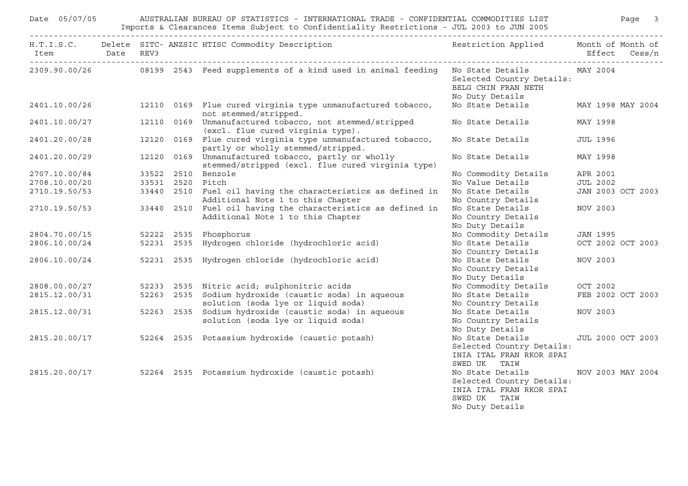|                                | Date 05/07/05 AUSTRALIAN BUREAU OF STATISTICS - INTERNATIONAL TRADE - CONFIDENTIAL COMMODITIES LIST Page 3<br>Imports & Clearances Items Subject to Confidentiality Restrictions - JUL 2003 to JUN 2005 |  |                                                                                                                 |                                                                                                              |                   |  |  |  |  |
|--------------------------------|---------------------------------------------------------------------------------------------------------------------------------------------------------------------------------------------------------|--|-----------------------------------------------------------------------------------------------------------------|--------------------------------------------------------------------------------------------------------------|-------------------|--|--|--|--|
|                                |                                                                                                                                                                                                         |  | H.T.I.S.C. Delete SITC-ANZSIC HTISC Commodity Description Nestriction Applied Month of Month of                 |                                                                                                              | Effect Cess/n     |  |  |  |  |
|                                |                                                                                                                                                                                                         |  | 2309.90.00/26 6 08199 2543 Feed supplements of a kind used in animal feeding No State Details 6 MAY 2004        | Selected Country Details:<br>BELG CHIN FRAN NETH<br>No Duty Details                                          |                   |  |  |  |  |
|                                |                                                                                                                                                                                                         |  | 2401.10.00/26 12110 0169 Flue cured virginia type unmanufactured tobacco,<br>not stemmed/stripped.              | No State Details MAY 1998 MAY 2004                                                                           |                   |  |  |  |  |
|                                |                                                                                                                                                                                                         |  | 2401.10.00/27 12110 0169 Unmanufactured tobacco, not stemmed/stripped<br>(excl. flue cured virginia type).      | No State Details                                                                                             | MAY 1998          |  |  |  |  |
|                                |                                                                                                                                                                                                         |  | 2401.20.00/28 12120 0169 Flue cured virginia type unmanufactured tobacco,<br>partly or wholly stemmed/stripped. | No State Details                                                                                             | JUL 1996          |  |  |  |  |
| 2401.20.00/29                  |                                                                                                                                                                                                         |  | 12120 0169 Unmanufactured tobacco, partly or wholly<br>stemmed/stripped (excl. flue cured virginia type)        | No State Details                                                                                             | MAY 1998          |  |  |  |  |
| 2707.10.00/84                  |                                                                                                                                                                                                         |  | 33522 2510 Benzole                                                                                              | No Commodity Details                                                                                         | APR 2001          |  |  |  |  |
| 2708.10.00/20                  | 33531 2520 Pitch                                                                                                                                                                                        |  |                                                                                                                 | No Value Details                                                                                             | <b>JUL 2002</b>   |  |  |  |  |
| 2710.19.50/53                  |                                                                                                                                                                                                         |  | 33440 2510 Fuel oil having the characteristics as defined in                                                    | No State Details                                                                                             | JAN 2003 OCT 2003 |  |  |  |  |
|                                |                                                                                                                                                                                                         |  | Additional Note 1 to this Chapter                                                                               | No Country Details                                                                                           |                   |  |  |  |  |
|                                |                                                                                                                                                                                                         |  | 2710.19.50/53 33440 2510 Fuel oil having the characteristics as defined in<br>Additional Note 1 to this Chapter | No State Details<br>No Country Details<br>No Duty Details                                                    | NOV 2003          |  |  |  |  |
| 2804.70.00/15                  |                                                                                                                                                                                                         |  | 52222 2535 Phosphorus                                                                                           | No Commodity Details                                                                                         | JAN 1995          |  |  |  |  |
| 2806.10.00/24                  |                                                                                                                                                                                                         |  | 52231 2535 Hydrogen chloride (hydrochloric acid)                                                                | No State Details<br>No Country Details                                                                       | OCT 2002 OCT 2003 |  |  |  |  |
| 2806.10.00/24                  |                                                                                                                                                                                                         |  | 52231 2535 Hydrogen chloride (hydrochloric acid)                                                                | No State Details<br>No Country Details<br>No Duty Details                                                    | NOV 2003          |  |  |  |  |
|                                |                                                                                                                                                                                                         |  | 52233 2535 Nitric acid; sulphonitric acids                                                                      | No Commodity Details                                                                                         | OCT 2002          |  |  |  |  |
| 2808.00.00/27<br>2815.12.00/31 |                                                                                                                                                                                                         |  | 52263 2535 Sodium hydroxide (caustic soda) in aqueous                                                           | No State Details FEB 2002 OCT 2003                                                                           |                   |  |  |  |  |
|                                |                                                                                                                                                                                                         |  | solution (soda lye or liquid soda)                                                                              | No Country Details                                                                                           |                   |  |  |  |  |
| 2815.12.00/31                  |                                                                                                                                                                                                         |  | 52263 2535 Sodium hydroxide (caustic soda) in aqueous<br>solution (soda lye or liquid soda)                     | No State Details<br>No Country Details<br>No Duty Details                                                    | NOV 2003          |  |  |  |  |
|                                |                                                                                                                                                                                                         |  | 2815.20.00/17 52264 2535 Potassium hydroxide (caustic potash)                                                   | No State Details<br>Selected Country Details:<br>INIA ITAL FRAN RKOR SPAI<br>SWED UK TAIW                    | JUL 2000 OCT 2003 |  |  |  |  |
|                                |                                                                                                                                                                                                         |  | 2815.20.00/17 52264 2535 Potassium hydroxide (caustic potash)                                                   | No State Details<br>Selected Country Details:<br>INIA ITAL FRAN RKOR SPAI<br>SWED UK TAIW<br>No Duty Details | NOV 2003 MAY 2004 |  |  |  |  |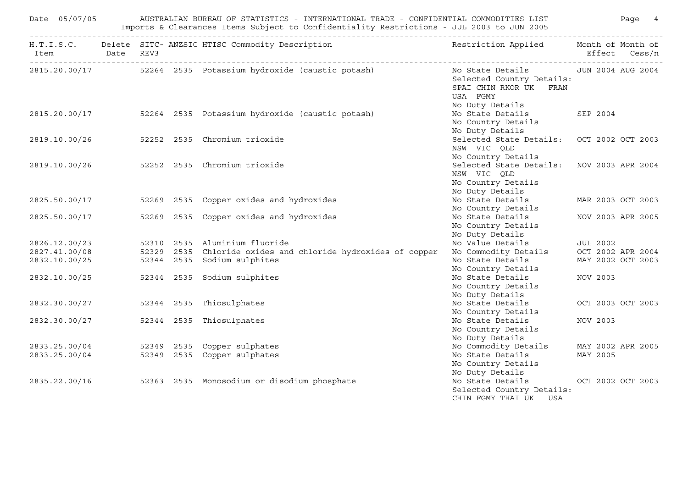| AUSTRALIAN BUREAU OF STATISTICS - INTERNATIONAL TRADE - CONFIDENTIAL COMMODITIES LIST                     Page<br>Date 05/07/05<br>Imports & Clearances Items Subject to Confidentiality Restrictions - JUL 2003 to JUN 2005 |  |  |  |                                                                                                                                                                        |                                                                                                                               |                   |  |
|------------------------------------------------------------------------------------------------------------------------------------------------------------------------------------------------------------------------------|--|--|--|------------------------------------------------------------------------------------------------------------------------------------------------------------------------|-------------------------------------------------------------------------------------------------------------------------------|-------------------|--|
| Item Date REV3                                                                                                                                                                                                               |  |  |  | H.T.I.S.C. Delete SITC- ANZSIC HTISC Commodity Description                                                                                                             | Restriction Applied Month of Month of                                                                                         | Effect Cess/n     |  |
|                                                                                                                                                                                                                              |  |  |  | 2815.20.00/17 52264 2535 Potassium hydroxide (caustic potash)                                                                                                          | No State Details 5000 JUN 2004 AUG 2004<br>Selected Country Details:<br>SPAI CHIN RKOR UK FRAN<br>USA FGMY<br>No Duty Details |                   |  |
|                                                                                                                                                                                                                              |  |  |  | 2815.20.00/17 52264 2535 Potassium hydroxide (caustic potash)                                                                                                          | No State Details 5EP 2004<br>No Country Details<br>No Duty Details                                                            |                   |  |
|                                                                                                                                                                                                                              |  |  |  | 2819.10.00/26 52252 2535 Chromium trioxide                                                                                                                             | Selected State Details: OCT 2002 OCT 2003<br>NSW VIC QLD<br>No Country Details                                                |                   |  |
|                                                                                                                                                                                                                              |  |  |  | 2819.10.00/26 52252 2535 Chromium trioxide                                                                                                                             | Selected State Details: NOV 2003 APR 2004<br>NSW VIC QLD<br>No Country Details<br>No Duty Details                             |                   |  |
|                                                                                                                                                                                                                              |  |  |  | 2825.50.00/17 52269 2535 Copper oxides and hydroxides                                                                                                                  | No State Details MAR 2003 OCT 2003<br>No Country Details                                                                      |                   |  |
|                                                                                                                                                                                                                              |  |  |  | 2825.50.00/17 52269 2535 Copper oxides and hydroxides                                                                                                                  | No State Details<br>No Country Details<br>No Duty Details                                                                     | NOV 2003 APR 2005 |  |
|                                                                                                                                                                                                                              |  |  |  |                                                                                                                                                                        | No Value Details 5 JUL 2002<br>No Commodity Details 6 OCT 2002 APR 2004                                                       |                   |  |
|                                                                                                                                                                                                                              |  |  |  |                                                                                                                                                                        |                                                                                                                               |                   |  |
|                                                                                                                                                                                                                              |  |  |  | 2826.12.00/23 52310 2535 Aluminium fluoride<br>2827.41.00/08 52329 2535 Chloride oxides and chloride hydroxides of copper<br>2832.10.00/25 52344 2535 Sodium sulphites | No State Details<br>No Country Details                                                                                        | MAY 2002 OCT 2003 |  |
|                                                                                                                                                                                                                              |  |  |  | 2832.10.00/25 52344 2535 Sodium sulphites                                                                                                                              | No State Details<br>No Country Details<br>No Duty Details                                                                     | NOV 2003          |  |
|                                                                                                                                                                                                                              |  |  |  | 2832.30.00/27 52344 2535 Thiosulphates                                                                                                                                 | No State Details OCT 2003 OCT 2003<br>No Country Details                                                                      |                   |  |
|                                                                                                                                                                                                                              |  |  |  | 2832.30.00/27 52344 2535 Thiosulphates                                                                                                                                 | No State Details<br>No Country Details<br>No Duty Details                                                                     | NOV 2003          |  |
|                                                                                                                                                                                                                              |  |  |  |                                                                                                                                                                        | No Commodity Details MAY 2002 APR 2005                                                                                        |                   |  |
|                                                                                                                                                                                                                              |  |  |  | 2833.25.00/04 52349 2535 Copper sulphates<br>2833.25.00/04 52349 2535 Copper sulphates                                                                                 | No State Details MAY 2005<br>No Country Details<br>No Duty Details                                                            |                   |  |
|                                                                                                                                                                                                                              |  |  |  | 2835.22.00/16 52363 2535 Monosodium or disodium phosphate                                                                                                              | No State Details OCT 2002 OCT 2003<br>Selected Country Details:<br>CHIN FGMY THAI UK<br>USA                                   |                   |  |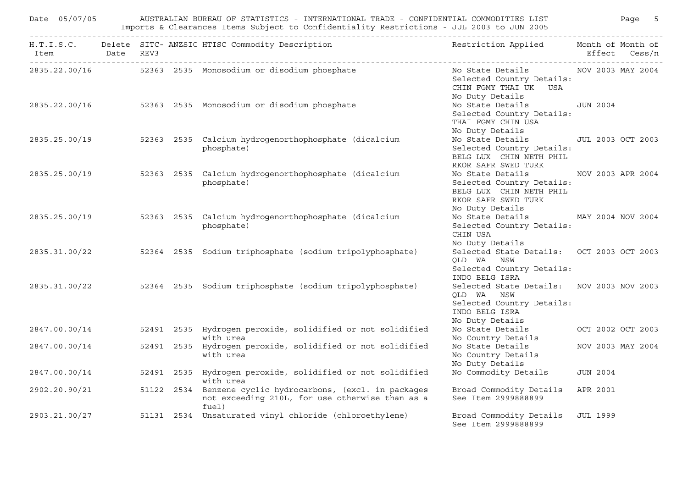|                | Date 05/07/05 AUSTRALIAN BUREAU OF STATISTICS - INTERNATIONAL TRADE - CONFIDENTIAL COMMODITIES LIST Page 5<br>Imports & Clearances Items Subject to Confidentiality Restrictions - JUL 2003 to JUN 2005 |  |                                                                                                                        |                                                                                                                           |                   |  |  |  |  |
|----------------|---------------------------------------------------------------------------------------------------------------------------------------------------------------------------------------------------------|--|------------------------------------------------------------------------------------------------------------------------|---------------------------------------------------------------------------------------------------------------------------|-------------------|--|--|--|--|
| Item Date REV3 |                                                                                                                                                                                                         |  | H.T.I.S.C. Delete SITC- ANZSIC HTISC Commodity Description                                                             | Restriction Applied Month of Month of                                                                                     | Effect Cess/n     |  |  |  |  |
|                |                                                                                                                                                                                                         |  |                                                                                                                        | Selected Country Details:<br>CHIN FGMY THAI UK USA<br>No Duty Details                                                     |                   |  |  |  |  |
|                |                                                                                                                                                                                                         |  | 2835.22.00/16 52363 2535 Monosodium or disodium phosphate                                                              | No State Details JUN 2004<br>Selected Country Details:<br>THAI FGMY CHIN USA<br>No Duty Details                           |                   |  |  |  |  |
|                |                                                                                                                                                                                                         |  | 2835.25.00/19 52363 2535 Calcium hydrogenorthophosphate (dicalcium<br>phosphate)                                       | No State Details 50 JUL 2003 OCT 2003<br>Selected Country Details:<br>BELG LUX CHIN NETH PHIL<br>RKOR SAFR SWED TURK      |                   |  |  |  |  |
|                |                                                                                                                                                                                                         |  | 2835.25.00/19 52363 2535 Calcium hydrogenorthophosphate (dicalcium<br>phosphate)                                       | No State Details<br>Selected Country Details:<br>BELG LUX CHIN NETH PHIL<br>RKOR SAFR SWED TURK<br>No Duty Details        | NOV 2003 APR 2004 |  |  |  |  |
|                |                                                                                                                                                                                                         |  | 2835.25.00/19 52363 2535 Calcium hydrogenorthophosphate (dicalcium<br>phosphate)                                       | No State Details MAY 2004 NOV 2004<br>Selected Country Details:<br>CHIN USA<br>No Duty Details                            |                   |  |  |  |  |
|                |                                                                                                                                                                                                         |  | 2835.31.00/22 52364 2535 Sodium triphosphate (sodium tripolyphosphate)                                                 | Selected State Details: OCT 2003 OCT 2003<br>OLD WA NSW<br>Selected Country Details:<br>INDO BELG ISRA                    |                   |  |  |  |  |
|                |                                                                                                                                                                                                         |  | 2835.31.00/22 52364 2535 Sodium triphosphate (sodium tripolyphosphate)                                                 | Selected State Details: NOV 2003 NOV 2003<br>QLD WA NSW<br>Selected Country Details:<br>INDO BELG ISRA<br>No Duty Details |                   |  |  |  |  |
|                |                                                                                                                                                                                                         |  | 2847.00.00/14 52491 2535 Hydrogen peroxide, solidified or not solidified<br>with urea                                  | No State Details 6 0CT 2002 0CT 2003<br>No Country Details                                                                |                   |  |  |  |  |
| 2847.00.00/14  |                                                                                                                                                                                                         |  | 52491 2535 Hydrogen peroxide, solidified or not solidified<br>with urea                                                | No State Details<br>No Country Details<br>No Duty Details                                                                 | NOV 2003 MAY 2004 |  |  |  |  |
| 2847.00.00/14  |                                                                                                                                                                                                         |  | 52491 2535 Hydrogen peroxide, solidified or not solidified<br>with urea                                                | No Commodity Details                                                                                                      | <b>JUN 2004</b>   |  |  |  |  |
| 2902.20.90/21  |                                                                                                                                                                                                         |  | 51122 2534 Benzene cyclic hydrocarbons, (excl. in packages<br>not exceeding 210L, for use otherwise than as a<br>fuel) | Broad Commodity Details APR 2001<br>See Item 2999888899                                                                   |                   |  |  |  |  |
| 2903.21.00/27  |                                                                                                                                                                                                         |  | 51131 2534 Unsaturated vinyl chloride (chloroethylene)                                                                 | Broad Commodity Details<br>See Item 2999888899                                                                            | <b>JUL 1999</b>   |  |  |  |  |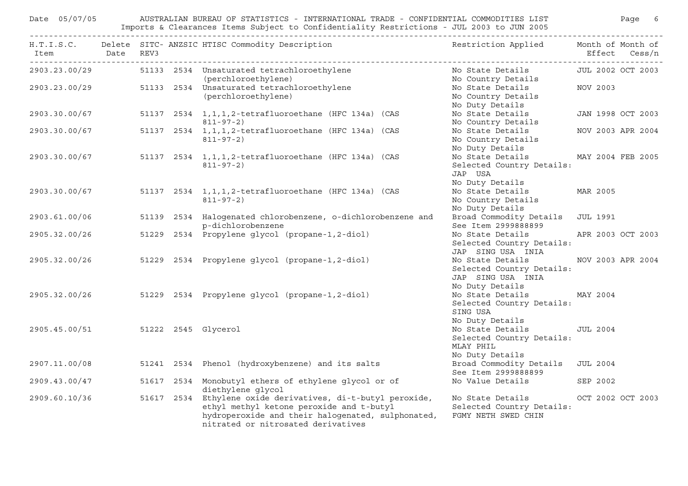| AUSTRALIAN BUREAU OF STATISTICS - INTERNATIONAL TRADE - CONFIDENTIAL COMMODITIES LIST FOR THE Page 6<br>Date 05/07/05<br>Imports & Clearances Items Subject to Confidentiality Restrictions - JUL 2003 to JUN 2005 |  |  |  |                                                                                                                                                                                                    |                                                                                       |                   |                   |
|--------------------------------------------------------------------------------------------------------------------------------------------------------------------------------------------------------------------|--|--|--|----------------------------------------------------------------------------------------------------------------------------------------------------------------------------------------------------|---------------------------------------------------------------------------------------|-------------------|-------------------|
| Item Date REV3                                                                                                                                                                                                     |  |  |  | H.T.I.S.C. Delete SITC- ANZSIC HTISC Commodity Description                                                                                                                                         | Restriction Applied Month of Month of                                                 |                   | Effect Cess/n     |
|                                                                                                                                                                                                                    |  |  |  | 2903.23.00/29 51133 2534 Unsaturated tetrachloroethylene<br>(perchloroethylene)                                                                                                                    | No State Details [JUL 2002 OCT 2003<br>No Country Details                             |                   |                   |
|                                                                                                                                                                                                                    |  |  |  | 2903.23.00/29 51133 2534 Unsaturated tetrachloroethylene<br>(perchloroethylene)                                                                                                                    | No State Details<br>No Country Details<br>No Duty Details                             | NOV 2003          |                   |
| 2903.30.00/67                                                                                                                                                                                                      |  |  |  | 51137  2534  1, 1, 1, 2-tetrafluoroethane (HFC 134a) (CAS<br>$811 - 97 - 2)$                                                                                                                       | No State Details<br>No Country Details                                                |                   | JAN 1998 OCT 2003 |
| 2903.30.00/67                                                                                                                                                                                                      |  |  |  | 51137 2534 1,1,1,2-tetrafluoroethane (HFC 134a) (CAS<br>$811 - 97 - 2)$                                                                                                                            | No State Details<br>No Country Details<br>No Duty Details                             |                   | NOV 2003 APR 2004 |
| 2903.30.00/67                                                                                                                                                                                                      |  |  |  | 51137 2534 1,1,1,2-tetrafluoroethane (HFC 134a) (CAS<br>$811 - 97 - 2)$                                                                                                                            | No State Details<br>Selected Country Details:<br>JAP USA<br>No Duty Details           | MAY 2004 FEB 2005 |                   |
| 2903.30.00/67                                                                                                                                                                                                      |  |  |  | 51137 2534 1, 1, 1, 2-tetrafluoroethane (HFC 134a) (CAS<br>811-97-2)                                                                                                                               | No State Details<br>No Country Details<br>No Duty Details                             | MAR 2005          |                   |
| 2903.61.00/06                                                                                                                                                                                                      |  |  |  | 51139 2534 Halogenated chlorobenzene, o-dichlorobenzene and<br>p-dichlorobenzene                                                                                                                   | Broad Commodity Details JUL 1991<br>See Item 2999888899                               |                   |                   |
| 2905.32.00/26                                                                                                                                                                                                      |  |  |  | 51229 2534 Propylene glycol (propane-1,2-diol)                                                                                                                                                     | No State Details<br>Selected Country Details:<br>JAP SING USA INIA                    |                   | APR 2003 OCT 2003 |
| 2905.32.00/26                                                                                                                                                                                                      |  |  |  | 51229 2534 Propylene glycol (propane-1,2-diol)                                                                                                                                                     | No State Details<br>Selected Country Details:<br>JAP SING USA INIA<br>No Duty Details |                   | NOV 2003 APR 2004 |
|                                                                                                                                                                                                                    |  |  |  | 2905.32.00/26 51229 2534 Propylene glycol (propane-1,2-diol)                                                                                                                                       | No State Details MAY 2004<br>Selected Country Details:<br>SING USA<br>No Duty Details |                   |                   |
| 2905.45.00/51 51222 2545 Glycerol                                                                                                                                                                                  |  |  |  |                                                                                                                                                                                                    | No State Details<br>Selected Country Details:<br>MLAY PHIL<br>No Duty Details         | <b>JUL 2004</b>   |                   |
| 2907.11.00/08                                                                                                                                                                                                      |  |  |  | 51241 2534 Phenol (hydroxybenzene) and its salts                                                                                                                                                   | Broad Commodity Details<br>See Item 2999888899                                        | <b>JUL 2004</b>   |                   |
| 2909.43.00/47                                                                                                                                                                                                      |  |  |  | 51617 2534 Monobutyl ethers of ethylene glycol or of<br>diethylene glycol                                                                                                                          | No Value Details                                                                      | SEP 2002          |                   |
| 2909.60.10/36                                                                                                                                                                                                      |  |  |  | 51617 2534 Ethylene oxide derivatives, di-t-butyl peroxide,<br>ethyl methyl ketone peroxide and t-butyl<br>hydroperoxide and their halogenated, sulphonated,<br>nitrated or nitrosated derivatives | No State Details<br>Selected Country Details:<br>FGMY NETH SWED CHIN                  |                   | OCT 2002 OCT 2003 |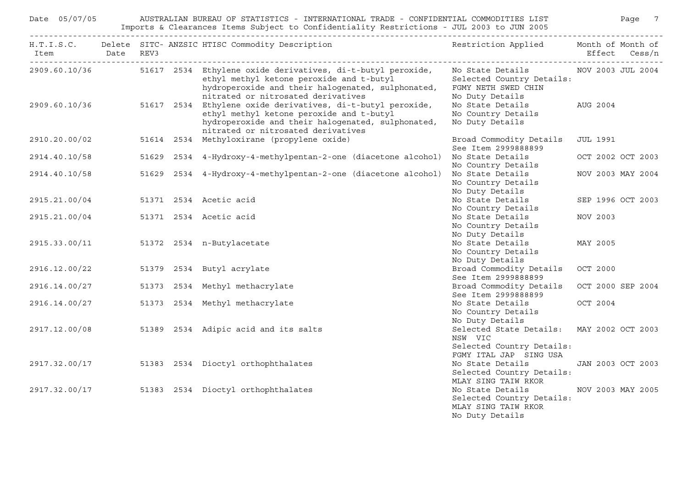|                                      | AUSTRALIAN BUREAU OF STATISTICS - INTERNATIONAL TRADE - CONFIDENTIAL COMMODITIES LIST<br>Date 05/07/05<br>Imports & Clearances Items Subject to Confidentiality Restrictions - JUL 2003 to JUN 2005 |  |  |                                                                                                                                                                                                                  |                                                                                                             |          | Page 7            |
|--------------------------------------|-----------------------------------------------------------------------------------------------------------------------------------------------------------------------------------------------------|--|--|------------------------------------------------------------------------------------------------------------------------------------------------------------------------------------------------------------------|-------------------------------------------------------------------------------------------------------------|----------|-------------------|
| Item Date REV3                       |                                                                                                                                                                                                     |  |  | H.T.I.S.C. Delete SITC- ANZSIC HTISC Commodity Description                                                                                                                                                       | Restriction Applied Month of Month of                                                                       |          | Effect Cess/n     |
|                                      |                                                                                                                                                                                                     |  |  | 2909.60.10/36 51617 2534 Ethylene oxide derivatives, di-t-butyl peroxide,<br>ethyl methyl ketone peroxide and t-butyl<br>hydroperoxide and their halogenated, sulphonated,<br>nitrated or nitrosated derivatives | No State Details MOV 2003 JUL 2004<br>Selected Country Details:<br>FGMY NETH SWED CHIN<br>No Duty Details   |          |                   |
|                                      |                                                                                                                                                                                                     |  |  | 2909.60.10/36 51617 2534 Ethylene oxide derivatives, di-t-butyl peroxide,<br>ethyl methyl ketone peroxide and t-butyl<br>hydroperoxide and their halogenated, sulphonated,<br>nitrated or nitrosated derivatives | No State Details AUG 2004<br>No Country Details<br>No Duty Details                                          |          |                   |
| 2910.20.00/02                        |                                                                                                                                                                                                     |  |  | 51614 2534 Methyloxirane (propylene oxide)                                                                                                                                                                       | Broad Commodity Details<br>See Item 2999888899                                                              | JUL 1991 |                   |
| 2914.40.10/58                        |                                                                                                                                                                                                     |  |  | 51629 2534 4-Hydroxy-4-methylpentan-2-one (diacetone alcohol)                                                                                                                                                    | No State Details<br>No Country Details                                                                      |          | OCT 2002 OCT 2003 |
| 2914.40.10/58                        |                                                                                                                                                                                                     |  |  | 51629  2534  4-Hydroxy-4-methylpentan-2-one (diacetone alcohol)                                                                                                                                                  | No State Details<br>No Country Details<br>No Duty Details                                                   |          | NOV 2003 MAY 2004 |
| 2915.21.00/04                        |                                                                                                                                                                                                     |  |  | 51371 2534 Acetic acid                                                                                                                                                                                           | No State Details<br>No Country Details                                                                      |          | SEP 1996 OCT 2003 |
| 2915.21.00/04 51371 2534 Acetic acid |                                                                                                                                                                                                     |  |  |                                                                                                                                                                                                                  | No State Details<br>No Country Details<br>No Duty Details                                                   | NOV 2003 |                   |
|                                      |                                                                                                                                                                                                     |  |  | 2915.33.00/11 51372 2534 n-Butylacetate                                                                                                                                                                          | No State Details<br>No Country Details<br>No Duty Details                                                   | MAY 2005 |                   |
|                                      |                                                                                                                                                                                                     |  |  | 2916.12.00/22 51379 2534 Butyl acrylate                                                                                                                                                                          | Broad Commodity Details<br>See Item 2999888899                                                              | OCT 2000 |                   |
| 2916.14.00/27                        |                                                                                                                                                                                                     |  |  | 51373 2534 Methyl methacrylate                                                                                                                                                                                   | Broad Commodity Details OCT 2000 SEP 2004<br>See Item 2999888899                                            |          |                   |
| 2916.14.00/27                        |                                                                                                                                                                                                     |  |  | 51373 2534 Methyl methacrylate                                                                                                                                                                                   | No State Details<br>No Country Details<br>No Duty Details                                                   | OCT 2004 |                   |
|                                      |                                                                                                                                                                                                     |  |  | 2917.12.00/08 51389 2534 Adipic acid and its salts                                                                                                                                                               | Selected State Details: MAY 2002 OCT 2003<br>NSW VIC<br>Selected Country Details:<br>FGMY ITAL JAP SING USA |          |                   |
|                                      |                                                                                                                                                                                                     |  |  | 2917.32.00/17 51383 2534 Dioctyl orthophthalates                                                                                                                                                                 | No State Details<br>Selected Country Details:<br>MLAY SING TAIW RKOR                                        |          | JAN 2003 OCT 2003 |
|                                      |                                                                                                                                                                                                     |  |  | 2917.32.00/17 51383 2534 Dioctyl orthophthalates                                                                                                                                                                 | No State Details<br>Selected Country Details:<br>MLAY SING TAIW RKOR<br>No Duty Details                     |          | NOV 2003 MAY 2005 |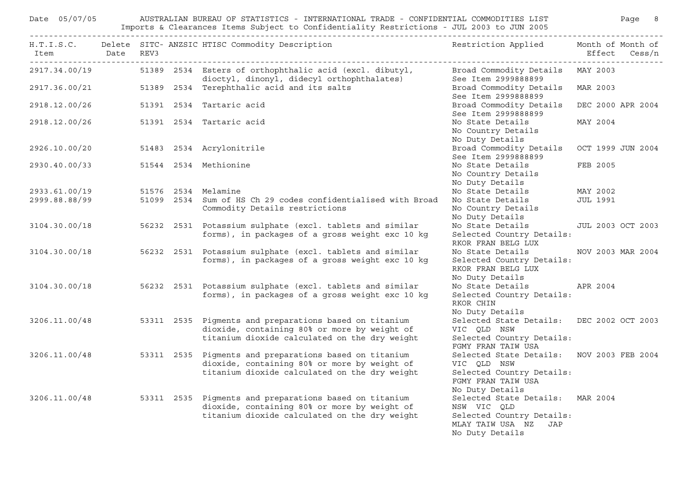| Date 05/07/05            | AUSTRALIAN BUREAU OF STATISTICS - INTERNATIONAL TRADE - CONFIDENTIAL COMMODITIES LIST<br>Paqe 8<br>Imports & Clearances Items Subject to Confidentiality Restrictions - JUL 2003 to JUN 2005 |  |                                                                                                                                                         |                                                                                                                                |                 |                                    |  |  |  |
|--------------------------|----------------------------------------------------------------------------------------------------------------------------------------------------------------------------------------------|--|---------------------------------------------------------------------------------------------------------------------------------------------------------|--------------------------------------------------------------------------------------------------------------------------------|-----------------|------------------------------------|--|--|--|
| ------------------------ |                                                                                                                                                                                              |  | H.T.I.S.C. Delete SITC- ANZSIC HTISC Commodity Description<br>Item Date REV3                                                                            | Restriction Applied                                                                                                            |                 | Month of Month of<br>Effect Cess/n |  |  |  |
| 2917.34.00/19            |                                                                                                                                                                                              |  | 51389 2534 Esters of orthophthalic acid (excl. dibutyl,<br>dioctyl, dinonyl, didecyl orthophthalates)                                                   | Broad Commodity Details<br>See Item 2999888899                                                                                 | MAY 2003        |                                    |  |  |  |
| 2917.36.00/21            |                                                                                                                                                                                              |  | 51389 2534 Terephthalic acid and its salts                                                                                                              | Broad Commodity Details<br>See Item 2999888899                                                                                 | MAR 2003        |                                    |  |  |  |
| 2918.12.00/26            |                                                                                                                                                                                              |  | 51391 2534 Tartaric acid                                                                                                                                | Broad Commodity Details<br>See Item 2999888899                                                                                 |                 | DEC 2000 APR 2004                  |  |  |  |
| 2918.12.00/26            |                                                                                                                                                                                              |  | 51391 2534 Tartaric acid                                                                                                                                | No State Details<br>No Country Details<br>No Duty Details                                                                      | MAY 2004        |                                    |  |  |  |
| 2926.10.00/20            |                                                                                                                                                                                              |  | 51483 2534 Acrylonitrile                                                                                                                                | Broad Commodity Details<br>See Item 2999888899                                                                                 |                 | OCT 1999 JUN 2004                  |  |  |  |
| 2930.40.00/33            |                                                                                                                                                                                              |  | 51544 2534 Methionine                                                                                                                                   | No State Details<br>No Country Details<br>No Duty Details                                                                      | FEB 2005        |                                    |  |  |  |
| 2933.61.00/19            |                                                                                                                                                                                              |  | 51576 2534 Melamine                                                                                                                                     | No State Details                                                                                                               | MAY 2002        |                                    |  |  |  |
| 2999.88.88/99            |                                                                                                                                                                                              |  | 51099 2534 Sum of HS Ch 29 codes confidentialised with Broad<br>Commodity Details restrictions                                                          | No State Details<br>No Country Details<br>No Duty Details                                                                      | <b>JUL 1991</b> |                                    |  |  |  |
| 3104.30.00/18            |                                                                                                                                                                                              |  | 56232 2531 Potassium sulphate (excl. tablets and similar<br>forms), in packages of a gross weight exc 10 kg                                             | No State Details<br>Selected Country Details:<br>RKOR FRAN BELG LUX                                                            |                 | <b>JUL 2003 OCT 2003</b>           |  |  |  |
| 3104.30.00/18            |                                                                                                                                                                                              |  | 56232 2531 Potassium sulphate (excl. tablets and similar<br>forms), in packages of a gross weight exc 10 kg                                             | No State Details<br>Selected Country Details:<br>RKOR FRAN BELG LUX<br>No Duty Details                                         |                 | NOV 2003 MAR 2004                  |  |  |  |
| 3104.30.00/18            |                                                                                                                                                                                              |  | 56232 2531 Potassium sulphate (excl. tablets and similar<br>forms), in packages of a gross weight exc 10 kg                                             | No State Details<br>Selected Country Details:<br>RKOR CHIN<br>No Duty Details                                                  | APR 2004        |                                    |  |  |  |
| 3206.11.00/48            |                                                                                                                                                                                              |  | 53311 2535 Pigments and preparations based on titanium<br>dioxide, containing 80% or more by weight of<br>titanium dioxide calculated on the dry weight | Selected State Details: DEC 2002 OCT 2003<br>VIC QLD NSW<br>Selected Country Details:<br>FGMY FRAN TAIW USA                    |                 |                                    |  |  |  |
| 3206.11.00/48            |                                                                                                                                                                                              |  | 53311 2535 Pigments and preparations based on titanium<br>dioxide, containing 80% or more by weight of<br>titanium dioxide calculated on the dry weight | Selected State Details: NOV 2003 FEB 2004<br>VIC QLD NSW<br>Selected Country Details:<br>FGMY FRAN TAIW USA<br>No Duty Details |                 |                                    |  |  |  |
| 3206.11.00/48            |                                                                                                                                                                                              |  | 53311 2535 Pigments and preparations based on titanium<br>dioxide, containing 80% or more by weight of<br>titanium dioxide calculated on the dry weight | Selected State Details: MAR 2004<br>NSW VIC QLD<br>Selected Country Details:<br>MLAY TAIW USA NZ<br>JAP<br>No Duty Details     |                 |                                    |  |  |  |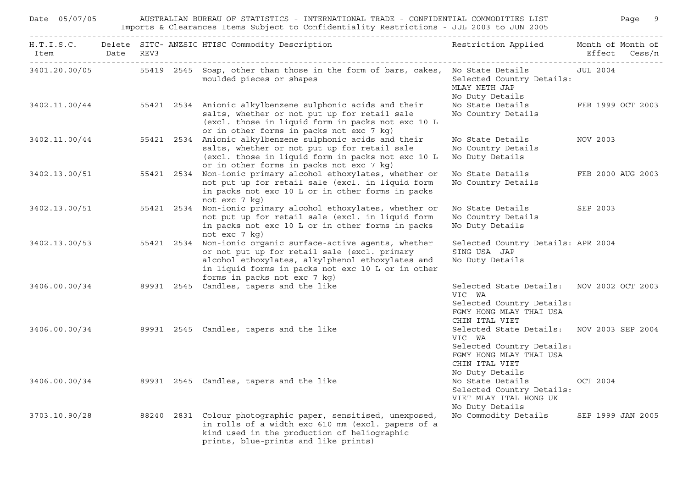| Date 05/07/05<br>AUSTRALIAN BUREAU OF STATISTICS - INTERNATIONAL TRADE - CONFIDENTIAL COMMODITIES LIST<br>Imports & Clearances Items Subject to Confidentiality Restrictions - JUL 2003 to JUN 2005 |           |  |            |                                                                                                                                                                                                                                           |                                                                                                                                                  |          | Page 9            |
|-----------------------------------------------------------------------------------------------------------------------------------------------------------------------------------------------------|-----------|--|------------|-------------------------------------------------------------------------------------------------------------------------------------------------------------------------------------------------------------------------------------------|--------------------------------------------------------------------------------------------------------------------------------------------------|----------|-------------------|
| Item                                                                                                                                                                                                | Date REV3 |  |            | H.T.I.S.C. Delete SITC- ANZSIC HTISC Commodity Description                                                                                                                                                                                | Restriction Applied Month of Month of                                                                                                            |          | Effect Cess/n     |
| 3401.20.00/05                                                                                                                                                                                       |           |  |            | 55419 2545 Soap, other than those in the form of bars, cakes, No State Details<br>moulded pieces or shapes                                                                                                                                | Selected Country Details:<br>MLAY NETH JAP<br>No Duty Details                                                                                    | JUL 2004 |                   |
| 3402.11.00/44                                                                                                                                                                                       |           |  |            | 55421 2534 Anionic alkylbenzene sulphonic acids and their<br>salts, whether or not put up for retail sale<br>(excl. those in liquid form in packs not exc 10 L<br>or in other forms in packs not exc 7 kg)                                | No State Details<br>No Country Details                                                                                                           |          | FEB 1999 OCT 2003 |
| 3402.11.00/44                                                                                                                                                                                       |           |  | 55421 2534 | Anionic alkylbenzene sulphonic acids and their<br>salts, whether or not put up for retail sale<br>(excl. those in liquid form in packs not exc 10 L<br>or in other forms in packs not exc 7 kg)                                           | No State Details<br>No Country Details<br>No Duty Details                                                                                        | NOV 2003 |                   |
| 3402.13.00/51                                                                                                                                                                                       |           |  | 55421 2534 | Non-ionic primary alcohol ethoxylates, whether or<br>not put up for retail sale (excl. in liquid form<br>in packs not exc 10 L or in other forms in packs<br>not exc 7 kg)                                                                | No State Details<br>No Country Details                                                                                                           |          | FEB 2000 AUG 2003 |
| 3402.13.00/51                                                                                                                                                                                       |           |  | 55421 2534 | Non-ionic primary alcohol ethoxylates, whether or<br>not put up for retail sale (excl. in liquid form<br>in packs not exc 10 L or in other forms in packs<br>not exc 7 kg)                                                                | No State Details<br>No Country Details<br>No Duty Details                                                                                        | SEP 2003 |                   |
| 3402.13.00/53                                                                                                                                                                                       |           |  | 55421 2534 | Non-ionic organic surface-active agents, whether<br>or not put up for retail sale (excl. primary<br>alcohol ethoxylates, alkylphenol ethoxylates and<br>in liquid forms in packs not exc 10 L or in other<br>forms in packs not exc 7 kg) | Selected Country Details: APR 2004<br>SING USA JAP<br>No Duty Details                                                                            |          |                   |
| 3406.00.00/34                                                                                                                                                                                       |           |  |            | 89931 2545 Candles, tapers and the like                                                                                                                                                                                                   | Selected State Details: NOV 2002 OCT 2003<br>VIC WA<br>Selected Country Details:<br>FGMY HONG MLAY THAI USA<br>CHIN ITAL VIET                    |          |                   |
| 3406.00.00/34                                                                                                                                                                                       |           |  |            | 89931 2545 Candles, tapers and the like                                                                                                                                                                                                   | Selected State Details: NOV 2003 SEP 2004<br>VIC WA<br>Selected Country Details:<br>FGMY HONG MLAY THAI USA<br>CHIN ITAL VIET<br>No Duty Details |          |                   |
| 3406.00.00/34                                                                                                                                                                                       |           |  |            | 89931 2545 Candles, tapers and the like                                                                                                                                                                                                   | No State Details<br>Selected Country Details:<br>VIET MLAY ITAL HONG UK<br>No Duty Details                                                       | OCT 2004 |                   |
| 3703.10.90/28                                                                                                                                                                                       |           |  |            | 88240 2831 Colour photographic paper, sensitised, unexposed,<br>in rolls of a width exc 610 mm (excl. papers of a<br>kind used in the production of heliographic<br>prints, blue-prints and like prints)                                  | No Commodity Details                                                                                                                             |          | SEP 1999 JAN 2005 |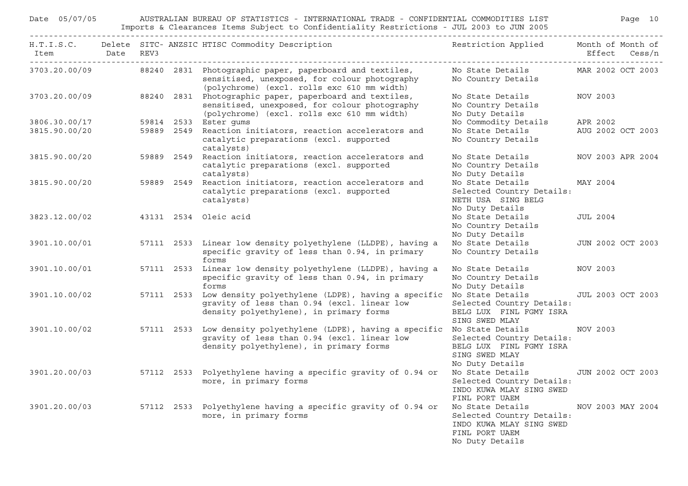| Date 05/07/05 |           |            | AUSTRALIAN BUREAU OF STATISTICS - INTERNATIONAL TRADE - CONFIDENTIAL COMMODITIES LIST<br>Imports & Clearances Items Subject to Confidentiality Restrictions - JUL 2003 to JUN 2005 | Page 10                                                                                                        |                   |                   |  |  |
|---------------|-----------|------------|------------------------------------------------------------------------------------------------------------------------------------------------------------------------------------|----------------------------------------------------------------------------------------------------------------|-------------------|-------------------|--|--|
| Item          | Date REV3 |            | H.T.I.S.C. Delete SITC-ANZSIC HTISC Commodity Description Nestriction Applied Month of Month of                                                                                    |                                                                                                                |                   | Effect Cess/n     |  |  |
| 3703.20.00/09 |           |            | 88240 2831 Photographic paper, paperboard and textiles,<br>sensitised, unexposed, for colour photography<br>(polychrome) (excl. rolls exc 610 mm width)                            | No State Details<br>No Country Details                                                                         | MAR 2002 OCT 2003 |                   |  |  |
| 3703.20.00/09 |           |            | 88240 2831 Photographic paper, paperboard and textiles,<br>sensitised, unexposed, for colour photography<br>(polychrome) (excl. rolls exc 610 mm width)                            | No State Details<br>No Country Details<br>No Duty Details                                                      | NOV 2003          |                   |  |  |
| 3806.30.00/17 |           |            | 59814 2533 Ester gums                                                                                                                                                              | No Commodity Details                                                                                           | APR 2002          |                   |  |  |
| 3815.90.00/20 |           |            | 59889 2549 Reaction initiators, reaction accelerators and<br>catalytic preparations (excl. supported<br>catalysts)                                                                 | No State Details<br>No Country Details                                                                         | AUG 2002 OCT 2003 |                   |  |  |
| 3815.90.00/20 |           |            | 59889 2549 Reaction initiators, reaction accelerators and<br>catalytic preparations (excl. supported<br>catalysts)                                                                 | No State Details<br>No Country Details<br>No Duty Details                                                      |                   | NOV 2003 APR 2004 |  |  |
| 3815.90.00/20 |           | 59889 2549 | Reaction initiators, reaction accelerators and<br>catalytic preparations (excl. supported<br>catalysts)                                                                            | No State Details<br>Selected Country Details:<br>NETH USA SING BELG<br>No Duty Details                         | MAY 2004          |                   |  |  |
| 3823.12.00/02 |           |            | 43131 2534 Oleic acid                                                                                                                                                              | No State Details<br>No Country Details<br>No Duty Details                                                      | <b>JUL 2004</b>   |                   |  |  |
| 3901.10.00/01 |           |            | 57111 2533 Linear low density polyethylene (LLDPE), having a<br>specific gravity of less than 0.94, in primary<br>forms                                                            | No State Details<br>No Country Details                                                                         |                   | JUN 2002 OCT 2003 |  |  |
| 3901.10.00/01 |           |            | 57111 2533 Linear low density polyethylene (LLDPE), having a<br>specific gravity of less than 0.94, in primary<br>forms                                                            | No State Details<br>No Country Details<br>No Duty Details                                                      | NOV 2003          |                   |  |  |
| 3901.10.00/02 |           | 57111 2533 | Low density polyethylene (LDPE), having a specific<br>gravity of less than 0.94 (excl. linear low<br>density polyethylene), in primary forms                                       | No State Details<br>Selected Country Details:<br>BELG LUX FINL FGMY ISRA<br>SING SWED MLAY                     |                   | JUL 2003 OCT 2003 |  |  |
| 3901.10.00/02 |           |            | 57111 2533 Low density polyethylene (LDPE), having a specific<br>gravity of less than 0.94 (excl. linear low<br>density polyethylene), in primary forms                            | No State Details<br>Selected Country Details:<br>BELG LUX FINL FGMY ISRA<br>SING SWED MLAY<br>No Duty Details  | NOV 2003          |                   |  |  |
| 3901.20.00/03 |           |            | 57112 2533 Polyethylene having a specific gravity of 0.94 or No State Details JUN 2002 OCT 2003<br>more, in primary forms and the selected Country Details:                        | INDO KUWA MLAY SING SWED<br>FINL PORT UAEM                                                                     |                   |                   |  |  |
| 3901.20.00/03 |           |            | 57112 2533 Polyethylene having a specific gravity of 0.94 or<br>more, in primary forms                                                                                             | No State Details<br>Selected Country Details:<br>INDO KUWA MLAY SING SWED<br>FINL PORT UAEM<br>No Duty Details | NOV 2003 MAY 2004 |                   |  |  |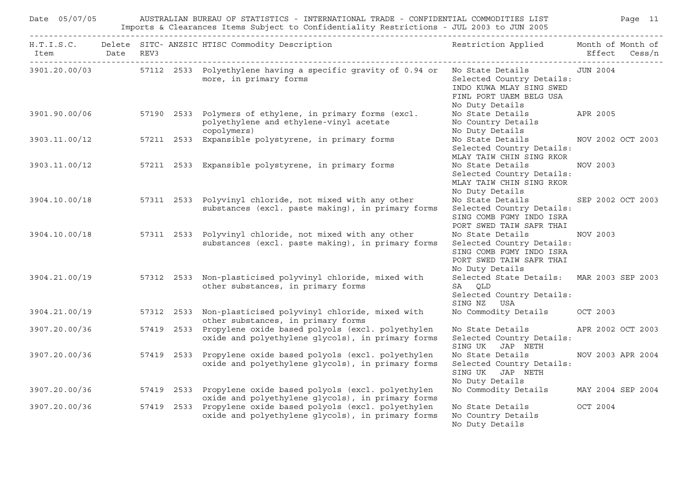| Date 05/07/05  | Page 11<br>AUSTRALIAN BUREAU OF STATISTICS - INTERNATIONAL TRADE - CONFIDENTIAL COMMODITIES LIST<br>Imports & Clearances Items Subject to Confidentiality Restrictions - JUL 2003 to JUN 2005 |  |                                                                                                                                |                                                                                                                          |                   |                   |  |  |  |  |
|----------------|-----------------------------------------------------------------------------------------------------------------------------------------------------------------------------------------------|--|--------------------------------------------------------------------------------------------------------------------------------|--------------------------------------------------------------------------------------------------------------------------|-------------------|-------------------|--|--|--|--|
| Item Date REV3 |                                                                                                                                                                                               |  | H.T.I.S.C. Delete SITC- ANZSIC HTISC Commodity Description                                                                     | Restriction Applied Month of Month of                                                                                    | Effect Cess/n     |                   |  |  |  |  |
|                |                                                                                                                                                                                               |  | 3901.20.00/03 57112 2533 Polyethylene having a specific gravity of 0.94 or No State Details<br>more, in primary forms          | Selected Country Details:<br>INDO KUWA MLAY SING SWED<br>FINL PORT UAEM BELG USA<br>No Duty Details                      | JUN 2004          |                   |  |  |  |  |
| 3901.90.00/06  |                                                                                                                                                                                               |  | 57190 2533 Polymers of ethylene, in primary forms (excl.<br>polyethylene and ethylene-vinyl acetate<br>copolymers)             | No State Details<br>No Country Details<br>No Duty Details                                                                | APR 2005          |                   |  |  |  |  |
| 3903.11.00/12  |                                                                                                                                                                                               |  | 57211 2533 Expansible polystyrene, in primary forms                                                                            | No State Details MOV 2002 OCT 2003<br>Selected Country Details:<br>MLAY TAIW CHIN SING RKOR                              |                   |                   |  |  |  |  |
| 3903.11.00/12  |                                                                                                                                                                                               |  | 57211 2533 Expansible polystyrene, in primary forms                                                                            | No State Details<br>Selected Country Details:<br>MLAY TAIW CHIN SING RKOR<br>No Duty Details                             | NOV 2003          |                   |  |  |  |  |
| 3904.10.00/18  |                                                                                                                                                                                               |  | 57311 2533 Polyvinyl chloride, not mixed with any other<br>substances (excl. paste making), in primary forms                   | No State Details<br>Selected Country Details:<br>SING COMB FGMY INDO ISRA<br>PORT SWED TAIW SAFR THAI                    |                   | SEP 2002 OCT 2003 |  |  |  |  |
| 3904.10.00/18  |                                                                                                                                                                                               |  | 57311 2533 Polyvinyl chloride, not mixed with any other<br>substances (excl. paste making), in primary forms                   | No State Details<br>Selected Country Details:<br>SING COMB FGMY INDO ISRA<br>PORT SWED TAIW SAFR THAI<br>No Duty Details | NOV 2003          |                   |  |  |  |  |
| 3904.21.00/19  |                                                                                                                                                                                               |  | 57312 2533 Non-plasticised polyvinyl chloride, mixed with<br>other substances, in primary forms                                | Selected State Details: MAR 2003 SEP 2003<br>SA OLD<br>Selected Country Details:<br>SING NZ USA                          |                   |                   |  |  |  |  |
| 3904.21.00/19  |                                                                                                                                                                                               |  | 57312 2533 Non-plasticised polyvinyl chloride, mixed with<br>other substances, in primary forms                                | No Commodity Details                                                                                                     | OCT 2003          |                   |  |  |  |  |
| 3907.20.00/36  |                                                                                                                                                                                               |  | 57419 2533 Propylene oxide based polyols (excl. polyethylen<br>oxide and polyethylene qlycols), in primary forms               | No State Details<br>Selected Country Details:<br>SING UK JAP NETH                                                        | APR 2002 OCT 2003 |                   |  |  |  |  |
| 3907.20.00/36  |                                                                                                                                                                                               |  | 57419 2533 Propylene oxide based polyols (excl. polyethylen<br>oxide and polyethylene qlycols), in primary forms               | No State Details<br>Selected Country Details:<br>SING UK JAP NETH<br>No Duty Details                                     | NOV 2003 APR 2004 |                   |  |  |  |  |
|                |                                                                                                                                                                                               |  | 3907.20.00/36 57419 2533 Propylene oxide based polyols (excl. polyethylen<br>oxide and polyethylene glycols), in primary forms | No Commodity Details MAY 2004 SEP 2004                                                                                   |                   |                   |  |  |  |  |
| 3907.20.00/36  |                                                                                                                                                                                               |  | 57419 2533 Propylene oxide based polyols (excl. polyethylen<br>oxide and polyethylene glycols), in primary forms               | No State Details<br>No Country Details<br>No Duty Details                                                                | OCT 2004          |                   |  |  |  |  |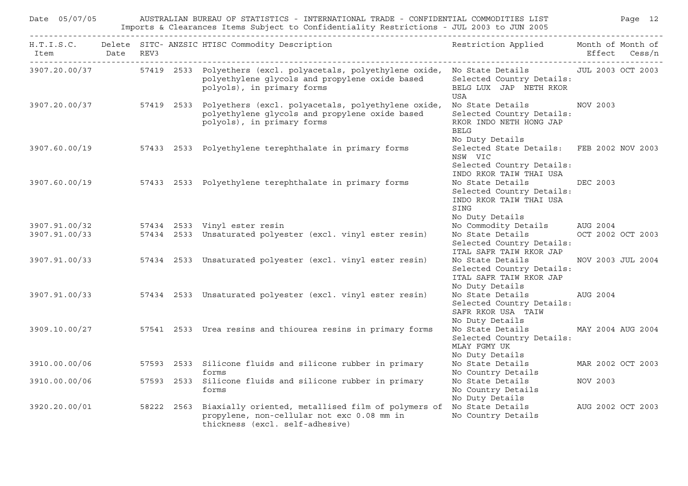| Date 05/07/05<br>AUSTRALIAN BUREAU OF STATISTICS - INTERNATIONAL TRADE - CONFIDENTIAL COMMODITIES LIST<br>Imports & Clearances Items Subject to Confidentiality Restrictions - JUL 2003 to JUN 2005 |  |  |            |                                                                                                                                                                                                |                                                                                                              |                               |
|-----------------------------------------------------------------------------------------------------------------------------------------------------------------------------------------------------|--|--|------------|------------------------------------------------------------------------------------------------------------------------------------------------------------------------------------------------|--------------------------------------------------------------------------------------------------------------|-------------------------------|
| Item Date REV3                                                                                                                                                                                      |  |  |            | H.T.I.S.C. Delete SITC- ANZSIC HTISC Commodity Description                                                                                                                                     | Restriction Applied Month of Month of                                                                        | Effect Cess/n                 |
|                                                                                                                                                                                                     |  |  |            | 3907.20.00/37 57419 2533 Polyethers (excl. polyacetals, polyethylene oxide, No State Details JUL 2003 OCT 2003<br>polyethylene glycols and propylene oxide based<br>polyols), in primary forms | Selected Country Details:<br>BELG LUX JAP NETH RKOR<br>USA                                                   |                               |
|                                                                                                                                                                                                     |  |  |            | 3907.20.00/37 57419 2533 Polyethers (excl. polyacetals, polyethylene oxide,<br>polyethylene glycols and propylene oxide based<br>polyols), in primary forms                                    | No State Details<br>Selected Country Details:<br>RKOR INDO NETH HONG JAP<br><b>BELG</b><br>No Duty Details   | NOV 2003                      |
|                                                                                                                                                                                                     |  |  |            | 3907.60.00/19 57433 2533 Polyethylene terephthalate in primary forms                                                                                                                           | Selected State Details: FEB 2002 NOV 2003<br>NSW VIC<br>Selected Country Details:<br>INDO RKOR TAIW THAI USA |                               |
| 3907.60.00/19                                                                                                                                                                                       |  |  |            | 57433 2533 Polyethylene terephthalate in primary forms                                                                                                                                         | No State Details<br>Selected Country Details:<br>INDO RKOR TAIW THAI USA<br>SING<br>No Duty Details          | DEC 2003                      |
| 3907.91.00/33                                                                                                                                                                                       |  |  |            | 3907.91.00/32 57434 2533 Vinyl ester resin<br>57434 2533 Unsaturated polyester (excl. vinyl ester resin)                                                                                       | No Commodity Details<br>No State Details<br>Selected Country Details:<br>ITAL SAFR TAIW RKOR JAP             | AUG 2004<br>OCT 2002 OCT 2003 |
|                                                                                                                                                                                                     |  |  |            | 3907.91.00/33 57434 2533 Unsaturated polyester (excl. vinyl ester resin)                                                                                                                       | No State Details<br>Selected Country Details:<br>ITAL SAFR TAIW RKOR JAP<br>No Duty Details                  | NOV 2003 JUL 2004             |
|                                                                                                                                                                                                     |  |  |            | 3907.91.00/33 57434 2533 Unsaturated polyester (excl. vinyl ester resin)                                                                                                                       | No State Details<br>Selected Country Details:<br>SAFR RKOR USA TAIW<br>No Duty Details                       | AUG 2004                      |
| 3909.10.00/27                                                                                                                                                                                       |  |  |            | 57541 2533 Urea resins and thiourea resins in primary forms                                                                                                                                    | No State Details<br>Selected Country Details:<br>MLAY FGMY UK<br>No Duty Details                             | MAY 2004 AUG 2004             |
| 3910.00.00/06                                                                                                                                                                                       |  |  |            | 57593 2533 Silicone fluids and silicone rubber in primary<br>forms                                                                                                                             | No State Details<br>No Country Details                                                                       | MAR 2002 OCT 2003             |
| 3910.00.00/06                                                                                                                                                                                       |  |  |            | 57593 2533 Silicone fluids and silicone rubber in primary<br>forms                                                                                                                             | No State Details<br>No Country Details<br>No Duty Details                                                    | NOV 2003                      |
| 3920.20.00/01                                                                                                                                                                                       |  |  | 58222 2563 | Biaxially oriented, metallised film of polymers of No State Details<br>propylene, non-cellular not exc 0.08 mm in<br>thickness (excl. self-adhesive)                                           | No Country Details                                                                                           | AUG 2002 OCT 2003             |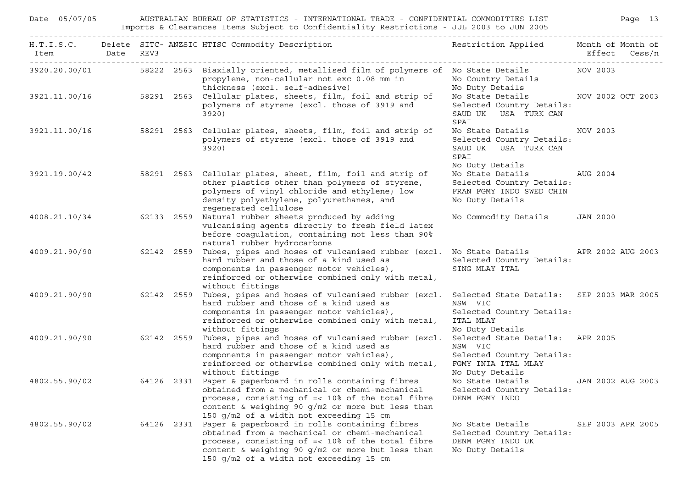| Date 05/07/05      | AUSTRALIAN BUREAU OF STATISTICS - INTERNATIONAL TRADE - CONFIDENTIAL COMMODITIES LIST<br>Imports & Clearances Items Subject to Confidentiality Restrictions - JUL 2003 to JUN 2005 |      | Page 13    |                                                                                                                                                                                                                                                               |                                                                                                                    |                   |                   |
|--------------------|------------------------------------------------------------------------------------------------------------------------------------------------------------------------------------|------|------------|---------------------------------------------------------------------------------------------------------------------------------------------------------------------------------------------------------------------------------------------------------------|--------------------------------------------------------------------------------------------------------------------|-------------------|-------------------|
| H.T.I.S.C.<br>Item | Date                                                                                                                                                                               | REV3 |            | Delete SITC- ANZSIC HTISC Commodity Description                                                                                                                                                                                                               | Restriction Applied                                                                                                | Month of Month of | Effect Cess/n     |
| 3920.20.00/01      |                                                                                                                                                                                    |      |            | 58222 2563 Biaxially oriented, metallised film of polymers of No State Details<br>propylene, non-cellular not exc 0.08 mm in<br>thickness (excl. self-adhesive)                                                                                               | No Country Details<br>No Duty Details                                                                              | NOV 2003          |                   |
| 3921.11.00/16      |                                                                                                                                                                                    |      | 58291 2563 | Cellular plates, sheets, film, foil and strip of<br>polymers of styrene (excl. those of 3919 and<br>3920)                                                                                                                                                     | No State Details<br>Selected Country Details:<br>SAUD UK USA TURK CAN<br>SPAI                                      | NOV 2002 OCT 2003 |                   |
| 3921.11.00/16      |                                                                                                                                                                                    |      | 58291 2563 | Cellular plates, sheets, film, foil and strip of<br>polymers of styrene (excl. those of 3919 and<br>3920)                                                                                                                                                     | No State Details<br>Selected Country Details:<br>SAUD UK USA TURK CAN<br>SPAI<br>No Duty Details                   | NOV 2003          |                   |
| 3921.19.00/42      |                                                                                                                                                                                    |      |            | 58291 2563 Cellular plates, sheet, film, foil and strip of<br>other plastics other than polymers of styrene,<br>polymers of vinyl chloride and ethylene; low<br>density polyethylene, polyurethanes, and<br>regenerated cellulose                             | No State Details<br>Selected Country Details:<br>FRAN FGMY INDO SWED CHIN<br>No Duty Details                       | AUG 2004          |                   |
| 4008.21.10/34      |                                                                                                                                                                                    |      | 62133 2559 | Natural rubber sheets produced by adding<br>vulcanising agents directly to fresh field latex<br>before coagulation, containing not less than 90%<br>natural rubber hydrocarbons                                                                               | No Commodity Details                                                                                               | <b>JAN 2000</b>   |                   |
| 4009.21.90/90      |                                                                                                                                                                                    |      | 62142 2559 | Tubes, pipes and hoses of vulcanised rubber (excl.<br>hard rubber and those of a kind used as<br>components in passenger motor vehicles),<br>reinforced or otherwise combined only with metal,<br>without fittings                                            | No State Details<br>Selected Country Details:<br>SING MLAY ITAL                                                    | APR 2002 AUG 2003 |                   |
| 4009.21.90/90      |                                                                                                                                                                                    |      | 62142 2559 | Tubes, pipes and hoses of vulcanised rubber (excl.<br>hard rubber and those of a kind used as<br>components in passenger motor vehicles),<br>reinforced or otherwise combined only with metal,<br>without fittings                                            | Selected State Details: SEP 2003 MAR 2005<br>NSW VIC<br>Selected Country Details:<br>ITAL MLAY<br>No Duty Details  |                   |                   |
| 4009.21.90/90      |                                                                                                                                                                                    |      | 62142 2559 | Tubes, pipes and hoses of vulcanised rubber (excl.<br>hard rubber and those of a kind used as<br>components in passenger motor vehicles),<br>reinforced or otherwise combined only with metal,<br>without fittings                                            | Selected State Details: APR 2005<br>NSW VIC<br>Selected Country Details:<br>FGMY INIA ITAL MLAY<br>No Duty Details |                   |                   |
| 4802.55.90/02      |                                                                                                                                                                                    |      | 64126 2331 | Paper & paperboard in rolls containing fibres<br>obtained from a mechanical or chemi-mechanical<br>process, consisting of =< 10% of the total fibre<br>content & weighing 90 g/m2 or more but less than<br>150 q/m2 of a width not exceeding 15 cm            | No State Details<br>Selected Country Details:<br>DENM FGMY INDO                                                    | JAN 2002 AUG 2003 |                   |
| 4802.55.90/02      |                                                                                                                                                                                    |      |            | 64126 2331 Paper & paperboard in rolls containing fibres<br>obtained from a mechanical or chemi-mechanical<br>process, consisting of =< 10% of the total fibre<br>content & weighing 90 g/m2 or more but less than<br>150 g/m2 of a width not exceeding 15 cm | No State Details<br>Selected Country Details:<br>DENM FGMY INDO UK<br>No Duty Details                              |                   | SEP 2003 APR 2005 |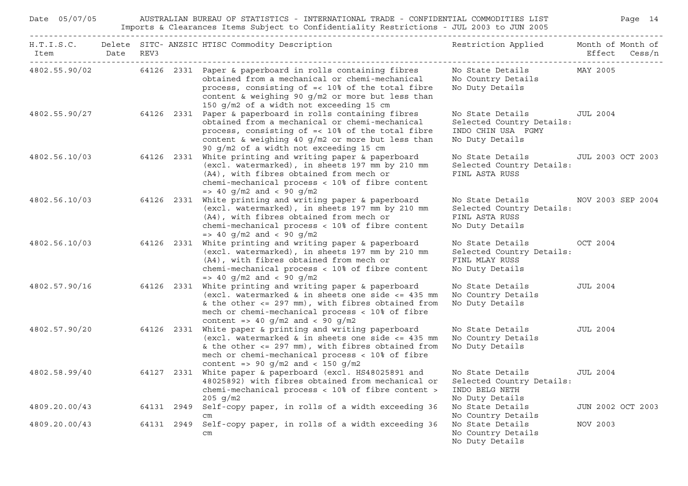| Date 05/07/05      |           |  | AUSTRALIAN BUREAU OF STATISTICS - INTERNATIONAL TRADE - CONFIDENTIAL COMMODITIES LIST<br>Imports & Clearances Items Subject to Confidentiality Restrictions - JUL 2003 to JUN 2005                                                                                                                    |                                                                                                      | Page 14           |
|--------------------|-----------|--|-------------------------------------------------------------------------------------------------------------------------------------------------------------------------------------------------------------------------------------------------------------------------------------------------------|------------------------------------------------------------------------------------------------------|-------------------|
| H.T.I.S.C.<br>Item | Date REV3 |  | Delete SITC-ANZSIC HTISC Commodity Description                                                                                                                                                                                                                                                        | Restriction Applied Month of Month of                                                                | Effect Cess/n     |
|                    |           |  | 4802.55.90/02 64126 2331 Paper & paperboard in rolls containing fibres No State Details MAY 2005<br>obtained from a mechanical or chemi-mechanical<br>process, consisting of =< 10% of the total fibre<br>content & weighing 90 g/m2 or more but less than<br>150 g/m2 of a width not exceeding 15 cm | No Country Details<br>No Duty Details                                                                |                   |
|                    |           |  | 4802.55.90/27 64126 2331 Paper & paperboard in rolls containing fibres<br>obtained from a mechanical or chemi-mechanical<br>process, consisting of =< 10% of the total fibre<br>content & weighing 40 g/m2 or more but less than<br>90 g/m2 of a width not exceeding 15 cm                            | No State Details<br>Selected Country Details:<br>INDO CHIN USA FGMY<br>No Duty Details               | JUL 2004          |
|                    |           |  | 4802.56.10/03 64126 2331 White printing and writing paper & paperboard<br>(excl. watermarked), in sheets 197 mm by 210 mm<br>(A4), with fibres obtained from mech or<br>chemi-mechanical process < 10% of fibre content<br>$\Rightarrow$ 40 g/m2 and < 90 g/m2                                        | No State Details JUL 2003 OCT 2003<br>Selected Country Details:<br>FINL ASTA RUSS                    |                   |
| 4802.56.10/03      |           |  | 64126 2331 White printing and writing paper & paperboard<br>(excl. watermarked), in sheets 197 mm by 210 mm<br>(A4), with fibres obtained from mech or<br>chemi-mechanical process < 10% of fibre content<br>$\Rightarrow$ 40 g/m2 and < 90 g/m2                                                      | No State Details MOV 2003 SEP 2004<br>Selected Country Details:<br>FINL ASTA RUSS<br>No Duty Details |                   |
| 4802.56.10/03      |           |  | 64126 2331 White printing and writing paper & paperboard<br>(excl. watermarked), in sheets 197 mm by 210 mm<br>(A4), with fibres obtained from mech or<br>chemi-mechanical process < 10% of fibre content<br>$\Rightarrow$ 40 g/m2 and < 90 g/m2                                                      | No State Details 0CT 2004<br>Selected Country Details:<br>FINL MLAY RUSS<br>No Duty Details          |                   |
| 4802.57.90/16      |           |  | 64126 2331 White printing and writing paper & paperboard<br>(excl. watermarked $\&$ in sheets one side $\lt$ = 435 mm<br>& the other $<=$ 297 mm), with fibres obtained from<br>mech or chemi-mechanical process < 10% of fibre<br>content => 40 g/m2 and < 90 g/m2                                   | No State Details<br>No Country Details<br>No Duty Details                                            | JUL 2004          |
| 4802.57.90/20      |           |  | 64126 2331 White paper & printing and writing paperboard<br>(excl. watermarked & in sheets one side <= 435 mm<br>& the other $<=$ 297 mm), with fibres obtained from<br>mech or chemi-mechanical process < 10% of fibre<br>content => 90 $q/m2$ and < 150 $q/m2$                                      | No State Details<br>No Country Details<br>No Duty Details                                            | JUL 2004          |
| 4802.58.99/40      |           |  | 64127 2331 White paper & paperboard (excl. HS48025891 and<br>48025892) with fibres obtained from mechanical or Selected Country Details:<br>chemi-mechanical process < 10% of fibre content ><br>$205$ g/m2                                                                                           | No State Details<br>INDO BELG NETH<br>No Duty Details                                                | JUL 2004          |
| 4809.20.00/43      |           |  | 64131 2949 Self-copy paper, in rolls of a width exceeding 36<br>cm                                                                                                                                                                                                                                    | No State Details<br>No Country Details                                                               | JUN 2002 OCT 2003 |
| 4809.20.00/43      |           |  | 64131 2949 Self-copy paper, in rolls of a width exceeding 36<br>$\rm cm$                                                                                                                                                                                                                              | No State Details<br>No Country Details<br>No Duty Details                                            | NOV 2003          |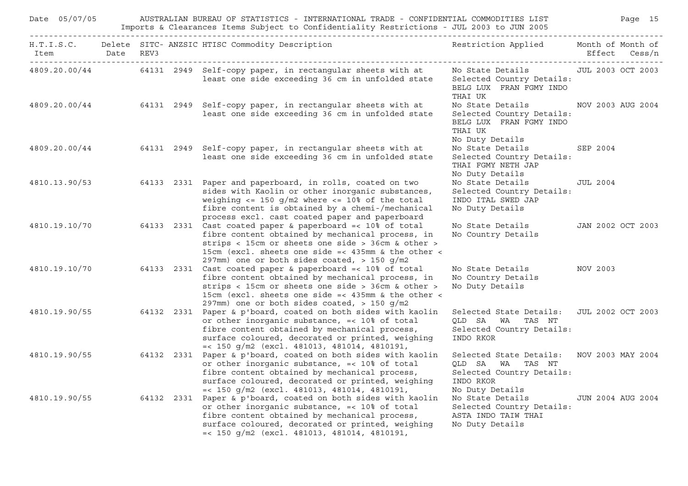| Date 05/07/05  |  | AUSTRALIAN BUREAU OF STATISTICS - INTERNATIONAL TRADE - CONFIDENTIAL COMMODITIES LIST<br>Page 15<br>Imports & Clearances Items Subject to Confidentiality Restrictions - JUL 2003 to JUN 2005                                                                                              |                                                                                                          |                   |  |  |
|----------------|--|--------------------------------------------------------------------------------------------------------------------------------------------------------------------------------------------------------------------------------------------------------------------------------------------|----------------------------------------------------------------------------------------------------------|-------------------|--|--|
| Item Date REV3 |  | H.T.I.S.C. Delete SITC- ANZSIC HTISC Commodity Description                                                                                                                                                                                                                                 | Restriction Applied Month of Month of                                                                    | Effect Cess/n     |  |  |
|                |  | 4809.20.00/44 64131 2949 Self-copy paper, in rectangular sheets with at<br>least one side exceeding 36 cm in unfolded state                                                                                                                                                                | No State Details [JUL 2003 OCT 2003<br>Selected Country Details:<br>BELG LUX FRAN FGMY INDO<br>THAI UK   |                   |  |  |
|                |  | 4809.20.00/44 64131 2949 Self-copy paper, in rectangular sheets with at<br>least one side exceeding 36 cm in unfolded state                                                                                                                                                                | No State Details<br>Selected Country Details:<br>BELG LUX FRAN FGMY INDO<br>THAI UK<br>No Duty Details   | NOV 2003 AUG 2004 |  |  |
|                |  | 4809.20.00/44 64131 2949 Self-copy paper, in rectangular sheets with at<br>least one side exceeding 36 cm in unfolded state                                                                                                                                                                | No State Details<br>Selected Country Details:<br>THAI FGMY NETH JAP<br>No Duty Details                   | SEP 2004          |  |  |
|                |  | 4810.13.90/53 64133 2331 Paper and paperboard, in rolls, coated on two<br>sides with Kaolin or other inorganic substances,<br>weighing $\le$ 150 g/m2 where $\le$ 10% of the total<br>fibre content is obtained by a chemi-/mechanical<br>process excl. cast coated paper and paperboard   | No State Details<br>Selected Country Details:<br>INDO ITAL SWED JAP<br>No Duty Details                   | JUL 2004          |  |  |
|                |  | $4810.19.10/70$ 64133 2331 Cast coated paper & paperboard =< 10% of total<br>fibre content obtained by mechanical process, in<br>strips < 15cm or sheets one side > 36cm & other ><br>15cm (excl. sheets one side =< $435$ mm & the other <<br>297mm) one or both sides coated, > 150 g/m2 | No State Details<br>No Country Details                                                                   | JAN 2002 OCT 2003 |  |  |
|                |  | 4810.19.10/70 64133 2331 Cast coated paper & paperboard =< 10% of total<br>fibre content obtained by mechanical process, in<br>strips < 15cm or sheets one side > 36cm & other ><br>15cm (excl. sheets one side =< 435mm & the other <<br>297mm) one or both sides coated, > 150 g/m2      | No State Details MOV 2003<br>No Country Details<br>No Duty Details                                       |                   |  |  |
|                |  | 4810.19.90/55 64132 2331 Paper & p'board, coated on both sides with kaolin<br>or other inorganic substance, =< 10% of total<br>fibre content obtained by mechanical process,<br>surface coloured, decorated or printed, weighing<br>$=<$ 150 g/m2 (excl. 481013, 481014, 4810191,          | Selected State Details: JUL 2002 OCT 2003<br>QLD SA WA TAS NT<br>Selected Country Details:<br>INDO RKOR  |                   |  |  |
|                |  | 4810.19.90/55 64132 2331 Paper & p'board, coated on both sides with kaolin<br>or other inorganic substance, =< 10% of total<br>fibre content obtained by mechanical process,<br>surface coloured, decorated or printed, weighing<br>$=<$ 150 g/m2 (excl. 481013, 481014, 4810191,          | Selected State Details:<br>QLD SA WA TAS NT<br>Selected Country Details:<br>INDO RKOR<br>No Duty Details | NOV 2003 MAY 2004 |  |  |
|                |  | $4810.19.90/55$ 64132 2331 Paper & p'board, coated on both sides with kaolin<br>or other inorganic substance, =< 10% of total<br>fibre content obtained by mechanical process,<br>surface coloured, decorated or printed, weighing<br>$=<$ 150 g/m2 (excl. 481013, 481014, 4810191,        | No State Details<br>Selected Country Details:<br>ASTA INDO TAIW THAI<br>No Duty Details                  | JUN 2004 AUG 2004 |  |  |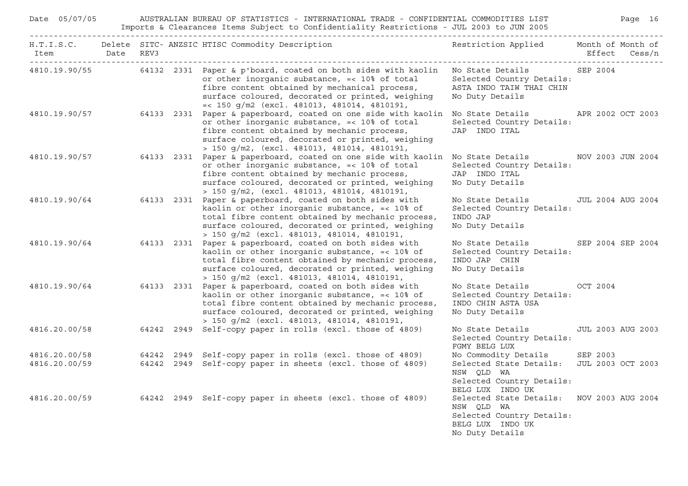| Date 05/07/05 |  | AUSTRALIAN BUREAU OF STATISTICS - INTERNATIONAL TRADE - CONFIDENTIAL COMMODITIES LIST<br>Imports & Clearances Items Subject to Confidentiality Restrictions - JUL 2003 to JUN 2005                                                                                                                                |                                                                                                                             | Page 16       |
|---------------|--|-------------------------------------------------------------------------------------------------------------------------------------------------------------------------------------------------------------------------------------------------------------------------------------------------------------------|-----------------------------------------------------------------------------------------------------------------------------|---------------|
|               |  | H.T.I.S.C. Delete SITC-ANZSIC HTISC Commodity Description Nestriction Applied Month of Month of                                                                                                                                                                                                                   |                                                                                                                             | Effect Cess/n |
|               |  | 4810.19.90/55 64132 2331 Paper & p'board, coated on both sides with kaolin No State Details SEP 2004<br>or other inorganic substance, =< 10% of total<br>fibre content obtained by mechanical process,<br>surface coloured, decorated or printed, weighing<br>$=<$ 150 g/m2 (excl. 481013, 481014, 4810191,       | Selected Country Details:<br>ASTA INDO TAIW THAI CHIN<br>No Duty Details                                                    |               |
|               |  | 4810.19.90/57 64133 2331 Paper & paperboard, coated on one side with kaolin No State Details APR 2002 OCT 2003<br>or other inorganic substance, =< 10% of total<br>fibre content obtained by mechanic process,<br>surface coloured, decorated or printed, weighing<br>> 150 g/m2, (excl. 481013, 481014, 4810191, | Selected Country Details:<br>JAP INDO ITAL                                                                                  |               |
|               |  | 4810.19.90/57 64133 2331 Paper & paperboard, coated on one side with kaolin No State Details NOV 2003 JUN 2004<br>or other inorganic substance, =< 10% of total<br>fibre content obtained by mechanic process,<br>surface coloured, decorated or printed, weighing<br>> 150 g/m2, (excl. 481013, 481014, 4810191, | Selected Country Details:<br>JAP INDO ITAL<br>No Duty Details                                                               |               |
|               |  | $4810.19.90/64$ 64133 2331 Paper & paperboard, coated on both sides with<br>kaolin or other inorganic substance, =< 10% of<br>total fibre content obtained by mechanic process,<br>surface coloured, decorated or printed, weighing<br>> 150 g/m2 (excl. 481013, 481014, 4810191,                                 | No State Details 5000 JUL 2004 AUG 2004<br>Selected Country Details:<br>INDO JAP<br>No Duty Details                         |               |
|               |  | 4810.19.90/64 64133 2331 Paper & paperboard, coated on both sides with<br>kaolin or other inorganic substance, =< 10% of<br>total fibre content obtained by mechanic process,<br>surface coloured, decorated or printed, weighing<br>> 150 g/m2 (excl. 481013, 481014, 4810191,                                   | No State Details SEP 2004 SEP 2004<br>Selected Country Details:<br>INDO JAP CHIN<br>No Duty Details                         |               |
|               |  | 4810.19.90/64 64133 2331 Paper & paperboard, coated on both sides with<br>kaolin or other inorganic substance, =< 10% of<br>total fibre content obtained by mechanic process,<br>surface coloured, decorated or printed, weighing<br>> 150 g/m2 (excl. 481013, 481014, 4810191,                                   | No State Details<br>Selected Country Details:<br>INDO CHIN ASTA USA<br>No Duty Details                                      | OCT 2004      |
|               |  | 4816.20.00/58 64242 2949 Self-copy paper in rolls (excl. those of 4809)                                                                                                                                                                                                                                           | No State Details JUL 2003 AUG 2003<br>Selected Country Details:<br>FGMY BELG LUX                                            |               |
| 4816.20.00/58 |  | 64242 2949 Self-copy paper in rolls (excl. those of 4809)                                                                                                                                                                                                                                                         | No Commodity Details SEP 2003                                                                                               |               |
| 4816.20.00/59 |  | 64242 2949 Self-copy paper in sheets (excl. those of 4809)                                                                                                                                                                                                                                                        | Selected State Details: JUL 2003 OCT 2003<br>NSW QLD WA<br>Selected Country Details:<br>BELG LUX INDO UK                    |               |
|               |  | 4816.20.00/59 64242 2949 Self-copy paper in sheets (excl. those of 4809)                                                                                                                                                                                                                                          | Selected State Details: NOV 2003 AUG 2004<br>NSW QLD WA<br>Selected Country Details:<br>BELG LUX INDO UK<br>No Duty Details |               |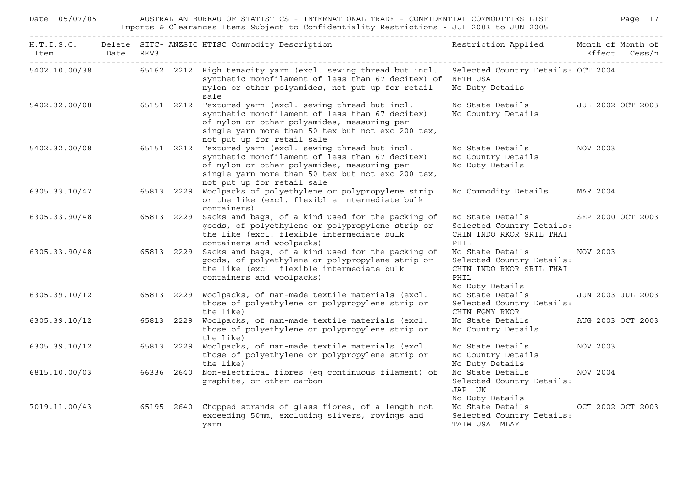| Date 05/07/05  |  |            | AUSTRALIAN BUREAU OF STATISTICS - INTERNATIONAL TRADE - CONFIDENTIAL COMMODITIES LIST<br>Imports & Clearances Items Subject to Confidentiality Restrictions - JUL 2003 to JUN 2005                                                |                                                                                                      |          | Page 17                  |
|----------------|--|------------|-----------------------------------------------------------------------------------------------------------------------------------------------------------------------------------------------------------------------------------|------------------------------------------------------------------------------------------------------|----------|--------------------------|
| Item Date REV3 |  |            | H.T.I.S.C. Delete SITC- ANZSIC HTISC Commodity Description                                                                                                                                                                        | Restriction Applied Month of Month of                                                                |          | Effect Cess/n            |
|                |  |            | 5402.10.00/38 65162 2212 High tenacity yarn (excl. sewing thread but incl.<br>synthetic monofilament of less than 67 decitex) of NETH USA<br>nylon or other polyamides, not put up for retail<br>sale                             | Selected Country Details: OCT 2004<br>No Duty Details                                                |          |                          |
| 5402.32.00/08  |  | 65151 2212 | Textured yarn (excl. sewing thread but incl.<br>synthetic monofilament of less than 67 decitex)<br>of nylon or other polyamides, measuring per<br>single yarn more than 50 tex but not exc 200 tex,<br>not put up for retail sale | No State Details<br>No Country Details                                                               |          | JUL 2002 OCT 2003        |
| 5402.32.00/08  |  | 65151 2212 | Textured yarn (excl. sewing thread but incl.<br>synthetic monofilament of less than 67 decitex)<br>of nylon or other polyamides, measuring per<br>single yarn more than 50 tex but not exc 200 tex,<br>not put up for retail sale | No State Details<br>No Country Details<br>No Duty Details                                            | NOV 2003 |                          |
| 6305.33.10/47  |  | 65813 2229 | Woolpacks of polyethylene or polypropylene strip<br>or the like (excl. flexibl e intermediate bulk<br>containers)                                                                                                                 | No Commodity Details                                                                                 | MAR 2004 |                          |
| 6305.33.90/48  |  | 65813 2229 | Sacks and bags, of a kind used for the packing of<br>goods, of polyethylene or polypropylene strip or<br>the like (excl. flexible intermediate bulk<br>containers and woolpacks)                                                  | No State Details<br>Selected Country Details:<br>CHIN INDO RKOR SRIL THAI<br>PHIL                    |          | SEP 2000 OCT 2003        |
| 6305.33.90/48  |  | 65813 2229 | Sacks and bags, of a kind used for the packing of<br>goods, of polyethylene or polypropylene strip or<br>the like (excl. flexible intermediate bulk<br>containers and woolpacks)                                                  | No State Details<br>Selected Country Details:<br>CHIN INDO RKOR SRIL THAI<br>PHIL<br>No Duty Details | NOV 2003 |                          |
| 6305.39.10/12  |  | 65813 2229 | Woolpacks, of man-made textile materials (excl.<br>those of polyethylene or polypropylene strip or<br>the like)                                                                                                                   | No State Details<br>Selected Country Details:<br>CHIN FGMY RKOR                                      |          | <b>JUN 2003 JUL 2003</b> |
| 6305.39.10/12  |  | 65813 2229 | Woolpacks, of man-made textile materials (excl.<br>those of polyethylene or polypropylene strip or<br>the like)                                                                                                                   | No State Details<br>No Country Details                                                               |          | AUG 2003 OCT 2003        |
| 6305.39.10/12  |  | 65813 2229 | Woolpacks, of man-made textile materials (excl.<br>those of polyethylene or polypropylene strip or<br>the like)                                                                                                                   | No State Details<br>No Country Details<br>No Duty Details                                            | NOV 2003 |                          |
| 6815.10.00/03  |  |            | 66336 2640 Non-electrical fibres (eq continuous filament) of<br>graphite, or other carbon                                                                                                                                         | No State Details<br>Selected Country Details:<br>JAP UK<br>No Duty Details                           | NOV 2004 |                          |
| 7019.11.00/43  |  | 65195 2640 | Chopped strands of glass fibres, of a length not<br>exceeding 50mm, excluding slivers, rovings and<br>yarn                                                                                                                        | No State Details<br>Selected Country Details:<br>TAIW USA MLAY                                       |          | OCT 2002 OCT 2003        |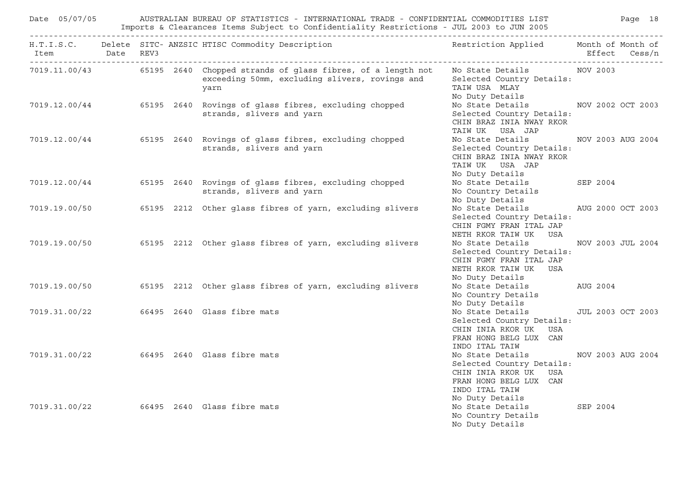|  |  | Date 05/07/05 AUSTRALIAN BUREAU OF STATISTICS - INTERNATIONAL TRADE - CONFIDENTIAL COMMODITIES LIST Page 18                                                   |                                                                                                                                          |                   |  |
|--|--|---------------------------------------------------------------------------------------------------------------------------------------------------------------|------------------------------------------------------------------------------------------------------------------------------------------|-------------------|--|
|  |  | H.T.I.S.C. Delete SITC-ANZSIC HTISC Commodity Description Nestriction Applied Month of Month of                                                               |                                                                                                                                          |                   |  |
|  |  | 7019.11.00/43 65195 2640 Chopped strands of glass fibres, of a length not No State Details NOV 2003<br>exceeding 50mm, excluding slivers, rovings and<br>yarn | Selected Country Details:<br>TAIW USA MLAY<br>No Duty Details                                                                            |                   |  |
|  |  | 7019.12.00/44 65195 2640 Rovings of glass fibres, excluding chopped<br>strands, slivers and yarn                                                              | No State Details MOV 2002 OCT 2003<br>Selected Country Details:<br>CHIN BRAZ INIA NWAY RKOR<br>TAIW UK USA JAP                           |                   |  |
|  |  | 7019.12.00/44 65195 2640 Rovings of glass fibres, excluding chopped<br>strands, slivers and yarn                                                              | No State Details MOV 2003 AUG 2004<br>Selected Country Details:<br>CHIN BRAZ INIA NWAY RKOR<br>TAIW UK USA JAP<br>No Duty Details        |                   |  |
|  |  | 7019.12.00/44 65195 2640 Rovings of glass fibres, excluding chopped<br>strands, slivers and yarn                                                              | No State Details SEP 2004<br>No Country Details<br>No Duty Details                                                                       |                   |  |
|  |  | 7019.19.00/50 65195 2212 Other glass fibres of yarn, excluding slivers                                                                                        | No State Details AUG 2000 OCT 2003<br>Selected Country Details:<br>CHIN FGMY FRAN ITAL JAP<br>NETH RKOR TAIW UK USA                      |                   |  |
|  |  | 7019.19.00/50 65195 2212 Other glass fibres of yarn, excluding slivers                                                                                        | No State Details<br>Selected Country Details:<br>CHIN FGMY FRAN ITAL JAP<br>NETH RKOR TAIW UK USA<br>No Duty Details                     | NOV 2003 JUL 2004 |  |
|  |  | 7019.19.00/50 65195 2212 Other glass fibres of yarn, excluding slivers                                                                                        | No State Details AUG 2004<br>No Country Details<br>No Duty Details                                                                       |                   |  |
|  |  | 7019.31.00/22 66495 2640 Glass fibre mats                                                                                                                     | No State Details 500 JUL 2003 OCT 2003<br>Selected Country Details:<br>CHIN INIA RKOR UK USA<br>FRAN HONG BELG LUX CAN<br>INDO ITAL TAIW |                   |  |
|  |  | 7019.31.00/22 66495 2640 Glass fibre mats                                                                                                                     | No State Details<br>Selected Country Details:<br>CHIN INIA RKOR UK USA<br>FRAN HONG BELG LUX CAN<br>INDO ITAL TAIW                       | NOV 2003 AUG 2004 |  |
|  |  | 7019.31.00/22 66495 2640 Glass fibre mats                                                                                                                     | No Duty Details<br>No State Details 5EP 2004<br>No Country Details<br>No Duty Details                                                    |                   |  |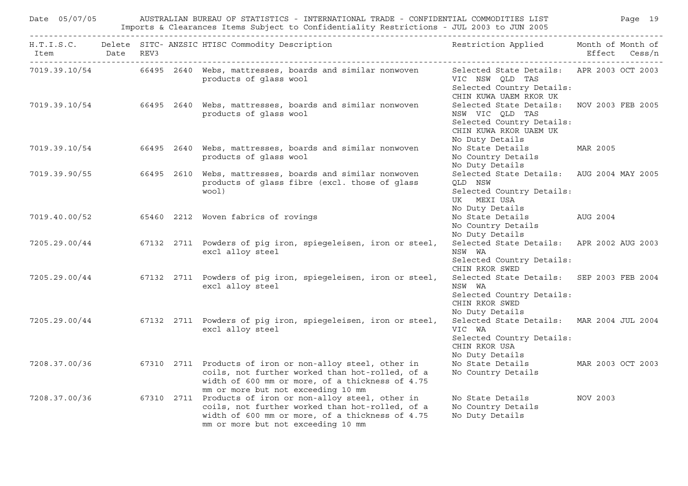|                          | Page 19<br>Date 05/07/05<br>AUSTRALIAN BUREAU OF STATISTICS - INTERNATIONAL TRADE - CONFIDENTIAL COMMODITIES LIST<br>Imports & Clearances Items Subject to Confidentiality Restrictions - JUL 2003 to JUN 2005 |  |  |                                                                                                                                                                                                                    |                                                                                                                                        |               |  |  |
|--------------------------|----------------------------------------------------------------------------------------------------------------------------------------------------------------------------------------------------------------|--|--|--------------------------------------------------------------------------------------------------------------------------------------------------------------------------------------------------------------------|----------------------------------------------------------------------------------------------------------------------------------------|---------------|--|--|
| Item Date REV3           |                                                                                                                                                                                                                |  |  | H.T.I.S.C. Delete SITC- ANZSIC HTISC Commodity Description                                                                                                                                                         | Restriction Applied Month of Month of                                                                                                  | Effect Cess/n |  |  |
|                          |                                                                                                                                                                                                                |  |  | 7019.39.10/54 66495 2640 Webs, mattresses, boards and similar nonwoven<br>products of glass wool                                                                                                                   | Selected State Details: APR 2003 OCT 2003<br>VIC NSW QLD TAS<br>Selected Country Details:<br>CHIN KUWA UAEM RKOR UK                    |               |  |  |
|                          |                                                                                                                                                                                                                |  |  | 7019.39.10/54 66495 2640 Webs, mattresses, boards and similar nonwoven<br>products of glass wool                                                                                                                   | Selected State Details: NOV 2003 FEB 2005<br>NSW VIC QLD TAS<br>Selected Country Details:<br>CHIN KUWA RKOR UAEM UK<br>No Duty Details |               |  |  |
|                          |                                                                                                                                                                                                                |  |  | 7019.39.10/54 66495 2640 Webs, mattresses, boards and similar nonwoven<br>products of glass wool                                                                                                                   | No State Details MAR 2005<br>No Country Details<br>No Duty Details                                                                     |               |  |  |
| 7019.39.90/55 66495 2610 |                                                                                                                                                                                                                |  |  | Webs, mattresses, boards and similar nonwoven<br>products of glass fibre (excl. those of glass<br>wool)                                                                                                            | Selected State Details: AUG 2004 MAY 2005<br>QLD NSW<br>Selected Country Details:<br>UK MEXI USA<br>No Duty Details                    |               |  |  |
|                          |                                                                                                                                                                                                                |  |  | 7019.40.00/52 65460 2212 Woven fabrics of rovings                                                                                                                                                                  | No State Details<br>No Country Details<br>No Duty Details                                                                              | AUG 2004      |  |  |
|                          |                                                                                                                                                                                                                |  |  | 7205.29.00/44 67132 2711 Powders of pig iron, spiegeleisen, iron or steel,<br>excl alloy steel                                                                                                                     | Selected State Details: APR 2002 AUG 2003<br>NSW WA<br>Selected Country Details:<br>CHIN RKOR SWED                                     |               |  |  |
|                          |                                                                                                                                                                                                                |  |  | 7205.29.00/44 67132 2711 Powders of pig iron, spiegeleisen, iron or steel,<br>excl alloy steel                                                                                                                     | Selected State Details: SEP 2003 FEB 2004<br>NSW WA<br>Selected Country Details:<br>CHIN RKOR SWED<br>No Duty Details                  |               |  |  |
|                          |                                                                                                                                                                                                                |  |  | 7205.29.00/44 67132 2711 Powders of piq iron, spieqeleisen, iron or steel,<br>excl alloy steel                                                                                                                     | Selected State Details: MAR 2004 JUL 2004<br>VIC WA<br>Selected Country Details:<br>CHIN RKOR USA<br>No Duty Details                   |               |  |  |
|                          |                                                                                                                                                                                                                |  |  | 7208.37.00/36 67310 2711 Products of iron or non-alloy steel, other in<br>coils, not further worked than hot-rolled, of a<br>width of 600 mm or more, of a thickness of 4.75<br>mm or more but not exceeding 10 mm | No State Details MAR 2003 OCT 2003<br>No Country Details                                                                               |               |  |  |
|                          |                                                                                                                                                                                                                |  |  | 7208.37.00/36 67310 2711 Products of iron or non-alloy steel, other in<br>coils, not further worked than hot-rolled, of a<br>width of 600 mm or more, of a thickness of 4.75<br>mm or more but not exceeding 10 mm | No State Details<br>No Country Details<br>No Duty Details                                                                              | NOV 2003      |  |  |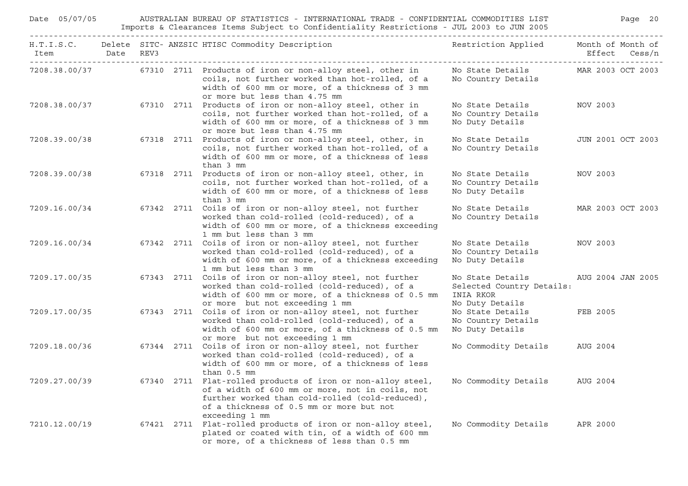| Date 05/07/05      |      |      | AUSTRALIAN BUREAU OF STATISTICS - INTERNATIONAL TRADE - CONFIDENTIAL COMMODITIES LIST<br>Imports & Clearances Items Subject to Confidentiality Restrictions - JUL 2003 to JUN 2005                                                                                          |                                                                               | Page 20                            |
|--------------------|------|------|-----------------------------------------------------------------------------------------------------------------------------------------------------------------------------------------------------------------------------------------------------------------------------|-------------------------------------------------------------------------------|------------------------------------|
| H.T.I.S.C.<br>Item | Date | REV3 | Delete SITC- ANZSIC HTISC Commodity Description                                                                                                                                                                                                                             | Restriction Applied                                                           | Month of Month of<br>Effect Cess/n |
| 7208.38.00/37      |      |      | 67310 2711 Products of iron or non-alloy steel, other in<br>coils, not further worked than hot-rolled, of a<br>width of 600 mm or more, of a thickness of 3 mm<br>or more but less than 4.75 mm                                                                             | No State Details<br>No Country Details                                        | MAR 2003 OCT 2003                  |
| 7208.38.00/37      |      |      | 67310 2711 Products of iron or non-alloy steel, other in<br>coils, not further worked than hot-rolled, of a<br>width of 600 mm or more, of a thickness of 3 mm<br>or more but less than 4.75 mm                                                                             | No State Details<br>No Country Details<br>No Duty Details                     | NOV 2003                           |
| 7208.39.00/38      |      |      | 67318 2711 Products of iron or non-alloy steel, other, in<br>coils, not further worked than hot-rolled, of a<br>width of 600 mm or more, of a thickness of less<br>than 3 mm                                                                                                | No State Details<br>No Country Details                                        | JUN 2001 OCT 2003                  |
| 7208.39.00/38      |      |      | 67318 2711 Products of iron or non-alloy steel, other, in<br>coils, not further worked than hot-rolled, of a<br>width of 600 mm or more, of a thickness of less<br>than 3 mm                                                                                                | No State Details<br>No Country Details<br>No Duty Details                     | NOV 2003                           |
| 7209.16.00/34      |      |      | 67342 2711 Coils of iron or non-alloy steel, not further<br>worked than cold-rolled (cold-reduced), of a<br>width of 600 mm or more, of a thickness exceeding<br>1 mm but less than 3 mm                                                                                    | No State Details<br>No Country Details                                        | MAR 2003 OCT 2003                  |
| 7209.16.00/34      |      |      | 67342 2711 Coils of iron or non-alloy steel, not further<br>worked than cold-rolled (cold-reduced), of a<br>width of 600 mm or more, of a thickness exceeding<br>1 mm but less than 3 mm                                                                                    | No State Details<br>No Country Details<br>No Duty Details                     | NOV 2003                           |
| 7209.17.00/35      |      |      | 67343 2711 Coils of iron or non-alloy steel, not further<br>worked than cold-rolled (cold-reduced), of a<br>width of 600 mm or more, of a thickness of 0.5 mm<br>or more but not exceeding 1 mm                                                                             | No State Details<br>Selected Country Details:<br>INIA RKOR<br>No Duty Details | AUG 2004 JAN 2005                  |
| 7209.17.00/35      |      |      | 67343 2711 Coils of iron or non-alloy steel, not further<br>worked than cold-rolled (cold-reduced), of a<br>width of 600 mm or more, of a thickness of 0.5 mm<br>or more but not exceeding 1 mm                                                                             | No State Details<br>No Country Details<br>No Duty Details                     | FEB 2005                           |
| 7209.18.00/36      |      |      | 67344 2711 Coils of iron or non-alloy steel, not further<br>worked than cold-rolled (cold-reduced), of a<br>width of 600 mm or more, of a thickness of less<br>than $0.5$ mm                                                                                                | No Commodity Details                                                          | AUG 2004                           |
|                    |      |      | 7209.27.00/39 67340 2711 Flat-rolled products of iron or non-alloy steel, No Commodity Details AUG 2004<br>of a width of 600 mm or more, not in coils, not<br>further worked than cold-rolled (cold-reduced),<br>of a thickness of 0.5 mm or more but not<br>exceeding 1 mm |                                                                               |                                    |
| 7210.12.00/19      |      |      | 67421 2711 Flat-rolled products of iron or non-alloy steel,<br>plated or coated with tin, of a width of 600 mm<br>or more, of a thickness of less than 0.5 mm                                                                                                               | No Commodity Details                                                          | APR 2000                           |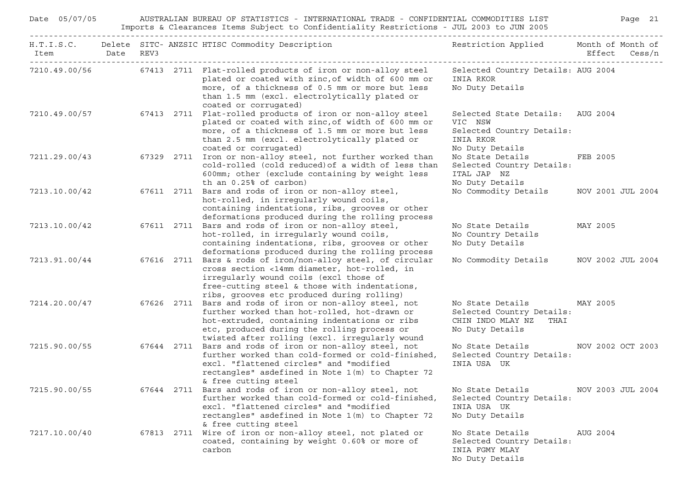| Date 05/07/05<br>AUSTRALIAN BUREAU OF STATISTICS - INTERNATIONAL TRADE - CONFIDENTIAL COMMODITIES LIST<br>Imports & Clearances Items Subject to Confidentiality Restrictions - JUL 2003 to JUN 2005 |  |  |            |                                                                                                                                                                                                                                                            |                                                                                                          |          | Page 21           |
|-----------------------------------------------------------------------------------------------------------------------------------------------------------------------------------------------------|--|--|------------|------------------------------------------------------------------------------------------------------------------------------------------------------------------------------------------------------------------------------------------------------------|----------------------------------------------------------------------------------------------------------|----------|-------------------|
| Item Date REV3<br>______________________________________                                                                                                                                            |  |  |            | H.T.I.S.C. Delete SITC- ANZSIC HTISC Commodity Description                                                                                                                                                                                                 | Restriction Applied Month of Month of                                                                    |          | Effect Cess/n     |
|                                                                                                                                                                                                     |  |  |            | 7210.49.00/56 67413 2711 Flat-rolled products of iron or non-alloy steel<br>plated or coated with zinc, of width of 600 mm or<br>more, of a thickness of 0.5 mm or more but less<br>than 1.5 mm (excl. electrolytically plated or<br>coated or corrugated) | Selected Country Details: AUG 2004<br>INIA RKOR<br>No Duty Details                                       |          |                   |
|                                                                                                                                                                                                     |  |  |            | 7210.49.00/57 67413 2711 Flat-rolled products of iron or non-alloy steel<br>plated or coated with zinc, of width of 600 mm or<br>more, of a thickness of 1.5 mm or more but less<br>than 2.5 mm (excl. electrolytically plated or<br>coated or corrugated) | Selected State Details: AUG 2004<br>VIC NSW<br>Selected Country Details:<br>INIA RKOR<br>No Duty Details |          |                   |
| 7211.29.00/43                                                                                                                                                                                       |  |  | 67329 2711 | Iron or non-alloy steel, not further worked than<br>cold-rolled (cold reduced) of a width of less than<br>600mm; other (exclude containing by weight less<br>th an $0.25$ of carbon)                                                                       | No State Details<br>Selected Country Details:<br>ITAL JAP NZ<br>No Duty Details                          | FEB 2005 |                   |
| 7213.10.00/42                                                                                                                                                                                       |  |  |            | 67611 2711 Bars and rods of iron or non-alloy steel,<br>hot-rolled, in irregularly wound coils,<br>containing indentations, ribs, grooves or other<br>deformations produced during the rolling process                                                     | No Commodity Details MOV 2001 JUL 2004                                                                   |          |                   |
| 7213.10.00/42                                                                                                                                                                                       |  |  | 67611 2711 | Bars and rods of iron or non-alloy steel,<br>hot-rolled, in irregularly wound coils,<br>containing indentations, ribs, grooves or other<br>deformations produced during the rolling process                                                                | No State Details<br>No Country Details<br>No Duty Details                                                | MAY 2005 |                   |
| 7213.91.00/44                                                                                                                                                                                       |  |  | 67616 2711 | Bars & rods of iron/non-alloy steel, of circular<br>cross section <14mm diameter, hot-rolled, in<br>irregularly wound coils (excl those of<br>free-cutting steel & those with indentations,<br>ribs, grooves etc produced during rolling)                  | No Commodity Details MOV 2002 JUL 2004                                                                   |          |                   |
| 7214.20.00/47                                                                                                                                                                                       |  |  |            | 67626 2711 Bars and rods of iron or non-alloy steel, not<br>further worked than hot-rolled, hot-drawn or<br>hot-extruded, containing indentations or ribs<br>etc, produced during the rolling process or<br>twisted after rolling (excl. irregularly wound | No State Details MAY 2005<br>Selected Country Details:<br>CHIN INDO MLAY NZ<br>THAI<br>No Duty Details   |          |                   |
| 7215.90.00/55                                                                                                                                                                                       |  |  |            | 67644 2711 Bars and rods of iron or non-alloy steel, not<br>further worked than cold-formed or cold-finished,<br>excl. "flattened circles" and "modified<br>rectangles" asdefined in Note 1(m) to Chapter 72<br>& free cutting steel                       | No State Details MOV 2002 OCT 2003<br>Selected Country Details:<br>INIA USA UK                           |          |                   |
| 7215.90.00/55                                                                                                                                                                                       |  |  | 67644 2711 | Bars and rods of iron or non-alloy steel, not<br>further worked than cold-formed or cold-finished,<br>excl. "flattened circles" and "modified<br>rectangles" asdefined in Note 1(m) to Chapter 72<br>& free cutting steel                                  | No State Details<br>Selected Country Details:<br>INIA USA UK<br>No Duty Details                          |          | NOV 2003 JUL 2004 |
| 7217.10.00/40                                                                                                                                                                                       |  |  | 67813 2711 | Wire of iron or non-alloy steel, not plated or<br>coated, containing by weight 0.60% or more of<br>carbon                                                                                                                                                  | No State Details<br>Selected Country Details:<br>INIA FGMY MLAY<br>No Duty Details                       | AUG 2004 |                   |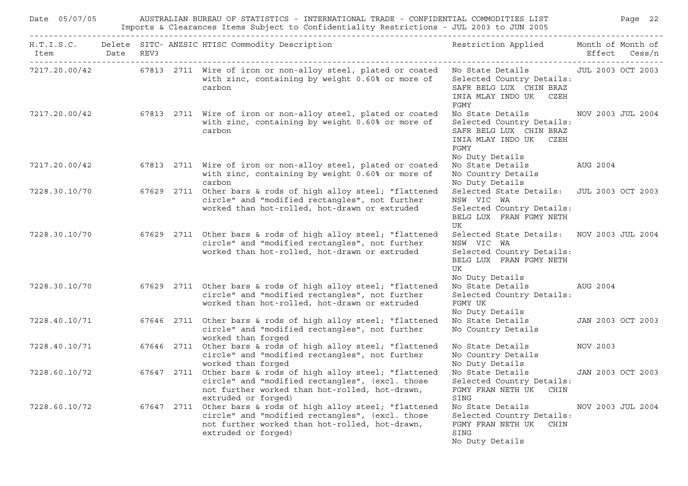| Date 05/07/05                                                   |      | AUSTRALIAN BUREAU OF STATISTICS - INTERNATIONAL TRADE - CONFIDENTIAL COMMODITIES LIST<br>Imports & Clearances Items Subject to Confidentiality Restrictions - JUL 2003 to JUN 2005 |            |                                                                                                                                                                                          |                                                                                                                        |          |                             |  |  |  |
|-----------------------------------------------------------------|------|------------------------------------------------------------------------------------------------------------------------------------------------------------------------------------|------------|------------------------------------------------------------------------------------------------------------------------------------------------------------------------------------------|------------------------------------------------------------------------------------------------------------------------|----------|-----------------------------|--|--|--|
| H.T.I.S.C.<br>Item<br><u> - - - - - - - - - - - - - - - - -</u> | Date | REV3                                                                                                                                                                               |            | Delete SITC- ANZSIC HTISC Commodity Description                                                                                                                                          | Restriction Applied                                                                                                    | Effect   | Month of Month of<br>Cess/n |  |  |  |
| 7217.20.00/42                                                   |      |                                                                                                                                                                                    |            | 67813 2711 Wire of iron or non-alloy steel, plated or coated<br>with zinc, containing by weight 0.60% or more of<br>carbon                                                               | No State Details<br>Selected Country Details:<br>SAFR BELG LUX CHIN BRAZ<br>INIA MLAY INDO UK CZEH<br>FGMY             |          | JUL 2003 OCT 2003           |  |  |  |
| 7217.20.00/42                                                   |      |                                                                                                                                                                                    |            | 67813 2711 Wire of iron or non-alloy steel, plated or coated<br>with zinc, containing by weight 0.60% or more of<br>carbon                                                               | No State Details<br>Selected Country Details:<br>SAFR BELG LUX CHIN BRAZ<br>INIA MLAY INDO UK CZEH<br>FGMY             |          | NOV 2003 JUL 2004           |  |  |  |
| 7217.20.00/42                                                   |      |                                                                                                                                                                                    |            | 67813 2711 Wire of iron or non-alloy steel, plated or coated<br>with zinc, containing by weight 0.60% or more of<br>carbon                                                               | No Duty Details<br>No State Details<br>No Country Details<br>No Duty Details                                           | AUG 2004 |                             |  |  |  |
| 7228.30.10/70                                                   |      |                                                                                                                                                                                    |            | 67629 2711 Other bars & rods of high alloy steel; "flattened<br>circle" and "modified rectangles", not further<br>worked than hot-rolled, hot-drawn or extruded                          | Selected State Details:<br>NSW VIC WA<br>Selected Country Details:<br>BELG LUX FRAN FGMY NETH<br>UK                    |          | JUL 2003 OCT 2003           |  |  |  |
| 7228.30.10/70                                                   |      |                                                                                                                                                                                    |            | 67629 2711 Other bars & rods of high alloy steel; "flattened<br>circle" and "modified rectangles", not further<br>worked than hot-rolled, hot-drawn or extruded                          | Selected State Details:<br>NSW VIC WA<br>Selected Country Details:<br>BELG LUX FRAN FGMY NETH<br>UK<br>No Duty Details |          | NOV 2003 JUL 2004           |  |  |  |
| 7228.30.10/70                                                   |      |                                                                                                                                                                                    |            | 67629 2711 Other bars & rods of high alloy steel; "flattened<br>circle" and "modified rectangles", not further<br>worked than hot-rolled, hot-drawn or extruded                          | No State Details<br>Selected Country Details:<br>FGMY UK<br>No Duty Details                                            | AUG 2004 |                             |  |  |  |
| 7228.40.10/71                                                   |      |                                                                                                                                                                                    |            | 67646 2711 Other bars & rods of high alloy steel; "flattened<br>circle" and "modified rectangles", not further<br>worked than forged                                                     | No State Details<br>No Country Details                                                                                 |          | JAN 2003 OCT 2003           |  |  |  |
| 7228.40.10/71                                                   |      |                                                                                                                                                                                    | 67646 2711 | Other bars & rods of high alloy steel; "flattened<br>circle" and "modified rectangles", not further<br>worked than forged                                                                | No State Details<br>No Country Details<br>No Duty Details                                                              | NOV 2003 |                             |  |  |  |
| 7228.60.10/72                                                   |      |                                                                                                                                                                                    |            | 67647 2711 Other bars & rods of high alloy steel; "flattened<br>circle" and "modified rectangles", (excl. those<br>not further worked than hot-rolled, hot-drawn,<br>extruded or forged) | No State Details<br>Selected Country Details:<br>FGMY FRAN NETH UK CHIN<br>SING                                        |          | JAN 2003 OCT 2003           |  |  |  |
| 7228.60.10/72                                                   |      |                                                                                                                                                                                    |            | 67647 2711 Other bars & rods of high alloy steel; "flattened<br>circle" and "modified rectangles", (excl. those<br>not further worked than hot-rolled, hot-drawn,<br>extruded or forged) | No State Details<br>Selected Country Details:<br>FGMY FRAN NETH UK CHIN<br>SING<br>No Duty Details                     |          | NOV 2003 JUL 2004           |  |  |  |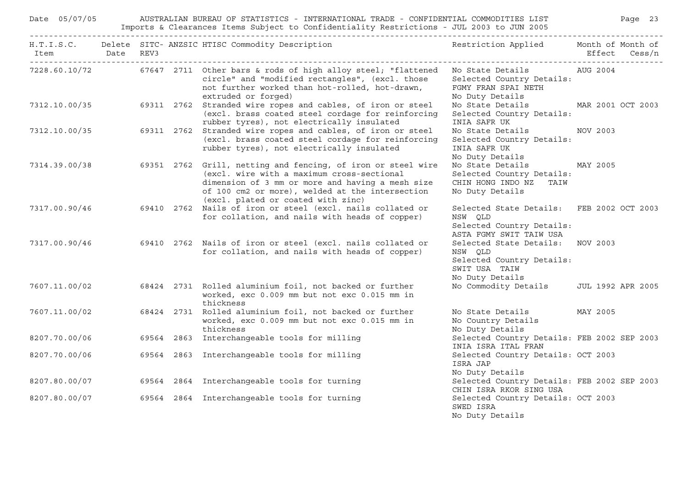| Date 05/07/05<br>AUSTRALIAN BUREAU OF STATISTICS - INTERNATIONAL TRADE - CONFIDENTIAL COMMODITIES LIST<br>Imports & Clearances Items Subject to Confidentiality Restrictions - JUL 2003 to JUN 2005 |  |  |  |                                                                                                                                                                                                                                                         |                                                                                                              | Page 23       |
|-----------------------------------------------------------------------------------------------------------------------------------------------------------------------------------------------------|--|--|--|---------------------------------------------------------------------------------------------------------------------------------------------------------------------------------------------------------------------------------------------------------|--------------------------------------------------------------------------------------------------------------|---------------|
| Item Date REV3                                                                                                                                                                                      |  |  |  | H.T.I.S.C. Delete SITC- ANZSIC HTISC Commodity Description                                                                                                                                                                                              | Restriction Applied Month of Month of                                                                        | Effect Cess/n |
|                                                                                                                                                                                                     |  |  |  | 7228.60.10/72 67647 2711 Other bars & rods of high alloy steel; "flattened No State Details AUG 2004<br>circle" and "modified rectangles", (excl. those<br>not further worked than hot-rolled, hot-drawn,<br>extruded or forged)                        | Selected Country Details:<br>FGMY FRAN SPAI NETH<br>No Duty Details                                          |               |
|                                                                                                                                                                                                     |  |  |  | 7312.10.00/35 69311 2762 Stranded wire ropes and cables, of iron or steel<br>(excl. brass coated steel cordage for reinforcing<br>rubber tyres), not electrically insulated                                                                             | No State Details MAR 2001 OCT 2003<br>Selected Country Details:<br>INIA SAFR UK                              |               |
|                                                                                                                                                                                                     |  |  |  | 7312.10.00/35 69311 2762 Stranded wire ropes and cables, of iron or steel<br>(excl. brass coated steel cordage for reinforcing<br>rubber tyres), not electrically insulated                                                                             | No State Details<br>Selected Country Details:<br>INIA SAFR UK<br>No Duty Details                             | NOV 2003      |
| 7314.39.00/38                                                                                                                                                                                       |  |  |  | 69351 2762 Grill, netting and fencing, of iron or steel wire<br>(excl. wire with a maximum cross-sectional<br>dimension of 3 mm or more and having a mesh size<br>of 100 cm2 or more), welded at the intersection<br>(excl. plated or coated with zinc) | No State Details MAY 2005<br>Selected Country Details:<br>CHIN HONG INDO NZ<br>TAIW<br>No Duty Details       |               |
| 7317.00.90/46                                                                                                                                                                                       |  |  |  | 69410 2762 Nails of iron or steel (excl. nails collated or<br>for collation, and nails with heads of copper)                                                                                                                                            | Selected State Details: FEB 2002 OCT 2003<br>NSW QLD<br>Selected Country Details:<br>ASTA FGMY SWIT TAIW USA |               |
| 7317.00.90/46                                                                                                                                                                                       |  |  |  | 69410 2762 Nails of iron or steel (excl. nails collated or<br>for collation, and nails with heads of copper)                                                                                                                                            | Selected State Details: NOV 2003<br>NSW QLD<br>Selected Country Details:<br>SWIT USA TAIW<br>No Duty Details |               |
| 7607.11.00/02                                                                                                                                                                                       |  |  |  | 68424 2731 Rolled aluminium foil, not backed or further<br>worked, exc 0.009 mm but not exc 0.015 mm in<br>thickness                                                                                                                                    | No Commodity Details JUL 1992 APR 2005                                                                       |               |
| 7607.11.00/02                                                                                                                                                                                       |  |  |  | 68424 2731 Rolled aluminium foil, not backed or further<br>worked, exc 0.009 mm but not exc 0.015 mm in<br>thickness                                                                                                                                    | No State Details MAY 2005<br>No Country Details<br>No Duty Details                                           |               |
| 8207.70.00/06                                                                                                                                                                                       |  |  |  | 69564 2863 Interchangeable tools for milling                                                                                                                                                                                                            | Selected Country Details: FEB 2002 SEP 2003<br>INIA ISRA ITAL FRAN                                           |               |
| 8207.70.00/06                                                                                                                                                                                       |  |  |  | 69564 2863 Interchangeable tools for milling                                                                                                                                                                                                            | Selected Country Details: OCT 2003<br>ISRA JAP<br>No Duty Details                                            |               |
|                                                                                                                                                                                                     |  |  |  | 8207.80.00/07 69564 2864 Interchangeable tools for turning                                                                                                                                                                                              | Selected Country Details: FEB 2002 SEP 2003<br>CHIN ISRA RKOR SING USA                                       |               |
| 8207.80.00/07                                                                                                                                                                                       |  |  |  | 69564 2864 Interchangeable tools for turning                                                                                                                                                                                                            | Selected Country Details: OCT 2003<br>SWED ISRA<br>No Duty Details                                           |               |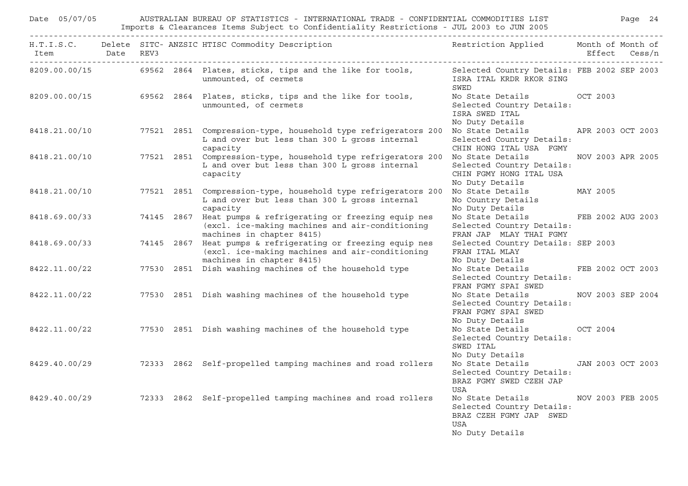| Date 05/07/05 |  | AUSTRALIAN BUREAU OF STATISTICS - INTERNATIONAL TRADE - CONFIDENTIAL COMMODITIES LIST FOR THE Page 24<br>Imports & Clearances Items Subject to Confidentiality Restrictions - JUL 2003 to JUN 2005 |                                                                                                           |                   |  |
|---------------|--|----------------------------------------------------------------------------------------------------------------------------------------------------------------------------------------------------|-----------------------------------------------------------------------------------------------------------|-------------------|--|
|               |  | H.T.I.S.C. Delete SITC- ANZSIC HTISC Commodity Description Nestriction Applied Month of Month of                                                                                                   |                                                                                                           |                   |  |
|               |  | 8209.00.00/15 69562 2864 Plates, sticks, tips and the like for tools, Selected Country Details: FEB 2002 SEP 2003<br>unmounted, of cermets                                                         | ISRA ITAL KRDR RKOR SING<br>SWED                                                                          |                   |  |
|               |  | 8209.00.00/15 69562 2864 Plates, sticks, tips and the like for tools,<br>unmounted, of cermets                                                                                                     | No State Details OCT 2003<br>Selected Country Details:<br>ISRA SWED ITAL<br>No Duty Details               |                   |  |
|               |  | 8418.21.00/10 77521 2851 Compression-type, household type refrigerators 200<br>L and over but less than 300 L gross internal<br>capacity                                                           | No State Details APR 2003 OCT 2003<br>Selected Country Details:<br>CHIN HONG ITAL USA FGMY                |                   |  |
|               |  | 8418.21.00/10 77521 2851 Compression-type, household type refrigerators 200 No State Details<br>L and over but less than 300 L gross internal<br>capacity                                          | Selected Country Details:<br>CHIN FGMY HONG ITAL USA<br>No Duty Details                                   | NOV 2003 APR 2005 |  |
| 8418.21.00/10 |  | 77521 2851 Compression-type, household type refrigerators 200<br>L and over but less than 300 L gross internal<br>capacity                                                                         | No State Details MAY 2005<br>No Country Details<br>No Duty Details                                        |                   |  |
| 8418.69.00/33 |  | 74145 2867 Heat pumps & refrigerating or freezing equip nes<br>(excl. ice-making machines and air-conditioning<br>machines in chapter 8415)                                                        | No State Details FEB 2002 AUG 2003<br>Selected Country Details:<br>FRAN JAP MLAY THAI FGMY                |                   |  |
| 8418.69.00/33 |  | 74145 2867 Heat pumps & refrigerating or freezing equip nes<br>(excl. ice-making machines and air-conditioning<br>machines in chapter 8415)                                                        | Selected Country Details: SEP 2003<br>FRAN ITAL MLAY<br>No Duty Details                                   |                   |  |
|               |  | 8422.11.00/22 77530 2851 Dish washing machines of the household type                                                                                                                               | No State Details FEB 2002 OCT 2003<br>Selected Country Details:<br>FRAN FGMY SPAI SWED                    |                   |  |
|               |  | 8422.11.00/22 77530 2851 Dish washing machines of the household type                                                                                                                               | No State Details MOV 2003 SEP 2004<br>Selected Country Details:<br>FRAN FGMY SPAI SWED<br>No Duty Details |                   |  |
|               |  | 8422.11.00/22 77530 2851 Dish washing machines of the household type                                                                                                                               | No State Details 0CT 2004<br>Selected Country Details:<br>SWED ITAL<br>No Duty Details                    |                   |  |
|               |  | 8429.40.00/29 72333 2862 Self-propelled tamping machines and road rollers                                                                                                                          | No State Details (JAN 2003 OCT 2003<br>Selected Country Details:<br>BRAZ FGMY SWED CZEH JAP<br>USA        |                   |  |
|               |  | 8429.40.00/29 72333 2862 Self-propelled tamping machines and road rollers                                                                                                                          | No State Details<br>Selected Country Details:<br>BRAZ CZEH FGMY JAP SWED<br>USA<br>No Duty Details        | NOV 2003 FEB 2005 |  |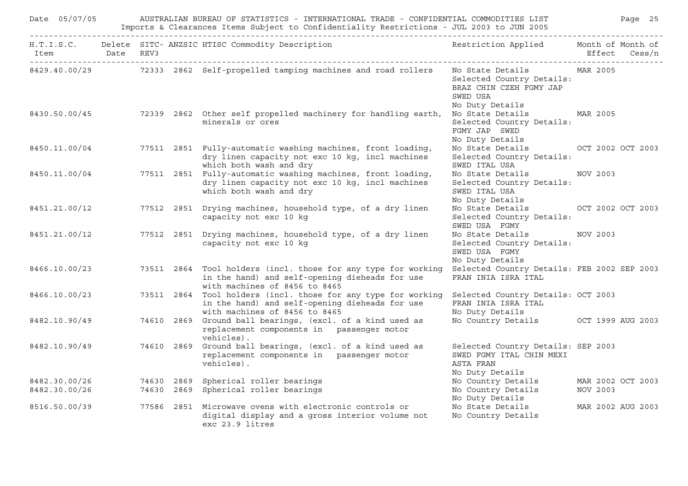| Date 05/07/05                  |            | AUSTRALIAN BUREAU OF STATISTICS - INTERNATIONAL TRADE - CONFIDENTIAL COMMODITIES LIST                     Paqe<br>Imports & Clearances Items Subject to Confidentiality Restrictions - JUL 2003 to JUN 2005 |                                                                                                                  |               |
|--------------------------------|------------|-------------------------------------------------------------------------------------------------------------------------------------------------------------------------------------------------------------|------------------------------------------------------------------------------------------------------------------|---------------|
| Item Date REV3                 |            | H.T.I.S.C. Delete SITC- ANZSIC HTISC Commodity Description                                                                                                                                                  | Restriction Applied Month of Month of                                                                            | Effect Cess/n |
|                                |            | 8429.40.00/29 72333 2862 Self-propelled tamping machines and road rollers                                                                                                                                   | No State Details MAR 2005<br>Selected Country Details:<br>BRAZ CHIN CZEH FGMY JAP<br>SWED USA<br>No Duty Details |               |
|                                |            | 8430.50.00/45 72339 2862 Other self propelled machinery for handling earth,<br>minerals or ores                                                                                                             | No State Details MAR 2005<br>Selected Country Details:<br>FGMY JAP SWED<br>No Duty Details                       |               |
|                                |            | 8450.11.00/04 77511 2851 Fully-automatic washing machines, front loading,<br>dry linen capacity not exc 10 kg, incl machines<br>which both wash and dry                                                     | No State Details OCT 2002 OCT 2003<br>Selected Country Details:<br>SWED ITAL USA                                 |               |
|                                |            | 8450.11.00/04 77511 2851 Fully-automatic washing machines, front loading,<br>dry linen capacity not exc 10 kg, incl machines<br>which both wash and dry                                                     | No State Details<br>Selected Country Details:<br>SWED ITAL USA<br>No Duty Details                                | NOV 2003      |
|                                |            | 8451.21.00/12 77512 2851 Drying machines, household type, of a dry linen<br>capacity not exc 10 kg                                                                                                          | No State Details OCT 2002 OCT 2003<br>Selected Country Details:<br>SWED USA FGMY                                 |               |
| 8451.21.00/12                  |            | 77512 2851 Drying machines, household type, of a dry linen<br>capacity not exc 10 kg                                                                                                                        | No State Details<br>Selected Country Details:<br>SWED USA FGMY<br>No Duty Details                                | NOV 2003      |
| 8466.10.00/23                  |            | 73511 2864 Tool holders (incl. those for any type for working<br>in the hand) and self-opening dieheads for use<br>with machines of 8456 to 8465                                                            | Selected Country Details: FEB 2002 SEP 2003<br>FRAN INIA ISRA ITAL                                               |               |
|                                |            | 8466.10.00/23 73511 2864 Tool holders (incl. those for any type for working<br>in the hand) and self-opening dieheads for use<br>with machines of 8456 to 8465                                              | Selected Country Details: OCT 2003<br>FRAN INIA ISRA ITAL<br>No Duty Details                                     |               |
| 8482.10.90/49                  |            | 74610 2869 Ground ball bearings, (excl. of a kind used as<br>replacement components in passenger motor<br>vehicles).                                                                                        | No Country Details OCT 1999 AUG 2003                                                                             |               |
| 8482.10.90/49                  |            | 74610 2869 Ground ball bearings, (excl. of a kind used as<br>replacement components in passenger motor<br>vehicles).                                                                                        | Selected Country Details: SEP 2003<br>SWED FGMY ITAL CHIN MEXI<br>ASTA FRAN<br>No Duty Details                   |               |
| 8482.30.00/26<br>8482.30.00/26 | 74630 2869 | Spherical roller bearings<br>74630 2869 Spherical roller bearings                                                                                                                                           | No Country Details MAR 2002 OCT 2003<br>No Country Details                                                       | NOV 2003      |
| 8516.50.00/39                  |            | 77586 2851 Microwave ovens with electronic controls or<br>digital display and a gross interior volume not<br>exc 23.9 litres                                                                                | No Duty Details<br>No State Details MAR 2002 AUG 2003<br>No Country Details                                      |               |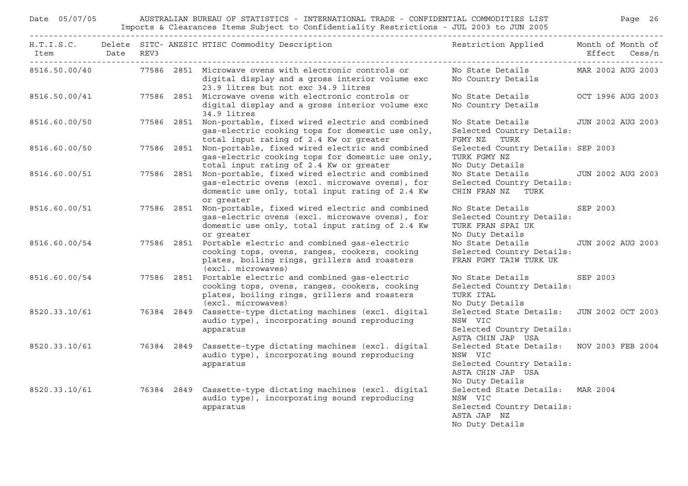| Date 05/07/05                                     |            | AUSTRALIAN BUREAU OF STATISTICS - INTERNATIONAL TRADE - CONFIDENTIAL COMMODITIES LIST<br>Imports & Clearances Items Subject to Confidentiality Restrictions - JUL 2003 to JUN 2005 |                                                                                                                           |                   | Page 26           |
|---------------------------------------------------|------------|------------------------------------------------------------------------------------------------------------------------------------------------------------------------------------|---------------------------------------------------------------------------------------------------------------------------|-------------------|-------------------|
| Item Date<br>------------------------------------ | REV3       | H.T.I.S.C. Delete SITC- ANZSIC HTISC Commodity Description                                                                                                                         | Restriction Applied Month of Month of                                                                                     |                   | Effect Cess/n     |
| 8516.50.00/40                                     |            | 77586 2851 Microwave ovens with electronic controls or<br>digital display and a gross interior volume exc<br>23.9 litres but not exc 34.9 litres                                   | No State Details<br>No Country Details                                                                                    | MAR 2002 AUG 2003 |                   |
| 8516.50.00/41                                     |            | 77586 2851 Microwave ovens with electronic controls or<br>digital display and a gross interior volume exc<br>34.9 litres                                                           | No State Details<br>No Country Details                                                                                    |                   | OCT 1996 AUG 2003 |
| 8516.60.00/50                                     |            | 77586 2851 Non-portable, fixed wired electric and combined<br>gas-electric cooking tops for domestic use only,<br>total input rating of 2.4 Kw or greater                          | No State Details<br>Selected Country Details:<br>FGMY NZ TURK                                                             |                   | JUN 2002 AUG 2003 |
| 8516.60.00/50                                     |            | 77586 2851 Non-portable, fixed wired electric and combined<br>gas-electric cooking tops for domestic use only,<br>total input rating of 2.4 Kw or greater                          | Selected Country Details: SEP 2003<br>TURK FGMY NZ<br>No Duty Details                                                     |                   |                   |
| 8516.60.00/51                                     |            | 77586 2851 Non-portable, fixed wired electric and combined<br>gas-electric ovens (excl. microwave ovens), for<br>domestic use only, total input rating of 2.4 Kw<br>or greater     | No State Details<br>Selected Country Details:<br>CHIN FRAN NZ TURK                                                        |                   | JUN 2002 AUG 2003 |
| 8516.60.00/51                                     | 77586 2851 | Non-portable, fixed wired electric and combined<br>gas-electric ovens (excl. microwave ovens), for<br>domestic use only, total input rating of 2.4 Kw<br>or greater                | No State Details<br>Selected Country Details:<br>TURK FRAN SPAI UK<br>No Duty Details                                     | SEP 2003          |                   |
| 8516.60.00/54                                     |            | 77586 2851 Portable electric and combined gas-electric<br>cooking tops, ovens, ranges, cookers, cooking<br>plates, boiling rings, grillers and roasters<br>(excl. microwaves)      | No State Details<br>Selected Country Details:<br>FRAN FGMY TAIW TURK UK                                                   |                   | JUN 2002 AUG 2003 |
| 8516.60.00/54                                     |            | 77586 2851 Portable electric and combined gas-electric<br>cooking tops, ovens, ranges, cookers, cooking<br>plates, boiling rings, grillers and roasters<br>(excl. microwaves)      | No State Details<br>Selected Country Details:<br>TURK ITAL<br>No Duty Details                                             | SEP 2003          |                   |
| 8520.33.10/61                                     |            | 76384 2849 Cassette-type dictating machines (excl. digital<br>audio type), incorporating sound reproducing<br>apparatus                                                            | Selected State Details: JUN 2002 OCT 2003<br>NSW VIC<br>Selected Country Details:<br>ASTA CHIN JAP USA                    |                   |                   |
|                                                   |            | 8520.33.10/61 76384 2849 Cassette-type dictating machines (excl. digital<br>audio type), incorporating sound reproducing<br>apparatus                                              | Selected State Details: NOV 2003 FEB 2004<br>NSW VIC<br>Selected Country Details:<br>ASTA CHIN JAP USA<br>No Duty Details |                   |                   |
|                                                   |            | 8520.33.10/61 76384 2849 Cassette-type dictating machines (excl. digital<br>audio type), incorporating sound reproducing<br>apparatus                                              | Selected State Details: MAR 2004<br>NSW VIC<br>Selected Country Details:<br>ASTA JAP NZ<br>No Duty Details                |                   |                   |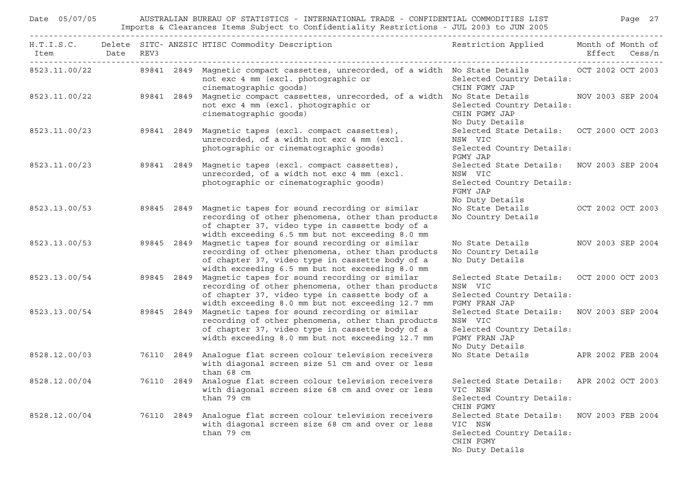| Date 05/07/05            |  |            | AUSTRALIAN BUREAU OF STATISTICS - INTERNATIONAL TRADE - CONFIDENTIAL COMMODITIES LIST<br>Imports & Clearances Items Subject to Confidentiality Restrictions - JUL 2003 to JUN 2005                                                |                                                                                                                       |                   | Page 27 |
|--------------------------|--|------------|-----------------------------------------------------------------------------------------------------------------------------------------------------------------------------------------------------------------------------------|-----------------------------------------------------------------------------------------------------------------------|-------------------|---------|
| Item Date REV3           |  |            | H.T.I.S.C. Delete SITC-ANZSIC HTISC Commodity Description and the sestriction Applied Month of Month of                                                                                                                           |                                                                                                                       | Effect Cess/n     |         |
|                          |  |            | 8523.11.00/22 39841 2849 Magnetic compact cassettes, unrecorded, of a width No State Details 0CT 2002 OCT 2003<br>not exc 4 mm (excl. photographic or<br>cinematographic goods)                                                   | Selected Country Details:<br>CHIN FGMY JAP                                                                            |                   |         |
|                          |  |            | 8523.11.00/22 89841 2849 Magnetic compact cassettes, unrecorded, of a width No State Details NOV 2003 SEP 2004<br>not exc 4 mm (excl. photographic or<br>cinematographic goods)                                                   | Selected Country Details:<br>CHIN FGMY JAP<br>No Duty Details                                                         |                   |         |
| 8523.11.00/23 89841 2849 |  |            | Magnetic tapes (excl. compact cassettes),<br>unrecorded, of a width not exc 4 mm (excl.<br>photographic or cinematographic goods)                                                                                                 | Selected State Details: OCT 2000 OCT 2003<br>NSW VIC<br>Selected Country Details:<br>FGMY JAP                         |                   |         |
| 8523.11.00/23            |  |            | 89841 2849 Magnetic tapes (excl. compact cassettes),<br>unrecorded, of a width not exc 4 mm (excl.<br>photographic or cinematographic goods)                                                                                      | Selected State Details: NOV 2003 SEP 2004<br>NSW VIC<br>Selected Country Details:<br>FGMY JAP<br>No Duty Details      |                   |         |
|                          |  |            | 8523.13.00/53 89845 2849 Magnetic tapes for sound recording or similar<br>recording of other phenomena, other than products<br>of chapter 37, video type in cassette body of a<br>width exceeding 6.5 mm but not exceeding 8.0 mm | No State Details OCT 2002 OCT 2003<br>No Country Details                                                              |                   |         |
| 8523.13.00/53            |  | 89845 2849 | Magnetic tapes for sound recording or similar<br>recording of other phenomena, other than products<br>of chapter 37, video type in cassette body of a<br>width exceeding 6.5 mm but not exceeding 8.0 mm                          | No State Details MOV 2003 SEP 2004<br>No Country Details<br>No Duty Details                                           |                   |         |
| 8523.13.00/54            |  | 89845 2849 | Magnetic tapes for sound recording or similar<br>recording of other phenomena, other than products<br>of chapter 37, video type in cassette body of a<br>width exceeding 8.0 mm but not exceeding 12.7 mm                         | Selected State Details: OCT 2000 OCT 2003<br>NSW VIC<br>Selected Country Details:<br>FGMY FRAN JAP                    |                   |         |
| 8523.13.00/54            |  | 89845 2849 | Magnetic tapes for sound recording or similar<br>recording of other phenomena, other than products<br>of chapter 37, video type in cassette body of a<br>width exceeding 8.0 mm but not exceeding 12.7 mm                         | Selected State Details: NOV 2003 SEP 2004<br>NSW VIC<br>Selected Country Details:<br>FGMY FRAN JAP<br>No Duty Details |                   |         |
| 8528.12.00/03            |  |            | 76110 2849 Analogue flat screen colour television receivers<br>with diagonal screen size 51 cm and over or less<br>than 68 cm                                                                                                     | No State Details APR 2002 FEB 2004                                                                                    |                   |         |
| 8528.12.00/04            |  |            | 76110 2849 Analogue flat screen colour television receivers Selected State Details: APR 2002 OCT 2003<br>with diagonal screen size 68 cm and over or less<br>than 79 cm                                                           | VIC NSW<br>Selected Country Details:<br>CHIN FGMY                                                                     |                   |         |
| 8528.12.00/04            |  |            | 76110 2849 Analogue flat screen colour television receivers<br>with diagonal screen size 68 cm and over or less<br>than 79 cm                                                                                                     | Selected State Details:<br>VIC NSW<br>Selected Country Details:<br>CHIN FGMY<br>No Duty Details                       | NOV 2003 FEB 2004 |         |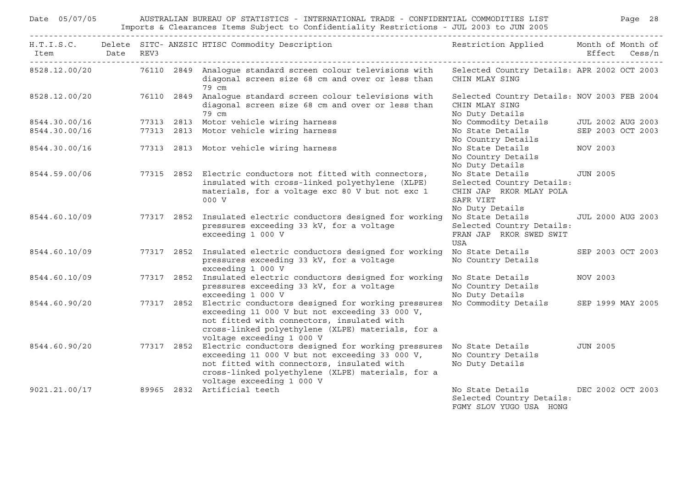| Date 05/07/05         |                                               |      |            | AUSTRALIAN BUREAU OF STATISTICS - INTERNATIONAL TRADE - CONFIDENTIAL COMMODITIES LIST<br>Imports & Clearances Items Subject to Confidentiality Restrictions - JUL 2003 to JUN 2005                                                              |                                                                                                          |                 | Page 28                  |
|-----------------------|-----------------------------------------------|------|------------|-------------------------------------------------------------------------------------------------------------------------------------------------------------------------------------------------------------------------------------------------|----------------------------------------------------------------------------------------------------------|-----------------|--------------------------|
| Item Date<br>-------- | <u> - - - - - - - - - - - - - - - - - -</u> - | REV3 |            | H.T.I.S.C. Delete SITC- ANZSIC HTISC Commodity Description                                                                                                                                                                                      | Restriction Applied Month of Month of                                                                    |                 | Effect Cess/n            |
| 8528.12.00/20         |                                               |      |            | 76110 2849 Analogue standard screen colour televisions with<br>diagonal screen size 68 cm and over or less than<br>79 cm                                                                                                                        | Selected Country Details: APR 2002 OCT 2003<br>CHIN MLAY SING                                            |                 |                          |
| 8528.12.00/20         |                                               |      |            | 76110 2849 Analoque standard screen colour televisions with<br>diagonal screen size 68 cm and over or less than<br>79 cm                                                                                                                        | Selected Country Details: NOV 2003 FEB 2004<br>CHIN MLAY SING<br>No Duty Details                         |                 |                          |
| 8544.30.00/16         |                                               |      |            | 77313 2813 Motor vehicle wiring harness                                                                                                                                                                                                         | No Commodity Details                                                                                     |                 | JUL 2002 AUG 2003        |
| 8544.30.00/16         |                                               |      |            | 77313 2813 Motor vehicle wiring harness                                                                                                                                                                                                         | No State Details<br>No Country Details                                                                   |                 | SEP 2003 OCT 2003        |
| 8544.30.00/16         |                                               |      |            | 77313 2813 Motor vehicle wiring harness                                                                                                                                                                                                         | No State Details<br>No Country Details<br>No Duty Details                                                | NOV 2003        |                          |
| 8544.59.00/06         |                                               |      |            | 77315 2852 Electric conductors not fitted with connectors,<br>insulated with cross-linked polyethylene (XLPE)<br>materials, for a voltage exc 80 V but not exc 1<br>000 V                                                                       | No State Details<br>Selected Country Details:<br>CHIN JAP RKOR MLAY POLA<br>SAFR VIET<br>No Duty Details | <b>JUN 2005</b> |                          |
| 8544.60.10/09         |                                               |      | 77317 2852 | Insulated electric conductors designed for working<br>pressures exceeding 33 kV, for a voltage<br>exceeding 1 000 V                                                                                                                             | No State Details<br>Selected Country Details:<br>FRAN JAP RKOR SWED SWIT<br>USA                          |                 | <b>JUL 2000 AUG 2003</b> |
| 8544.60.10/09         |                                               |      |            | 77317 2852 Insulated electric conductors designed for working<br>pressures exceeding 33 kV, for a voltage<br>exceeding 1 000 V                                                                                                                  | No State Details<br>No Country Details                                                                   |                 | SEP 2003 OCT 2003        |
| 8544.60.10/09         |                                               |      |            | 77317 2852 Insulated electric conductors designed for working<br>pressures exceeding 33 kV, for a voltage<br>exceeding 1 000 V                                                                                                                  | No State Details<br>No Country Details<br>No Duty Details                                                | NOV 2003        |                          |
| 8544.60.90/20         |                                               |      |            | 77317 2852 Electric conductors designed for working pressures<br>exceeding 11 000 V but not exceeding 33 000 V,<br>not fitted with connectors, insulated with<br>cross-linked polyethylene (XLPE) materials, for a<br>voltage exceeding 1 000 V | No Commodity Details                                                                                     |                 | SEP 1999 MAY 2005        |
| 8544.60.90/20         |                                               |      |            | 77317 2852 Electric conductors designed for working pressures<br>exceeding 11 000 V but not exceeding 33 000 V,<br>not fitted with connectors, insulated with<br>cross-linked polyethylene (XLPE) materials, for a<br>voltage exceeding 1 000 V | No State Details<br>No Country Details<br>No Duty Details                                                | JUN 2005        |                          |
| 9021.21.00/17         |                                               |      |            | 89965 2832 Artificial teeth                                                                                                                                                                                                                     | No State Details<br>Selected Country Details:<br>FGMY SLOV YUGO USA HONG                                 |                 | DEC 2002 OCT 2003        |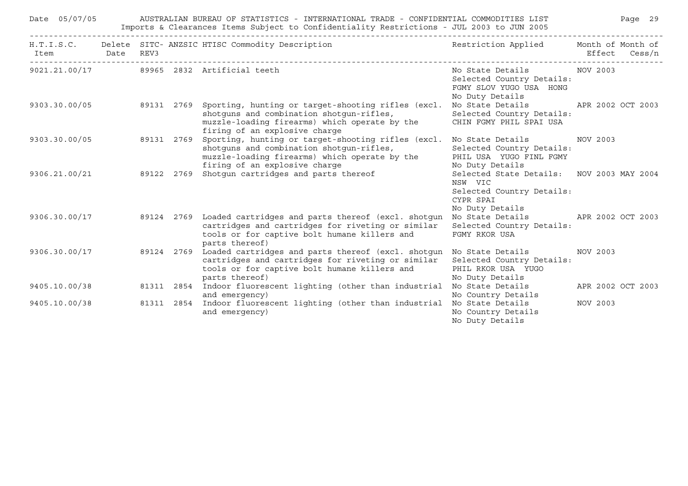| Date 05/07/05  |  | AUSTRALIAN BUREAU OF STATISTICS - INTERNATIONAL TRADE - CONFIDENTIAL COMMODITIES LIST<br>Imports & Clearances Items Subject to Confidentiality Restrictions - JUL 2003 to JUN 2005                                      |                                                                                                                   | Page 29           |
|----------------|--|-------------------------------------------------------------------------------------------------------------------------------------------------------------------------------------------------------------------------|-------------------------------------------------------------------------------------------------------------------|-------------------|
| Item Date REV3 |  | H.T.I.S.C. Delete SITC-ANZSIC HTISC Commodity Description Nestriction Applied Month of Month of                                                                                                                         |                                                                                                                   | Effect Cess/n     |
|                |  | 9021.21.00/17 89965 2832 Artificial teeth                                                                                                                                                                               | No State Details MOV 2003<br>Selected Country Details:<br>FGMY SLOV YUGO USA HONG<br>No Duty Details              |                   |
| 9303.30.00/05  |  | 89131 2769 Sporting, hunting or target-shooting rifles (excl.<br>shotguns and combination shotgun-rifles,<br>muzzle-loading firearms) which operate by the<br>firing of an explosive charge                             | No State Details 6. APR 2002 OCT 2003<br>Selected Country Details:<br>CHIN FGMY PHIL SPAI USA                     |                   |
| 9303.30.00/05  |  | 89131 2769 Sporting, hunting or target-shooting rifles (excl.<br>shotguns and combination shotgun-rifles,<br>muzzle-loading firearms) which operate by the<br>firing of an explosive charge                             | No State Details<br>Selected Country Details:<br>PHIL USA YUGO FINL FGMY<br>No Duty Details                       | NOV 2003          |
| 9306.21.00/21  |  | 89122 2769 Shotgun cartridges and parts thereof                                                                                                                                                                         | Selected State Details: NOV 2003 MAY 2004<br>NSW VIC<br>Selected Country Details:<br>CYPR SPAI<br>No Duty Details |                   |
| 9306.30.00/17  |  | 89124 2769 Loaded cartridges and parts thereof (excl. shotgun No State Details APR 2002 OCT 2003<br>cartridges and cartridges for riveting or similar<br>tools or for captive bolt humane killers and<br>parts thereof) | Selected Country Details:<br>FGMY RKOR USA                                                                        |                   |
| 9306.30.00/17  |  | 89124 2769 Loaded cartridges and parts thereof (excl. shotgun No State Details<br>cartridges and cartridges for riveting or similar<br>tools or for captive bolt humane killers and<br>parts thereof)                   | Selected Country Details:<br>PHIL RKOR USA YUGO<br>No Duty Details                                                | NOV 2003          |
| 9405.10.00/38  |  | 81311 2854 Indoor fluorescent lighting (other than industrial No State Details<br>and emergency)                                                                                                                        | No Country Details                                                                                                | APR 2002 OCT 2003 |
| 9405.10.00/38  |  | 81311 2854 Indoor fluorescent lighting (other than industrial No State Details<br>and emergency)                                                                                                                        | No Country Details<br>No Duty Details                                                                             | NOV 2003          |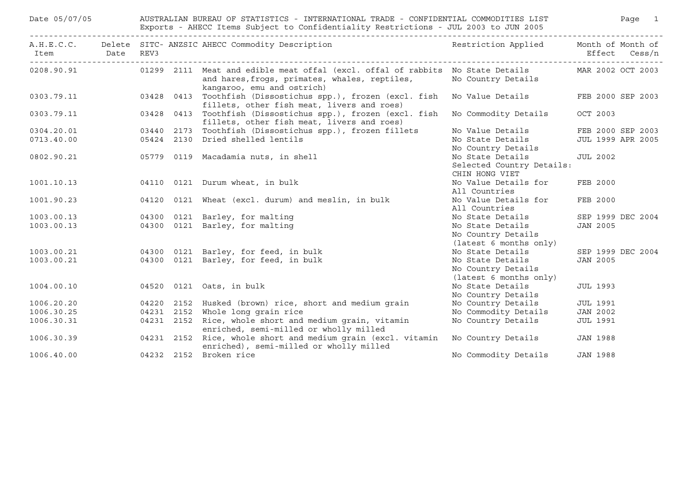| Date 05/07/05                                      |            | AUSTRALIAN BUREAU OF STATISTICS - INTERNATIONAL TRADE - CONFIDENTIAL COMMODITIES LIST<br>Exports - AHECC Items Subject to Confidentiality Restrictions - JUL 2003 to JUN 2005   |                                                                  |                   | Page 1            |
|----------------------------------------------------|------------|---------------------------------------------------------------------------------------------------------------------------------------------------------------------------------|------------------------------------------------------------------|-------------------|-------------------|
| Item Date<br>------------------------------------- | REV3       | A.H.E.C.C. Delete SITC-ANZSIC AHECC Commodity Description Nestriction Applied Month of Month of                                                                                 |                                                                  |                   | Effect Cess/n     |
| 0208.90.91                                         |            | 01299 2111 Meat and edible meat offal (excl. offal of rabbits No State Details MAR 2002 OCT 2003<br>and hares, frogs, primates, whales, reptiles,<br>kangaroo, emu and ostrich) | No Country Details                                               |                   |                   |
|                                                    |            | 0303.79.11 03428 0413 Toothfish (Dissostichus spp.), frozen (excl. fish<br>fillets, other fish meat, livers and roes)                                                           | No Value Details FEB 2000 SEP 2003                               |                   |                   |
| 0303.79.11                                         |            | 03428 0413 Toothfish (Dissostichus spp.), frozen (excl. fish<br>fillets, other fish meat, livers and roes)                                                                      | No Commodity Details                                             | OCT 2003          |                   |
| 0304.20.01                                         | 03440 2173 | Toothfish (Dissostichus spp.), frozen fillets                                                                                                                                   | No Value Details                                                 |                   | FEB 2000 SEP 2003 |
| 0713.40.00                                         |            | 05424 2130 Dried shelled lentils                                                                                                                                                | No State Details                                                 |                   | JUL 1999 APR 2005 |
|                                                    |            |                                                                                                                                                                                 | No Country Details                                               |                   |                   |
| 0802.90.21                                         |            | 05779 0119 Macadamia nuts, in shell                                                                                                                                             | No State Details                                                 | <b>JUL 2002</b>   |                   |
|                                                    |            |                                                                                                                                                                                 | Selected Country Details:<br>CHIN HONG VIET                      |                   |                   |
| 1001.10.13                                         |            | 04110 0121 Durum wheat, in bulk                                                                                                                                                 | No Value Details for<br>All Countries                            | FEB 2000          |                   |
| 1001.90.23                                         |            | 04120 0121 Wheat (excl. durum) and meslin, in bulk                                                                                                                              | No Value Details for<br>All Countries                            | FEB 2000          |                   |
| 1003.00.13                                         |            | 04300 0121 Barley, for malting                                                                                                                                                  | No State Details                                                 | SEP 1999 DEC 2004 |                   |
| 1003.00.13                                         |            | 04300 0121 Barley, for malting                                                                                                                                                  | No State Details<br>No Country Details<br>(latest 6 months only) | JAN 2005          |                   |
| 1003.00.21                                         |            | 04300 0121 Barley, for feed, in bulk                                                                                                                                            | No State Details                                                 |                   | SEP 1999 DEC 2004 |
| 1003.00.21                                         |            | 04300 0121 Barley, for feed, in bulk                                                                                                                                            | No State Details<br>No Country Details<br>(latest 6 months only) | JAN 2005          |                   |
| 1004.00.10                                         |            | 04520 0121 Oats, in bulk                                                                                                                                                        | No State Details<br>No Country Details                           | <b>JUL 1993</b>   |                   |
| 1006.20.20                                         |            | 04220 2152 Husked (brown) rice, short and medium grain                                                                                                                          | No Country Details                                               | <b>JUL 1991</b>   |                   |
| 1006.30.25                                         |            | 04231 2152 Whole long grain rice                                                                                                                                                | No Commodity Details                                             | <b>JAN 2002</b>   |                   |
| 1006.30.31                                         |            | 04231 2152 Rice, whole short and medium grain, vitamin<br>enriched, semi-milled or wholly milled                                                                                | No Country Details                                               | <b>JUL 1991</b>   |                   |
| 1006.30.39                                         |            | 04231 2152 Rice, whole short and medium grain (excl. vitamin<br>enriched), semi-milled or wholly milled                                                                         | No Country Details                                               | JAN 1988          |                   |
| 1006.40.00                                         |            | 04232 2152 Broken rice                                                                                                                                                          | No Commodity Details                                             | <b>JAN 1988</b>   |                   |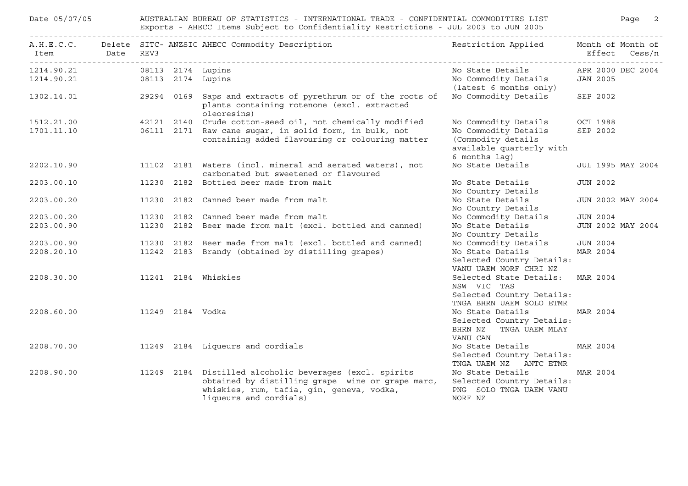| Date 05/07/05 |                     | AUSTRALIAN BUREAU OF STATISTICS - INTERNATIONAL TRADE - CONFIDENTIAL COMMODITIES LIST<br>Exports - AHECC Items Subject to Confidentiality Restrictions - JUL 2003 to JUN 2005      | Page 2                                                                                  |                   |
|---------------|---------------------|------------------------------------------------------------------------------------------------------------------------------------------------------------------------------------|-----------------------------------------------------------------------------------------|-------------------|
| Date<br>Item  | REV3                | A.H.E.C.C. Delete SITC- ANZSIC AHECC Commodity Description                                                                                                                         | Restriction Applied Month of Month of                                                   | Effect Cess/n     |
| 1214.90.21    | 08113 2174 Lupins   |                                                                                                                                                                                    | No State Details                                                                        | APR 2000 DEC 2004 |
| 1214.90.21    | 08113 2174 Lupins   |                                                                                                                                                                                    | No Commodity Details<br>(latest 6 months only)                                          | <b>JAN 2005</b>   |
| 1302.14.01    |                     | 29294 0169 Saps and extracts of pyrethrum or of the roots of<br>plants containing rotenone (excl. extracted<br>oleoresins)                                                         | No Commodity Details                                                                    | SEP 2002          |
| 1512.21.00    |                     | 42121 2140 Crude cotton-seed oil, not chemically modified                                                                                                                          | No Commodity Details                                                                    | OCT 1988          |
| 1701.11.10    |                     | 06111 2171 Raw cane sugar, in solid form, in bulk, not<br>containing added flavouring or colouring matter                                                                          | No Commodity Details<br>(Commodity details<br>available quarterly with<br>6 months lag) | SEP 2002          |
| 2202.10.90    |                     | 11102 2181 Waters (incl. mineral and aerated waters), not<br>carbonated but sweetened or flavoured                                                                                 | No State Details                                                                        | JUL 1995 MAY 2004 |
| 2203.00.10    |                     | 11230 2182 Bottled beer made from malt                                                                                                                                             | No State Details<br>No Country Details                                                  | <b>JUN 2002</b>   |
| 2203.00.20    |                     | 11230 2182 Canned beer made from malt                                                                                                                                              | No State Details<br>No Country Details                                                  | JUN 2002 MAY 2004 |
| 2203.00.20    |                     | 11230 2182 Canned beer made from malt                                                                                                                                              | No Commodity Details                                                                    | <b>JUN 2004</b>   |
| 2203.00.90    |                     | 11230 2182 Beer made from malt (excl. bottled and canned)                                                                                                                          | No State Details<br>No Country Details                                                  | JUN 2002 MAY 2004 |
| 2203.00.90    |                     | 11230 2182 Beer made from malt (excl. bottled and canned)                                                                                                                          | No Commodity Details                                                                    | <b>JUN 2004</b>   |
| 2208.20.10    |                     | 11242 2183 Brandy (obtained by distilling grapes)                                                                                                                                  | No State Details                                                                        | MAR 2004          |
|               |                     |                                                                                                                                                                                    | Selected Country Details:<br>VANU UAEM NORF CHRI NZ                                     |                   |
| 2208.30.00    | 11241 2184 Whiskies |                                                                                                                                                                                    | Selected State Details:<br>NSW VIC TAS                                                  | MAR 2004          |
|               |                     |                                                                                                                                                                                    | Selected Country Details:<br>TNGA BHRN UAEM SOLO ETMR                                   |                   |
| 2208.60.00    | 11249 2184 Vodka    |                                                                                                                                                                                    | No State Details                                                                        | MAR 2004          |
|               |                     |                                                                                                                                                                                    | Selected Country Details:<br>TNGA UAEM MLAY<br>BHRN NZ<br>VANU CAN                      |                   |
| 2208.70.00    |                     | 11249 2184 Liqueurs and cordials                                                                                                                                                   | No State Details<br>Selected Country Details:                                           | MAR 2004          |
|               |                     |                                                                                                                                                                                    | TNGA UAEM NZ ANTC ETMR                                                                  |                   |
| 2208.90.00    |                     | 11249 2184 Distilled alcoholic beverages (excl. spirits<br>obtained by distilling grape wine or grape marc,<br>whiskies, rum, tafia, gin, geneva, vodka,<br>liqueurs and cordials) | No State Details<br>Selected Country Details:<br>PNG SOLO TNGA UAEM VANU<br>NORF NZ     | MAR 2004          |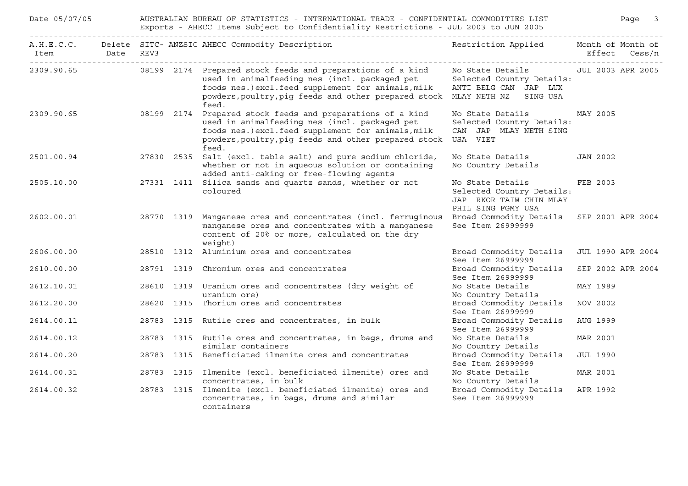| Date 05/07/05 |           | AUSTRALIAN BUREAU OF STATISTICS - INTERNATIONAL TRADE - CONFIDENTIAL COMMODITIES LIST<br>Exports - AHECC Items Subject to Confidentiality Restrictions - JUL 2003 to JUN 2005 |            |                                                                                                                                                                                                                                    |                                                                                                                    |                   |               |  |  |
|---------------|-----------|-------------------------------------------------------------------------------------------------------------------------------------------------------------------------------|------------|------------------------------------------------------------------------------------------------------------------------------------------------------------------------------------------------------------------------------------|--------------------------------------------------------------------------------------------------------------------|-------------------|---------------|--|--|
| Item<br>.     | Date REV3 |                                                                                                                                                                               |            | A.H.E.C.C. Delete SITC- ANZSIC AHECC Commodity Description                                                                                                                                                                         | Restriction Applied Month of Month of                                                                              |                   | Effect Cess/n |  |  |
| 2309.90.65    |           |                                                                                                                                                                               |            | 08199 2174 Prepared stock feeds and preparations of a kind<br>used in animalfeeding nes (incl. packaged pet<br>foods nes.) excl.feed supplement for animals, milk<br>powders, poultry, pig feeds and other prepared stock<br>feed. | No State Details [JUL 2003 APR 2005<br>Selected Country Details:<br>ANTI BELG CAN JAP LUX<br>MLAY NETH NZ SING USA |                   |               |  |  |
| 2309.90.65    |           |                                                                                                                                                                               |            | 08199 2174 Prepared stock feeds and preparations of a kind<br>used in animalfeeding nes (incl. packaged pet<br>foods nes.) excl.feed supplement for animals, milk<br>powders, poultry, pig feeds and other prepared stock<br>feed. | No State Details<br>Selected Country Details:<br>CAN JAP MLAY NETH SING<br>USA VIET                                | MAY 2005          |               |  |  |
| 2501.00.94    |           |                                                                                                                                                                               | 27830 2535 | Salt (excl. table salt) and pure sodium chloride,<br>whether or not in aqueous solution or containing<br>added anti-caking or free-flowing agents                                                                                  | No State Details<br>No Country Details                                                                             | <b>JAN 2002</b>   |               |  |  |
| 2505.10.00    |           |                                                                                                                                                                               | 27331 1411 | Silica sands and quartz sands, whether or not<br>coloured                                                                                                                                                                          | No State Details<br>Selected Country Details:<br>JAP RKOR TAIW CHIN MLAY<br>PHIL SING FGMY USA                     | FEB 2003          |               |  |  |
| 2602.00.01    |           |                                                                                                                                                                               | 28770 1319 | Manganese ores and concentrates (incl. ferruginous<br>manganese ores and concentrates with a manganese<br>content of 20% or more, calculated on the dry<br>weight)                                                                 | Broad Commodity Details<br>See Item 26999999                                                                       | SEP 2001 APR 2004 |               |  |  |
| 2606.00.00    |           |                                                                                                                                                                               |            | 28510 1312 Aluminium ores and concentrates                                                                                                                                                                                         | Broad Commodity Details<br>See Item 26999999                                                                       | JUL 1990 APR 2004 |               |  |  |
| 2610.00.00    |           |                                                                                                                                                                               |            | 28791 1319 Chromium ores and concentrates                                                                                                                                                                                          | Broad Commodity Details<br>See Item 26999999                                                                       | SEP 2002 APR 2004 |               |  |  |
| 2612.10.01    |           |                                                                                                                                                                               |            | 28610 1319 Uranium ores and concentrates (dry weight of<br>uranium ore)                                                                                                                                                            | No State Details<br>No Country Details                                                                             | MAY 1989          |               |  |  |
| 2612.20.00    |           |                                                                                                                                                                               |            | 28620 1315 Thorium ores and concentrates                                                                                                                                                                                           | Broad Commodity Details<br>See Item 26999999                                                                       | NOV 2002          |               |  |  |
| 2614.00.11    |           |                                                                                                                                                                               |            | 28783 1315 Rutile ores and concentrates, in bulk                                                                                                                                                                                   | Broad Commodity Details<br>See Item 26999999                                                                       | AUG 1999          |               |  |  |
| 2614.00.12    |           |                                                                                                                                                                               |            | 28783 1315 Rutile ores and concentrates, in bags, drums and<br>similar containers                                                                                                                                                  | No State Details<br>No Country Details                                                                             | MAR 2001          |               |  |  |
| 2614.00.20    |           |                                                                                                                                                                               |            | 28783 1315 Beneficiated ilmenite ores and concentrates                                                                                                                                                                             | Broad Commodity Details<br>See Item 26999999                                                                       | <b>JUL 1990</b>   |               |  |  |
| 2614.00.31    |           |                                                                                                                                                                               |            | 28783 1315 Ilmenite (excl. beneficiated ilmenite) ores and<br>concentrates, in bulk                                                                                                                                                | No State Details<br>No Country Details                                                                             | MAR 2001          |               |  |  |
| 2614.00.32    |           |                                                                                                                                                                               |            | 28783 1315 Ilmenite (excl. beneficiated ilmenite) ores and<br>concentrates, in bags, drums and similar<br>containers                                                                                                               | Broad Commodity Details<br>See Item 26999999                                                                       | APR 1992          |               |  |  |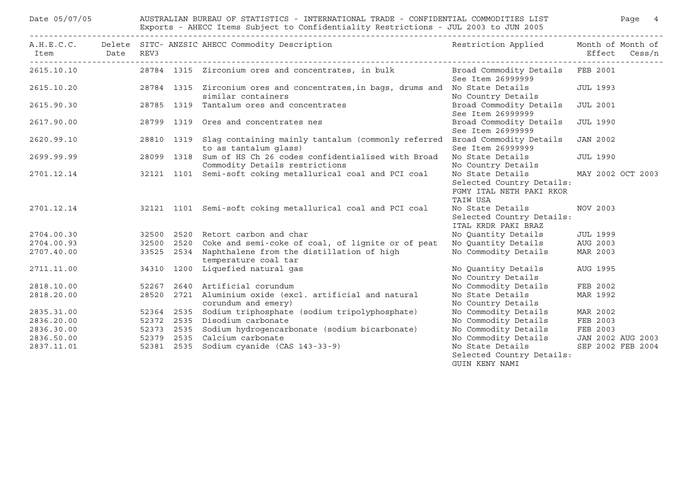| Date 05/07/05                        |      | AUSTRALIAN BUREAU OF STATISTICS - INTERNATIONAL TRADE - CONFIDENTIAL COMMODITIES LIST<br>Exports - AHECC Items Subject to Confidentiality Restrictions - JUL 2003 to JUN 2005 |  |                                                                                                |                                                                                       |                 |                                    |  |  |  |
|--------------------------------------|------|-------------------------------------------------------------------------------------------------------------------------------------------------------------------------------|--|------------------------------------------------------------------------------------------------|---------------------------------------------------------------------------------------|-----------------|------------------------------------|--|--|--|
| Item<br>---------------------------- | Date | REV3                                                                                                                                                                          |  | A.H.E.C.C. Delete SITC- ANZSIC AHECC Commodity Description                                     | Restriction Applied                                                                   |                 | Month of Month of<br>Effect Cess/n |  |  |  |
| 2615.10.10                           |      |                                                                                                                                                                               |  | 28784 1315 Zirconium ores and concentrates, in bulk                                            | Broad Commodity Details FEB 2001<br>See Item 26999999                                 |                 |                                    |  |  |  |
| 2615.10.20                           |      | 28784 1315                                                                                                                                                                    |  | Zirconium ores and concentrates, in bags, drums and No State Details<br>similar containers     | No Country Details                                                                    |                 | <b>JUL 1993</b>                    |  |  |  |
| 2615.90.30                           |      |                                                                                                                                                                               |  | 28785 1319 Tantalum ores and concentrates                                                      | Broad Commodity Details<br>See Item 26999999                                          |                 | <b>JUL 2001</b>                    |  |  |  |
| 2617.90.00                           |      |                                                                                                                                                                               |  | 28799 1319 Ores and concentrates nes                                                           | Broad Commodity Details<br>See Item 26999999                                          |                 | <b>JUL 1990</b>                    |  |  |  |
| 2620.99.10                           |      | 28810 1319                                                                                                                                                                    |  | Slag containing mainly tantalum (commonly referred<br>to as tantalum glass)                    | Broad Commodity Details<br>See Item 26999999                                          |                 | <b>JAN 2002</b>                    |  |  |  |
| 2699.99.99                           |      |                                                                                                                                                                               |  | 28099 1318 Sum of HS Ch 26 codes confidentialised with Broad<br>Commodity Details restrictions | No State Details<br>No Country Details                                                |                 | <b>JUL 1990</b>                    |  |  |  |
| 2701.12.14                           |      |                                                                                                                                                                               |  | 32121 1101 Semi-soft coking metallurical coal and PCI coal                                     | No State Details<br>Selected Country Details:<br>FGMY ITAL NETH PAKI RKOR<br>TAIW USA |                 | MAY 2002 OCT 2003                  |  |  |  |
| 2701.12.14                           |      |                                                                                                                                                                               |  | 32121 1101 Semi-soft coking metallurical coal and PCI coal                                     | No State Details<br>Selected Country Details:<br>ITAL KRDR PAKI BRAZ                  | NOV 2003        |                                    |  |  |  |
| 2704.00.30                           |      |                                                                                                                                                                               |  | 32500 2520 Retort carbon and char                                                              | No Quantity Details                                                                   | <b>JUL 1999</b> |                                    |  |  |  |
| 2704.00.93                           |      |                                                                                                                                                                               |  | 32500 2520 Coke and semi-coke of coal, of lignite or of peat                                   | No Quantity Details                                                                   | AUG 2003        |                                    |  |  |  |
| 2707.40.00                           |      |                                                                                                                                                                               |  | 33525 2534 Naphthalene from the distillation of high<br>temperature coal tar                   | No Commodity Details                                                                  | MAR 2003        |                                    |  |  |  |
| 2711.11.00                           |      |                                                                                                                                                                               |  | 34310 1200 Liquefied natural gas                                                               | No Quantity Details<br>No Country Details                                             | AUG 1995        |                                    |  |  |  |
| 2818.10.00                           |      |                                                                                                                                                                               |  | 52267 2640 Artificial corundum                                                                 | No Commodity Details                                                                  |                 | FEB 2002                           |  |  |  |
| 2818.20.00                           |      |                                                                                                                                                                               |  | 28520 2721 Aluminium oxide (excl. artificial and natural<br>corundum and emery)                | No State Details<br>No Country Details                                                |                 | MAR 1992                           |  |  |  |
| 2835.31.00                           |      |                                                                                                                                                                               |  | 52364 2535 Sodium triphosphate (sodium tripolyphosphate)                                       | No Commodity Details                                                                  |                 | MAR 2002                           |  |  |  |
| 2836.20.00                           |      |                                                                                                                                                                               |  | 52372 2535 Disodium carbonate                                                                  | No Commodity Details                                                                  | FEB 2003        |                                    |  |  |  |
| 2836.30.00                           |      | 52373 2535                                                                                                                                                                    |  | Sodium hydrogencarbonate (sodium bicarbonate)                                                  | No Commodity Details                                                                  | FEB 2003        |                                    |  |  |  |
| 2836.50.00                           |      | 52379 2535                                                                                                                                                                    |  | Calcium carbonate                                                                              | No Commodity Details                                                                  |                 | JAN 2002 AUG 2003                  |  |  |  |
| 2837.11.01                           |      | 52381 2535                                                                                                                                                                    |  | Sodium cyanide (CAS 143-33-9)                                                                  | No State Details<br>Selected Country Details:<br>GUIN KENY NAMI                       |                 | SEP 2002 FEB 2004                  |  |  |  |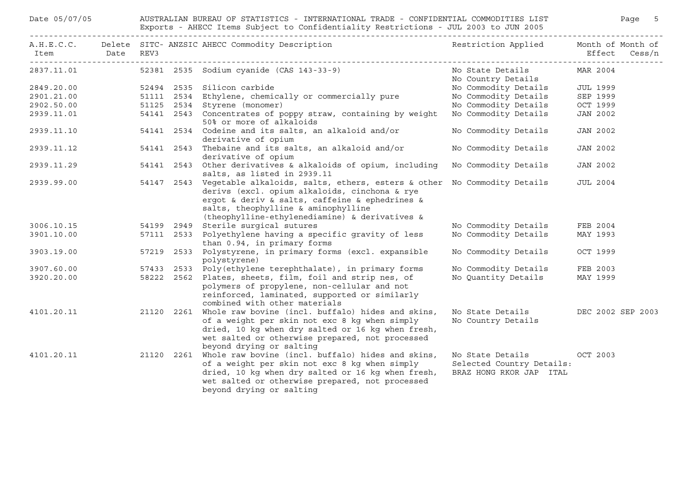| Date 05/07/05 |           | AUSTRALIAN BUREAU OF STATISTICS - INTERNATIONAL TRADE - CONFIDENTIAL COMMODITIES LIST<br>Exports - AHECC Items Subject to Confidentiality Restrictions - JUL 2003 to JUN 2005 |            | Page 5                                                                                                                                                                                                                                                                         |                                                                          |                                    |  |  |
|---------------|-----------|-------------------------------------------------------------------------------------------------------------------------------------------------------------------------------|------------|--------------------------------------------------------------------------------------------------------------------------------------------------------------------------------------------------------------------------------------------------------------------------------|--------------------------------------------------------------------------|------------------------------------|--|--|
| Item          | Date REV3 |                                                                                                                                                                               |            | A.H.E.C.C. Delete SITC- ANZSIC AHECC Commodity Description                                                                                                                                                                                                                     | Restriction Applied                                                      | Month of Month of<br>Effect Cess/n |  |  |
| 2837.11.01    |           |                                                                                                                                                                               |            | 52381 2535 Sodium cyanide (CAS 143-33-9)                                                                                                                                                                                                                                       | No State Details<br>No Country Details                                   | MAR 2004                           |  |  |
| 2849.20.00    |           |                                                                                                                                                                               |            | 52494 2535 Silicon carbide                                                                                                                                                                                                                                                     | No Commodity Details                                                     | <b>JUL 1999</b>                    |  |  |
| 2901.21.00    |           |                                                                                                                                                                               |            | 51111 2534 Ethylene, chemically or commercially pure                                                                                                                                                                                                                           | No Commodity Details                                                     | SEP 1999                           |  |  |
| 2902.50.00    |           |                                                                                                                                                                               |            | 51125 2534 Styrene (monomer)                                                                                                                                                                                                                                                   | No Commodity Details                                                     | OCT 1999                           |  |  |
| 2939.11.01    |           |                                                                                                                                                                               |            | 54141 2543 Concentrates of poppy straw, containing by weight<br>50% or more of alkaloids                                                                                                                                                                                       | No Commodity Details                                                     | JAN 2002                           |  |  |
| 2939.11.10    |           |                                                                                                                                                                               |            | 54141 2534 Codeine and its salts, an alkaloid and/or<br>derivative of opium                                                                                                                                                                                                    | No Commodity Details                                                     | JAN 2002                           |  |  |
| 2939.11.12    |           |                                                                                                                                                                               |            | 54141 2543 Thebaine and its salts, an alkaloid and/or<br>derivative of opium                                                                                                                                                                                                   | No Commodity Details                                                     | <b>JAN 2002</b>                    |  |  |
| 2939.11.29    |           |                                                                                                                                                                               |            | 54141 2543 Other derivatives & alkaloids of opium, including<br>salts, as listed in 2939.11                                                                                                                                                                                    | No Commodity Details                                                     | JAN 2002                           |  |  |
| 2939.99.00    |           |                                                                                                                                                                               |            | 54147 2543 Vegetable alkaloids, salts, ethers, esters & other No Commodity Details<br>derivs (excl. opium alkaloids, cinchona & rye<br>ergot & deriv & salts, caffeine & ephedrines &<br>salts, theophylline & aminophylline<br>(theophylline-ethylenediamine) & derivatives & |                                                                          | JUL 2004                           |  |  |
| 3006.10.15    |           |                                                                                                                                                                               |            | 54199 2949 Sterile surgical sutures                                                                                                                                                                                                                                            | No Commodity Details                                                     | FEB 2004                           |  |  |
| 3901.10.00    |           |                                                                                                                                                                               | 57111 2533 | Polyethylene having a specific gravity of less<br>than 0.94, in primary forms                                                                                                                                                                                                  | No Commodity Details                                                     | MAY 1993                           |  |  |
| 3903.19.00    |           |                                                                                                                                                                               |            | 57219 2533 Polystyrene, in primary forms (excl. expansible<br>polystyrene)                                                                                                                                                                                                     | No Commodity Details                                                     | OCT 1999                           |  |  |
| 3907.60.00    |           |                                                                                                                                                                               | 57433 2533 | Poly(ethylene terephthalate), in primary forms                                                                                                                                                                                                                                 | No Commodity Details                                                     | FEB 2003                           |  |  |
| 3920.20.00    |           |                                                                                                                                                                               | 58222 2562 | Plates, sheets, film, foil and strip nes, of<br>polymers of propylene, non-cellular and not<br>reinforced, laminated, supported or similarly<br>combined with other materials                                                                                                  | No Quantity Details                                                      | MAY 1999                           |  |  |
| 4101.20.11    |           |                                                                                                                                                                               | 21120 2261 | Whole raw bovine (incl. buffalo) hides and skins,<br>of a weight per skin not exc 8 kg when simply<br>dried, 10 kg when dry salted or 16 kg when fresh,<br>wet salted or otherwise prepared, not processed<br>beyond drying or salting                                         | No State Details<br>No Country Details                                   | DEC 2002 SEP 2003                  |  |  |
| 4101.20.11    |           |                                                                                                                                                                               | 21120 2261 | Whole raw bovine (incl. buffalo) hides and skins,<br>of a weight per skin not exc 8 kg when simply<br>dried, 10 kg when dry salted or 16 kg when fresh,<br>wet salted or otherwise prepared, not processed<br>beyond drying or salting                                         | No State Details<br>Selected Country Details:<br>BRAZ HONG RKOR JAP ITAL | OCT 2003                           |  |  |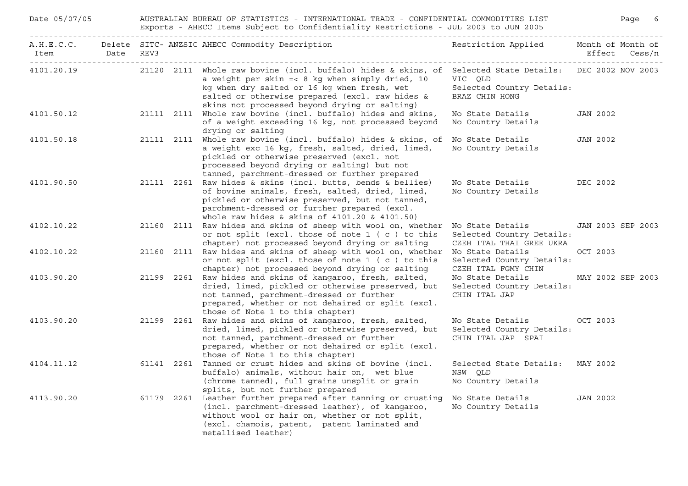| Date 05/07/05  |  | Page 6<br>AUSTRALIAN BUREAU OF STATISTICS - INTERNATIONAL TRADE - CONFIDENTIAL COMMODITIES LIST<br>Exports - AHECC Items Subject to Confidentiality Restrictions - JUL 2003 to JUN 2005 |                                                                                                                                                                                                                                                                                                               |                                                                           |                   |  |  |  |  |  |
|----------------|--|-----------------------------------------------------------------------------------------------------------------------------------------------------------------------------------------|---------------------------------------------------------------------------------------------------------------------------------------------------------------------------------------------------------------------------------------------------------------------------------------------------------------|---------------------------------------------------------------------------|-------------------|--|--|--|--|--|
| Item Date REV3 |  |                                                                                                                                                                                         | A.H.E.C.C. Delete SITC-ANZSIC AHECC Commodity Description Nestriction Applied Month of Month of                                                                                                                                                                                                               |                                                                           | Effect Cess/n     |  |  |  |  |  |
| 4101.20.19     |  |                                                                                                                                                                                         | 21120 2111 Whole raw bovine (incl. buffalo) hides & skins, of Selected State Details: DEC 2002 NOV 2003<br>a weight per skin =< 8 kg when simply dried, 10<br>kg when dry salted or 16 kg when fresh, wet<br>salted or otherwise prepared (excl. raw hides &<br>skins not processed beyond drying or salting) | VIC QLD<br>Selected Country Details:<br>BRAZ CHIN HONG                    |                   |  |  |  |  |  |
| 4101.50.12     |  |                                                                                                                                                                                         | 21111 2111 Whole raw bovine (incl. buffalo) hides and skins,<br>of a weight exceeding 16 kg, not processed beyond<br>drying or salting                                                                                                                                                                        | No State Details<br>No Country Details                                    | JAN 2002          |  |  |  |  |  |
| 4101.50.18     |  |                                                                                                                                                                                         | 21111 2111 Whole raw bovine (incl. buffalo) hides & skins, of<br>a weight exc 16 kg, fresh, salted, dried, limed,<br>pickled or otherwise preserved (excl. not<br>processed beyond drying or salting) but not<br>tanned, parchment-dressed or further prepared                                                | No State Details<br>No Country Details                                    | JAN 2002          |  |  |  |  |  |
| 4101.90.50     |  |                                                                                                                                                                                         | 21111 2261 Raw hides & skins (incl. butts, bends & bellies)<br>of bovine animals, fresh, salted, dried, limed,<br>pickled or otherwise preserved, but not tanned,<br>parchment-dressed or further prepared (excl.<br>whole raw hides & skins of 4101.20 & 4101.50)                                            | No State Details DEC 2002<br>No Country Details                           |                   |  |  |  |  |  |
| 4102.10.22     |  |                                                                                                                                                                                         | 21160 2111 Raw hides and skins of sheep with wool on, whether<br>or not split (excl. those of note 1 (c) to this<br>chapter) not processed beyond drying or salting                                                                                                                                           | No State Details<br>Selected Country Details:<br>CZEH ITAL THAI GREE UKRA | JAN 2003 SEP 2003 |  |  |  |  |  |
| 4102.10.22     |  |                                                                                                                                                                                         | 21160 2111 Raw hides and skins of sheep with wool on, whether No State Details<br>or not split (excl. those of note $1$ (c) to this<br>chapter) not processed beyond drying or salting                                                                                                                        | Selected Country Details:<br>CZEH ITAL FGMY CHIN                          | OCT 2003          |  |  |  |  |  |
| 4103.90.20     |  |                                                                                                                                                                                         | 21199 2261 Raw hides and skins of kangaroo, fresh, salted,<br>dried, limed, pickled or otherwise preserved, but<br>not tanned, parchment-dressed or further<br>prepared, whether or not dehaired or split (excl.<br>those of Note 1 to this chapter)                                                          | No State Details<br>Selected Country Details:<br>CHIN ITAL JAP            | MAY 2002 SEP 2003 |  |  |  |  |  |
| 4103.90.20     |  |                                                                                                                                                                                         | 21199 2261 Raw hides and skins of kangaroo, fresh, salted,<br>dried, limed, pickled or otherwise preserved, but<br>not tanned, parchment-dressed or further<br>prepared, whether or not dehaired or split (excl.<br>those of Note 1 to this chapter)                                                          | No State Details<br>Selected Country Details:<br>CHIN ITAL JAP SPAI       | OCT 2003          |  |  |  |  |  |
| 4104.11.12     |  |                                                                                                                                                                                         | 61141 2261 Tanned or crust hides and skins of bovine (incl.<br>buffalo) animals, without hair on, wet blue<br>(chrome tanned), full grains unsplit or grain<br>splits, but not further prepared                                                                                                               | Selected State Details: MAY 2002<br>NSW OLD<br>No Country Details         |                   |  |  |  |  |  |
| 4113.90.20     |  |                                                                                                                                                                                         | 61179 2261 Leather further prepared after tanning or crusting<br>(incl. parchment-dressed leather), of kangaroo,<br>without wool or hair on, whether or not split,<br>(excl. chamois, patent, patent laminated and<br>metallised leather)                                                                     | No State Details<br>No Country Details                                    | <b>JAN 2002</b>   |  |  |  |  |  |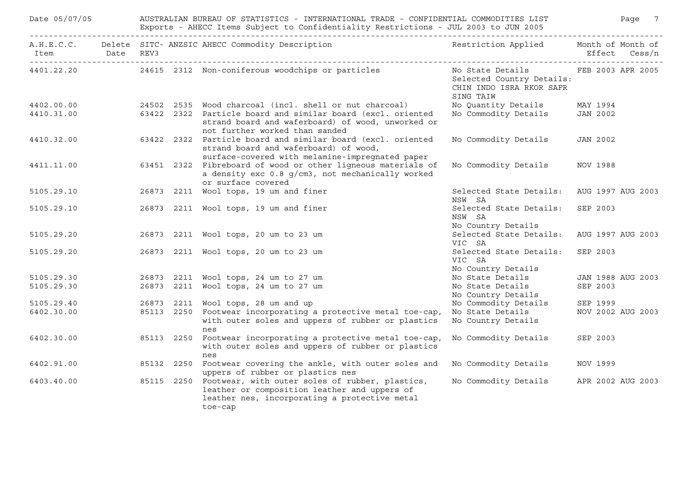| Date 05/07/05  |  | AUSTRALIAN BUREAU OF STATISTICS - INTERNATIONAL TRADE - CONFIDENTIAL COMMODITIES LIST<br>Exports - AHECC Items Subject to Confidentiality Restrictions - JUL 2003 to JUN 2005 |                                                                                                                                                                        |                                                                                                          |                   |                          |  |  |  |  |
|----------------|--|-------------------------------------------------------------------------------------------------------------------------------------------------------------------------------|------------------------------------------------------------------------------------------------------------------------------------------------------------------------|----------------------------------------------------------------------------------------------------------|-------------------|--------------------------|--|--|--|--|
| Item Date REV3 |  |                                                                                                                                                                               | A.H.E.C.C. Delete SITC- ANZSIC AHECC Commodity Description                                                                                                             | Restriction Applied Month of Month of                                                                    |                   | Effect Cess/n            |  |  |  |  |
|                |  |                                                                                                                                                                               | 4401.22.20 24615 2312 Non-coniferous woodchips or particles                                                                                                            | No State Details TEB 2003 APR 2005<br>Selected Country Details:<br>CHIN INDO ISRA RKOR SAFR<br>SING TAIW |                   |                          |  |  |  |  |
| 4402.00.00     |  |                                                                                                                                                                               | 24502 2535 Wood charcoal (incl. shell or nut charcoal)                                                                                                                 | No Quantity Details                                                                                      | MAY 1994          |                          |  |  |  |  |
| 4410.31.00     |  |                                                                                                                                                                               | 63422 2322 Particle board and similar board (excl. oriented<br>strand board and waferboard) of wood, unworked or<br>not further worked than sanded                     | No Commodity Details                                                                                     | JAN 2002          |                          |  |  |  |  |
| 4410.32.00     |  |                                                                                                                                                                               | 63422 2322 Particle board and similar board (excl. oriented<br>strand board and waferboard) of wood,<br>surface-covered with melamine-impregnated paper                | No Commodity Details                                                                                     | JAN 2002          |                          |  |  |  |  |
| 4411.11.00     |  | 63451 2322                                                                                                                                                                    | Fibreboard of wood or other ligneous materials of<br>a density exc 0.8 g/cm3, not mechanically worked<br>or surface covered                                            | No Commodity Details                                                                                     | NOV 1988          |                          |  |  |  |  |
| 5105.29.10     |  |                                                                                                                                                                               | 26873 2211 Wool tops, 19 um and finer                                                                                                                                  | Selected State Details:<br>NSW SA                                                                        |                   | AUG 1997 AUG 2003        |  |  |  |  |
| 5105.29.10     |  |                                                                                                                                                                               | 26873 2211 Wool tops, 19 um and finer                                                                                                                                  | Selected State Details:<br>NSW SA<br>No Country Details                                                  | SEP 2003          |                          |  |  |  |  |
| 5105.29.20     |  |                                                                                                                                                                               | 26873 2211 Wool tops, 20 um to 23 um                                                                                                                                   | Selected State Details:<br>VIC SA                                                                        |                   | AUG 1997 AUG 2003        |  |  |  |  |
| 5105.29.20     |  |                                                                                                                                                                               | 26873 2211 Wool tops, 20 um to 23 um                                                                                                                                   | Selected State Details:<br>VIC SA<br>No Country Details                                                  | SEP 2003          |                          |  |  |  |  |
| 5105.29.30     |  |                                                                                                                                                                               | 26873 2211 Wool tops, 24 um to 27 um                                                                                                                                   | No State Details                                                                                         |                   | <b>JAN 1988 AUG 2003</b> |  |  |  |  |
| 5105.29.30     |  |                                                                                                                                                                               | 26873 2211 Wool tops, 24 um to 27 um                                                                                                                                   | No State Details<br>No Country Details                                                                   | SEP 2003          |                          |  |  |  |  |
| 5105.29.40     |  |                                                                                                                                                                               | 26873 2211 Wool tops, 28 um and up                                                                                                                                     | No Commodity Details                                                                                     | SEP 1999          |                          |  |  |  |  |
| 6402.30.00     |  | 85113 2250                                                                                                                                                                    | Footwear incorporating a protective metal toe-cap,<br>with outer soles and uppers of rubber or plastics<br>nes                                                         | No State Details<br>No Country Details                                                                   |                   | NOV 2002 AUG 2003        |  |  |  |  |
| 6402.30.00     |  | 85113 2250                                                                                                                                                                    | Footwear incorporating a protective metal toe-cap,<br>with outer soles and uppers of rubber or plastics<br>nes                                                         | No Commodity Details                                                                                     | SEP 2003          |                          |  |  |  |  |
| 6402.91.00     |  |                                                                                                                                                                               | 85132 2250 Footwear covering the ankle, with outer soles and<br>uppers of rubber or plastics nes                                                                       | No Commodity Details                                                                                     | NOV 1999          |                          |  |  |  |  |
| 6403.40.00     |  |                                                                                                                                                                               | 85115 2250 Footwear, with outer soles of rubber, plastics,<br>leather or composition leather and uppers of<br>leather nes, incorporating a protective metal<br>toe-cap | No Commodity Details                                                                                     | APR 2002 AUG 2003 |                          |  |  |  |  |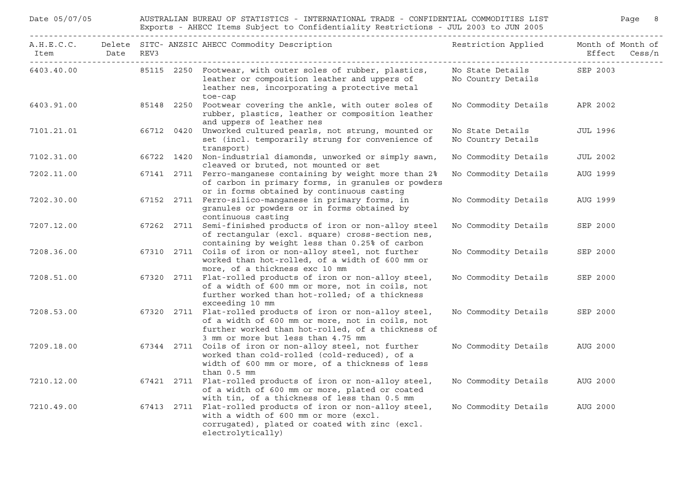| Date 05/07/05  |  | AUSTRALIAN BUREAU OF STATISTICS - INTERNATIONAL TRADE - CONFIDENTIAL COMMODITIES LIST<br>Exports - AHECC Items Subject to Confidentiality Restrictions - JUL 2003 to JUN 2005 | Page 8                                                                                                                                                                                                    |                                        |                                    |
|----------------|--|-------------------------------------------------------------------------------------------------------------------------------------------------------------------------------|-----------------------------------------------------------------------------------------------------------------------------------------------------------------------------------------------------------|----------------------------------------|------------------------------------|
| Item Date REV3 |  |                                                                                                                                                                               | A.H.E.C.C. Delete SITC- ANZSIC AHECC Commodity Description                                                                                                                                                | Restriction Applied                    | Month of Month of<br>Effect Cess/n |
|                |  |                                                                                                                                                                               | 6403.40.00 85115 2250 Footwear, with outer soles of rubber, plastics,<br>leather or composition leather and uppers of<br>leather nes, incorporating a protective metal<br>toe-cap                         | No State Details<br>No Country Details | SEP 2003                           |
| 6403.91.00     |  |                                                                                                                                                                               | 85148 2250 Footwear covering the ankle, with outer soles of<br>rubber, plastics, leather or composition leather<br>and uppers of leather nes                                                              | No Commodity Details                   | APR 2002                           |
| 7101.21.01     |  |                                                                                                                                                                               | 66712 0420 Unworked cultured pearls, not strung, mounted or<br>set (incl. temporarily strung for convenience of<br>transport)                                                                             | No State Details<br>No Country Details | <b>JUL 1996</b>                    |
| 7102.31.00     |  |                                                                                                                                                                               | 66722 1420 Non-industrial diamonds, unworked or simply sawn,<br>cleaved or bruted, not mounted or set                                                                                                     | No Commodity Details                   | JUL 2002                           |
| 7202.11.00     |  |                                                                                                                                                                               | 67141 2711 Ferro-manganese containing by weight more than 2%<br>of carbon in primary forms, in granules or powders<br>or in forms obtained by continuous casting                                          | No Commodity Details                   | AUG 1999                           |
| 7202.30.00     |  |                                                                                                                                                                               | 67152 2711 Ferro-silico-manganese in primary forms, in<br>granules or powders or in forms obtained by<br>continuous casting                                                                               | No Commodity Details                   | AUG 1999                           |
| 7207.12.00     |  |                                                                                                                                                                               | 67262 2711 Semi-finished products of iron or non-alloy steel<br>of rectangular (excl. square) cross-section nes,<br>containing by weight less than 0.25% of carbon                                        | No Commodity Details                   | SEP 2000                           |
| 7208.36.00     |  |                                                                                                                                                                               | 67310 2711 Coils of iron or non-alloy steel, not further<br>worked than hot-rolled, of a width of 600 mm or<br>more, of a thickness exc 10 mm                                                             | No Commodity Details                   | SEP 2000                           |
| 7208.51.00     |  |                                                                                                                                                                               | 67320 2711 Flat-rolled products of iron or non-alloy steel,<br>of a width of 600 mm or more, not in coils, not<br>further worked than hot-rolled; of a thickness<br>exceeding 10 mm                       | No Commodity Details                   | SEP 2000                           |
| 7208.53.00     |  |                                                                                                                                                                               | 67320 2711 Flat-rolled products of iron or non-alloy steel,<br>of a width of 600 mm or more, not in coils, not<br>further worked than hot-rolled, of a thickness of<br>3 mm or more but less than 4.75 mm | No Commodity Details                   | SEP 2000                           |
| 7209.18.00     |  |                                                                                                                                                                               | 67344 2711 Coils of iron or non-alloy steel, not further<br>worked than cold-rolled (cold-reduced), of a<br>width of 600 mm or more, of a thickness of less<br>than $0.5$ mm                              | No Commodity Details                   | AUG 2000                           |
| 7210.12.00     |  |                                                                                                                                                                               | 67421 2711 Flat-rolled products of iron or non-alloy steel,<br>of a width of 600 mm or more, plated or coated<br>with tin, of a thickness of less than 0.5 mm                                             | No Commodity Details                   | AUG 2000                           |
| 7210.49.00     |  |                                                                                                                                                                               | 67413 2711 Flat-rolled products of iron or non-alloy steel,<br>with a width of 600 mm or more (excl.<br>corrugated), plated or coated with zinc (excl.<br>electrolytically)                               | No Commodity Details                   | AUG 2000                           |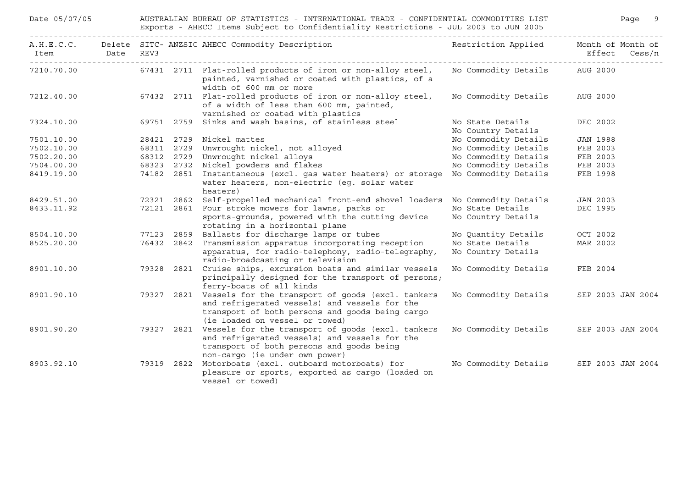| Date 05/07/05            |      | AUSTRALIAN BUREAU OF STATISTICS - INTERNATIONAL TRADE - CONFIDENTIAL COMMODITIES LIST<br>Exports - AHECC Items Subject to Confidentiality Restrictions - JUL 2003 to JUN 2005 |                    |                                                                                                                                                                                              |                                         |                             | Page   | 9 |
|--------------------------|------|-------------------------------------------------------------------------------------------------------------------------------------------------------------------------------|--------------------|----------------------------------------------------------------------------------------------------------------------------------------------------------------------------------------------|-----------------------------------------|-----------------------------|--------|---|
| A.H.E.C.C.<br>Item       | Date | REV3                                                                                                                                                                          |                    | Delete SITC- ANZSIC AHECC Commodity Description                                                                                                                                              | Restriction Applied                     | Month of Month of<br>Effect | Cess/n |   |
| 7210.70.00               |      |                                                                                                                                                                               |                    | 67431 2711 Flat-rolled products of iron or non-alloy steel,<br>painted, varnished or coated with plastics, of a<br>width of 600 mm or more                                                   | No Commodity Details                    | AUG 2000                    |        |   |
| 7212.40.00               |      |                                                                                                                                                                               |                    | 67432 2711 Flat-rolled products of iron or non-alloy steel,<br>of a width of less than 600 mm, painted,<br>varnished or coated with plastics                                                 | No Commodity Details                    | AUG 2000                    |        |   |
| 7324.10.00               |      |                                                                                                                                                                               |                    | 69751 2759 Sinks and wash basins, of stainless steel                                                                                                                                         | No State Details                        | DEC 2002                    |        |   |
|                          |      |                                                                                                                                                                               |                    |                                                                                                                                                                                              | No Country Details                      |                             |        |   |
| 7501.10.00               |      |                                                                                                                                                                               |                    | 28421 2729 Nickel mattes                                                                                                                                                                     | No Commodity Details                    | <b>JAN 1988</b>             |        |   |
| 7502.10.00               |      |                                                                                                                                                                               |                    | 68311 2729 Unwrought nickel, not alloyed                                                                                                                                                     | No Commodity Details                    | FEB 2003                    |        |   |
| 7502.20.00               |      |                                                                                                                                                                               |                    | 68312 2729 Unwrought nickel alloys                                                                                                                                                           | No Commodity Details                    | FEB 2003                    |        |   |
| 7504.00.00               |      |                                                                                                                                                                               |                    | 68323 2732 Nickel powders and flakes                                                                                                                                                         | No Commodity Details                    | FEB 2003                    |        |   |
| 8419.19.00               |      |                                                                                                                                                                               |                    | 74182 2851 Instantaneous (excl. gas water heaters) or storage<br>water heaters, non-electric (eq. solar water<br>heaters)                                                                    | No Commodity Details                    | FEB 1998                    |        |   |
| 8429.51.00               |      |                                                                                                                                                                               | 72321 2862         | Self-propelled mechanical front-end shovel loaders                                                                                                                                           | No Commodity Details                    | <b>JAN 2003</b>             |        |   |
| 8433.11.92               |      |                                                                                                                                                                               | 72121 2861         | Four stroke mowers for lawns, parks or<br>sports-grounds, powered with the cutting device<br>rotating in a horizontal plane                                                                  | No State Details<br>No Country Details  | DEC 1995                    |        |   |
|                          |      |                                                                                                                                                                               |                    |                                                                                                                                                                                              |                                         |                             |        |   |
| 8504.10.00<br>8525.20.00 |      | 77123                                                                                                                                                                         | 2859<br>76432 2842 | Ballasts for discharge lamps or tubes<br>Transmission apparatus incorporating reception                                                                                                      | No Quantity Details<br>No State Details | OCT 2002<br>MAR 2002        |        |   |
|                          |      |                                                                                                                                                                               |                    | apparatus, for radio-telephony, radio-telegraphy,<br>radio-broadcasting or television                                                                                                        | No Country Details                      |                             |        |   |
| 8901.10.00               |      |                                                                                                                                                                               | 79328 2821         | Cruise ships, excursion boats and similar vessels<br>principally designed for the transport of persons;<br>ferry-boats of all kinds                                                          | No Commodity Details                    | FEB 2004                    |        |   |
| 8901.90.10               |      |                                                                                                                                                                               | 79327 2821         | Vessels for the transport of goods (excl. tankers<br>and refrigerated vessels) and vessels for the<br>transport of both persons and goods being cargo<br>(ie loaded on vessel or towed)      | No Commodity Details                    | SEP 2003 JAN 2004           |        |   |
| 8901.90.20               |      |                                                                                                                                                                               |                    | 79327 2821 Vessels for the transport of goods (excl. tankers<br>and refrigerated vessels) and vessels for the<br>transport of both persons and goods being<br>non-cargo (ie under own power) | No Commodity Details                    | SEP 2003 JAN 2004           |        |   |
| 8903.92.10               |      |                                                                                                                                                                               | 79319 2822         | Motorboats (excl. outboard motorboats) for<br>pleasure or sports, exported as cargo (loaded on<br>vessel or towed)                                                                           | No Commodity Details                    | SEP 2003 JAN 2004           |        |   |